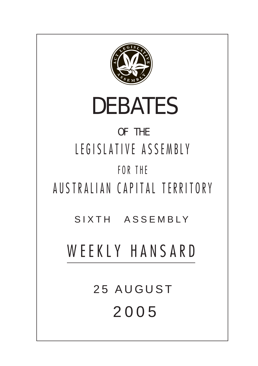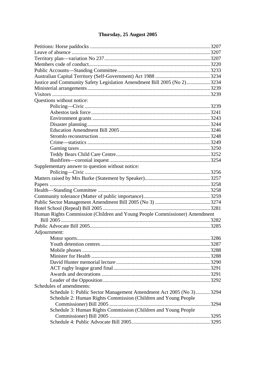# Thursday, 25 August 2005

| Justice and Community Safety Legislation Amendment Bill 2005 (No 2)3234    |  |  |
|----------------------------------------------------------------------------|--|--|
|                                                                            |  |  |
|                                                                            |  |  |
| Questions without notice:                                                  |  |  |
|                                                                            |  |  |
|                                                                            |  |  |
|                                                                            |  |  |
|                                                                            |  |  |
|                                                                            |  |  |
|                                                                            |  |  |
|                                                                            |  |  |
|                                                                            |  |  |
|                                                                            |  |  |
|                                                                            |  |  |
| Supplementary answer to question without notice:                           |  |  |
|                                                                            |  |  |
|                                                                            |  |  |
|                                                                            |  |  |
|                                                                            |  |  |
|                                                                            |  |  |
|                                                                            |  |  |
|                                                                            |  |  |
| Human Rights Commission (Children and Young People Commissioner) Amendment |  |  |
|                                                                            |  |  |
|                                                                            |  |  |
| Adjournment:                                                               |  |  |
|                                                                            |  |  |
|                                                                            |  |  |
|                                                                            |  |  |
|                                                                            |  |  |
|                                                                            |  |  |
|                                                                            |  |  |
|                                                                            |  |  |
|                                                                            |  |  |
| Schedules of amendments:                                                   |  |  |
| Schedule 1: Public Sector Management Amendment Act 2005 (No 3)3294         |  |  |
| Schedule 2: Human Rights Commission (Children and Young People             |  |  |
|                                                                            |  |  |
| Schedule 3: Human Rights Commission (Children and Young People             |  |  |
|                                                                            |  |  |
|                                                                            |  |  |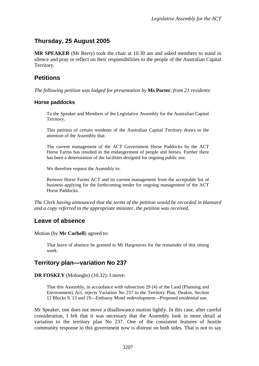# <span id="page-2-0"></span>**Thursday, 25 August 2005**

**MR SPEAKER** (Mr Berry) took the chair at 10.30 am and asked members to stand in silence and pray or reflect on their responsibilities to the people of the Australian Capital Territory.

# **Petitions**

*The following petition was lodged for presentation by* **Ms Porter**, *from 21 residents:* 

### **Horse paddocks**

To the Speaker and Members of the Legislative Assembly for the Australian Capital Territory.

This petition of certain residents of the Australian Capital Territory draws to the attention of the Assembly that:

The current management of the ACT Government Horse Paddocks by the ACT Horse Farms has resulted in the endangerment of people and horses. Further there has been a deterioration of the facilities designed for ongoing public use.

We therefore request the Assembly to:

Remove Horse Farms ACT and its current management from the acceptable list of business applying for the forthcoming tender for ongoing management of the ACT Horse Paddocks.

*The Clerk having announced that the terms of the petition would be recorded in Hansard and a copy referred to the appropriate minister, the petition was received.* 

# **Leave of absence**

Motion (by **Mr Corbell**) agreed to:

That leave of absence be granted to Mr Hargreaves for the remainder of this sitting week.

# **Territory plan—variation No 237**

### **DR FOSKEY** (Molonglo) (10.32): I move:

That this Assembly, in accordance with subsection 29 (4) of the Land (Planning and Environment) Act, rejects Variation No 237 to the Territory Plan, Deakin, Section 12 Blocks 9, 13 and 19—Embassy Motel redevelopment—Proposed residential use.

Mr Speaker, one does not move a disallowance motion lightly. In this case, after careful consideration, I felt that it was necessary that the Assembly look in more detail at variation to the territory plan No 237. One of the consistent features of hostile community response to this government now is distrust on both sides. That is not to say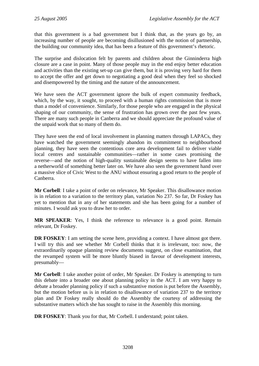that this government is a bad government but I think that, as the years go by, an increasing number of people are becoming disillusioned with the notion of partnership, the building our community idea, that has been a feature of this government's rhetoric.

The surprise and dislocation felt by parents and children about the Ginninderra high closure are a case in point. Many of those people may in the end enjoy better education and activities than the existing set-up can give them, but it is proving very hard for them to accept the offer and get down to negotiating a good deal when they feel so shocked and disempowered by the timing and the nature of the announcement.

We have seen the ACT government ignore the bulk of expert community feedback, which, by the way, it sought, to proceed with a human rights commission that is more than a model of convenience. Similarly, for those people who are engaged in the physical shaping of our community, the sense of frustration has grown over the past few years. There are many such people in Canberra and we should appreciate the profound value of the unpaid work that so many of them do.

They have seen the end of local involvement in planning matters through LAPACs, they have watched the government seemingly abandon its commitment to neighbourhood planning, they have seen the contentious core area development fail to deliver viable local centres and sustainable communities—rather in some cases promising the reverse—and the notion of high-quality sustainable design seems to have fallen into a netherworld of something better later on. We have also seen the government hand over a massive slice of Civic West to the ANU without ensuring a good return to the people of Canberra.

**Mr Corbell**: I take a point of order on relevance, Mr Speaker. This disallowance motion is in relation to a variation to the territory plan, variation No 237. So far, Dr Foskey has yet to mention that in any of her statements and she has been going for a number of minutes. I would ask you to draw her to order.

**MR SPEAKER**: Yes, I think the reference to relevance is a good point. Remain relevant, Dr Foskey.

**DR FOSKEY**: I am setting the scene here, providing a context. I have almost got there. I will try this and see whether Mr Corbell thinks that it is irrelevant, too: now, the extraordinarily opaque planning review documents suggest, on close examination, that the revamped system will be more bluntly biased in favour of development interests, presumably—

**Mr Corbell**: I take another point of order, Mr Speaker. Dr Foskey is attempting to turn this debate into a broader one about planning policy in the ACT. I am very happy to debate a broader planning policy if such a substantive motion is put before the Assembly, but the motion before us is in relation to disallowance of variation 237 to the territory plan and Dr Foskey really should do the Assembly the courtesy of addressing the substantive matters which she has sought to raise in the Assembly this morning.

**DR FOSKEY**: Thank you for that, Mr Corbell. I understand; point taken.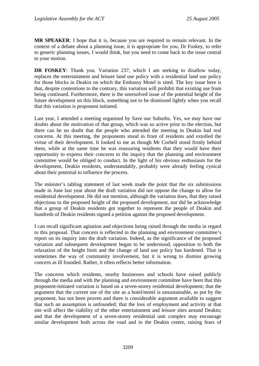**MR SPEAKER**: I hope that it is, because you are required to remain relevant. In the context of a debate about a planning issue, it is appropriate for you, Dr Foskey, to refer to generic planning issues, I would think, but you need to come back to the issue central to your motion.

**DR FOSKEY**: Thank you. Variation 237, which I am seeking to disallow today, replaces the entertainment and leisure land use policy with a residential land use policy for those blocks in Deakin on which the Embassy Motel is sited. The key issue here is that, despite contentions to the contrary, this variation will prohibit that existing use from being continued. Furthermore, there is the unresolved issue of the potential height of the future development on this block, something not to be dismissed lightly when you recall that this variation is proponent initiated.

Last year, I attended a meeting organised by Save our Suburbs. Yes, we may have our doubts about the motivation of that group, which was so active prior to the election, but there can be no doubt that the people who attended the meeting in Deakin had real concerns. At this meeting, the proponents stood in front of residents and extolled the virtue of their development. It looked to me as though Mr Corbell stood firmly behind them, while at the same time he was reassuring residents that they would have their opportunity to express their concerns to the inquiry that the planning and environment committee would be obliged to conduct. In the light of his obvious enthusiasm for the development, Deakin residents, understandably, probably were already feeling cynical about their potential to influence the process.

The minister's tabling statement of last week made the point that the six submissions made in June last year about the draft variation did not oppose the change to allow for residential development. He did not mention, although the variation does, that they raised objections to the proposed height of the proposed development, nor did he acknowledge that a group of Deakin residents got together to represent the people of Deakin and hundreds of Deakin residents signed a petition against the proposed development.

I can recall significant agitation and objections being raised through the media in regard to this proposal. That concern is reflected in the planning and environment committee's report on its inquiry into the draft variation. Indeed, as the significance of the proposed variation and subsequent development began to be understood, opposition to both the relaxation of the height limit and the change of land use policy has hardened. That is sometimes the way of community involvement, but it is wrong to dismiss growing concern as ill founded. Rather, it often reflects better information.

The concerns which residents, nearby businesses and schools have raised publicly through the media and with the planning and environment committee have been that this proponent-initiated variation is based on a seven-storey residential development; that the argument that the current use of the site as a hotel/motel is unsustainable, as put by the proponent, has not been proven and there is considerable argument available to suggest that such an assumption is unfounded; that the loss of employment and activity at that site will affect the viability of the other entertainment and leisure sites around Deakin; and that the development of a seven-storey residential unit complex may encourage similar development both across the road and in the Deakin centre, raising fears of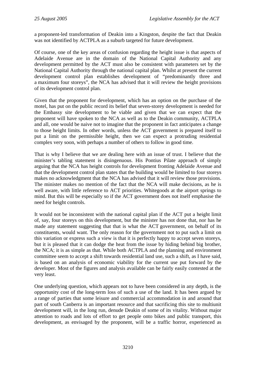a proponent-led transformation of Deakin into a Kingston, despite the fact that Deakin was not identified by ACTPLA as a suburb targeted for future development.

Of course, one of the key areas of confusion regarding the height issue is that aspects of Adelaide Avenue are in the domain of the National Capital Authority and any development permitted by the ACT must also be consistent with parameters set by the National Capital Authority through the national capital plan. Whilst at present the current development control plan establishes development of "predominantly three and a maximum four storeys", the NCA has advised that it will review the height provisions of its development control plan.

Given that the proponent for development, which has an option on the purchase of the motel, has put on the public record its belief that seven-storey development is needed for the Embassy site development to be viable and given that we can expect that the proponent will have spoken to the NCA as well as to the Deakin community, ACTPLA and all, one would be naive not to imagine that the proponent in fact anticipates a change to those height limits. In other words, unless the ACT government is prepared itself to put a limit on the permissible height, then we can expect a protruding residential complex very soon, with perhaps a number of others to follow in good time.

That is why I believe that we are dealing here with an issue of trust. I believe that the minister's tabling statement is disingenuous. His Pontius Pilate approach of simply arguing that the NCA has height controls for development fronting Adelaide Avenue and that the development control plan states that the building would be limited to four storeys makes no acknowledgment that the NCA has advised that it will review those provisions. The minister makes no mention of the fact that the NCA will make decisions, as he is well aware, with little reference to ACT priorities. Whitegoods at the airport springs to mind. But this will be especially so if the ACT government does not itself emphasise the need for height controls.

It would not be inconsistent with the national capital plan if the ACT put a height limit of, say, four storeys on this development, but the minister has not done that, nor has he made any statement suggesting that that is what the ACT government, on behalf of its constituents, would want. The only reason for the government not to put such a limit on this variation or express such a view is that it is perfectly happy to accept seven storeys, but it is pleased that it can dodge the heat from the issue by hiding behind big brother, the NCA; it is as simple as that. While both ACTPLA and the planning and environment committee seem to accept a shift towards residential land use, such a shift, as I have said, is based on an analysis of economic viability for the current use put forward by the developer. Most of the figures and analysis available can be fairly easily contested at the very least.

One underlying question, which appears not to have been considered in any depth, is the opportunity cost of the long-term loss of such a use of the land. It has been argued by a range of parties that some leisure and commercial accommodation in and around that part of south Canberra is an important resource and that sacrificing this site to multiunit development will, in the long run, denude Deakin of some of its vitality. Without major attention to roads and lots of effort to get people onto bikes and public transport, this development, as envisaged by the proponent, will be a traffic horror, experienced as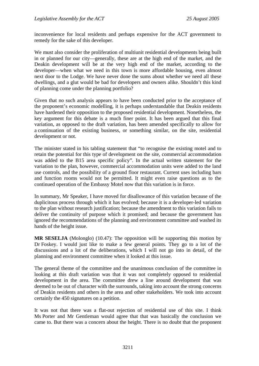inconvenience for local residents and perhaps expensive for the ACT government to remedy for the sake of this developer.

We must also consider the proliferation of multiunit residential developments being built in or planned for our city—generally, these are at the high end of the market, and the Deakin development will be at the very high end of the market, according to the developer—when what we need in this town is more affordable housing, even almost next door to the Lodge. We have never done the sums about whether we need all these dwellings, and a glut would be bad for developers and owners alike. Shouldn't this kind of planning come under the planning portfolio?

Given that no such analysis appears to have been conducted prior to the acceptance of the proponent's economic modelling, it is perhaps understandable that Deakin residents have hardened their opposition to the proposed residential development. Nonetheless, the key argument for this debate is a much finer point. It has been argued that this final variation, as opposed to the draft variation, has been amended specifically to allow for a continuation of the existing business, or something similar, on the site, residential development or not.

The minister stated in his tabling statement that "to recognise the existing motel and to retain the potential for this type of development on the site, commercial accommodation was added to the B15 area specific policy". In the actual written statement for the variation to the plan, however, commercial accommodation units were added to the land use controls, and the possibility of a ground floor restaurant. Current uses including bars and function rooms would not be permitted. It might even raise questions as to the continued operation of the Embassy Motel now that this variation is in force.

In summary, Mr Speaker, I have moved for disallowance of this variation because of the duplicitous process through which it has evolved; because it is a developer-led variation to the plan without research justification; because the amendment to this variation fails to deliver the continuity of purpose which it promised; and because the government has ignored the recommendations of the planning and environment committee and washed its hands of the height issue.

**MR SESELJA** (Molonglo) (10.47): The opposition will be supporting this motion by Dr Foskey. I would just like to make a few general points. They go to a lot of the discussions and a lot of the deliberations, which I will not go into in detail, of the planning and environment committee when it looked at this issue.

The general theme of the committee and the unanimous conclusion of the committee in looking at this draft variation was that it was not completely opposed to residential development in the area. The committee drew a line around development that was deemed to be out of character with the surrounds, taking into account the strong concerns of Deakin residents and others in the area and other stakeholders. We took into account certainly the 450 signatures on a petition.

It was not that there was a flat-out rejection of residential use of this site. I think Ms Porter and Mr Gentleman would agree that that was basically the conclusion we came to. But there was a concern about the height. There is no doubt that the proponent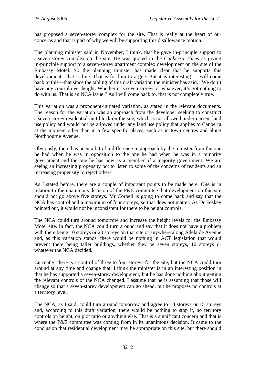has proposed a seven-storey complex for the site. That is really at the heart of our concerns and that is part of why we will be supporting this disallowance motion.

The planning minister said in November, I think, that he gave in-principle support to a seven-storey complex on the site. He was quoted in the *Canberra Times* as giving in-principle support to a seven-storey apartment complex development on the site of the Embassy Motel. So the planning minister has made clear that he supports this development. That is fine. That is for him to argue. But it is interesting—I will come back to this—that since the tabling of this draft variation the minister has said, "We don't have any control over height. Whether it is seven storeys or whatever, it's got nothing to do with us. That is an NCA issue." As I will come back to, that is not completely true.

This variation was a proponent-initiated variation, as stated in the relevant documents. The reason for the variation was an approach from the developer seeking to construct a seven-storey residential unit block on the site, which is not allowed under current land use policy and would not be allowed under any land use policy that applies to Canberra at the moment other than in a few specific places, such as in town centres and along Northbourne Avenue.

Obviously, there has been a bit of a difference in approach by the minister from the one he had when he was in opposition to the one he had when he was in a minority government and the one he has now as a member of a majority government. We are seeing an increasing propensity not to listen to some of the concerns of residents and an increasing propensity to reject others.

As I stated before, there are a couple of important points to be made here. One is in relation to the unanimous decision of the P&E committee that development on this site should not go above five storeys. Mr Corbell is going to come back and say that the NCA has control and a maximum of four storeys, so that does not matter. As Dr Foskey pointed out, it would not be inconsistent for there to be height controls.

The NCA could turn around tomorrow and increase the height levels for the Embassy Motel site. In fact, the NCA could turn around and say that it does not have a problem with there being 10 storeys or 20 storeys on that site or anywhere along Adelaide Avenue and, as this variation stands, there would be nothing in ACT legislation that would prevent there being taller buildings, whether they be seven storeys, 10 storeys or whatever the NCA decided.

Currently, there is a control of three to four storeys for the site, but the NCA could turn around at any time and change that. I think the minister is in an interesting position in that he has supported a seven-storey development, but he has done nothing about getting the relevant controls of the NCA changed. I assume that he is assuming that those will change so that a seven-storey development can go ahead, but he proposes no controls at a territory level.

The NCA, as I said, could turn around tomorrow and agree to 10 storeys or 15 storeys and, according to this draft variation, there would be nothing to stop it, no territory controls on height, on plot ratio or anything else. That is a significant concern and that is where the P&E committee was coming from in its unanimous decision. It came to the conclusion that residential development may be appropriate on this site, but there should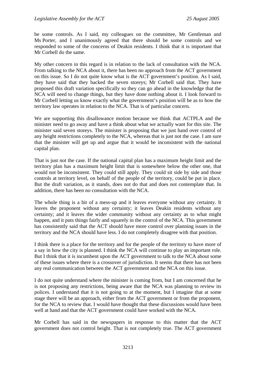be some controls. As I said, my colleagues on the committee, Mr Gentleman and Ms Porter, and I unanimously agreed that there should be some controls and we responded to some of the concerns of Deakin residents. I think that it is important that Mr Corbell do the same.

My other concern in this regard is in relation to the lack of consultation with the NCA. From talking to the NCA about it, there has been no approach from the ACT government on this issue. So I do not quite know what is the ACT government's position. As I said, they have said that they backed the seven storeys; Mr Corbell said that. They have proposed this draft variation specifically so they can go ahead in the knowledge that the NCA will need to change things, but they have done nothing about it. I look forward to Mr Corbell letting us know exactly what the government's position will be as to how the territory law operates in relation to the NCA. That is of particular concern.

We are supporting this disallowance motion because we think that ACTPLA and the minister need to go away and have a think about what we actually want for this site. The minister said seven storeys. The minister is proposing that we just hand over control of any height restrictions completely to the NCA, whereas that is just not the case. I am sure that the minister will get up and argue that it would be inconsistent with the national capital plan.

That is just not the case. If the national capital plan has a maximum height limit and the territory plan has a maximum height limit that is somewhere below the other one, that would not be inconsistent. They could still apply. They could sit side by side and those controls at territory level, on behalf of the people of the territory, could be put in place. But the draft variation, as it stands, does not do that and does not contemplate that. In addition, there has been no consultation with the NCA.

The whole thing is a bit of a mess-up and it leaves everyone without any certainty. It leaves the proponent without any certainty; it leaves Deakin residents without any certainty; and it leaves the wider community without any certainty as to what might happen, and it puts things fairly and squarely in the control of the NCA. This government has consistently said that the ACT should have more control over planning issues in the territory and the NCA should have less. I do not completely disagree with that position.

I think there is a place for the territory and for the people of the territory to have more of a say in how the city is planned. I think the NCA will continue to play an important role. But I think that it is incumbent upon the ACT government to talk to the NCA about some of these issues where there is a crossover of jurisdiction. It seems that there has not been any real communication between the ACT government and the NCA on this issue.

I do not quite understand where the minister is coming from, but I am concerned that he is not proposing any restrictions, being aware that the NCA was planning to review its polices. I understand that it is not going to at the moment, but I imagine that at some stage there will be an approach, either from the ACT government or from the proponent, for the NCA to review that. I would have thought that these discussions would have been well at hand and that the ACT government could have worked with the NCA.

Mr Corbell has said in the newspapers in response to this matter that the ACT government does not control height. That is not completely true. The ACT government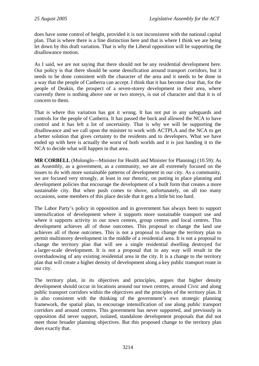does have some control of height, provided it is not inconsistent with the national capital plan. That is where there is a fine distinction here and that is where I think we are being let down by this draft variation. That is why the Liberal opposition will be supporting the disallowance motion.

As I said, we are not saying that there should not be any residential development here. Our policy is that there should be some densification around transport corridors, but it needs to be done consistent with the character of the area and it needs to be done in a way that the people of Canberra can accept. I think that it has become clear that, for the people of Deakin, the prospect of a seven-storey development in their area, where currently there is nothing above one or two storeys, is out of character and that it is of concern to them.

That is where this variation has got it wrong. It has not put in any safeguards and controls for the people of Canberra. It has passed the buck and allowed the NCA to have control and it has left a lot of uncertainty. That is why we will be supporting the disallowance and we call upon the minister to work with ACTPLA and the NCA to get a better solution that gives certainty to the residents and to developers. What we have ended up with here is actually the worst of both worlds and it is just handing it to the NCA to decide what will happen in that area.

**MR CORBELL** (Molonglo—Minister for Health and Minister for Planning) (10.59): As an Assembly, as a government, as a community, we are all extremely focused on the issues to do with more sustainable patterns of development in our city. As a community, we are focused very strongly, at least in our rhetoric, on putting in place planning and development policies that encourage the development of a built form that creates a more sustainable city. But when push comes to shove, unfortunately, on all too many occasions, some members of this place decide that it gets a little bit too hard.

The Labor Party's policy in opposition and in government has always been to support intensification of development where it supports more sustainable transport use and where it supports activity in our town centres, group centres and local centres. This development achieves all of those outcomes. This proposal to change the land use achieves all of those outcomes. This is not a proposal to change the territory plan to permit multistorey development in the middle of a residential area. It is not a proposal to change the territory plan that will see a single residential dwelling destroyed for a larger-scale development. It is not a proposal that in any way will result in the overshadowing of any existing residential area in the city. It is a change to the territory plan that will create a higher density of development along a key public transport route in our city.

The territory plan, in its objectives and principles, argues that higher density development should occur in locations around our town centres, around Civic and along public transport corridors within the objectives and the principles of the territory plan. It is also consistent with the thinking of the government's own strategic planning framework, the spatial plan, to encourage intensification of use along public transport corridors and around centres. This government has never supported, and previously in opposition did never support, isolated, standalone development proposals that did not meet those broader planning objectives. But this proposed change to the territory plan does exactly that.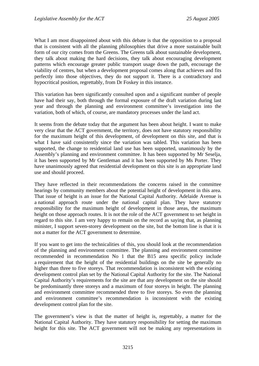What I am most disappointed about with this debate is that the opposition to a proposal that is consistent with all the planning philosophies that drive a more sustainable built form of our city comes from the Greens. The Greens talk about sustainable development, they talk about making the hard decisions, they talk about encouraging development patterns which encourage greater public transport usage down the path, encourage the viability of centres, but when a development proposal comes along that achieves and fits perfectly into those objectives, they do not support it. There is a contradictory and hypocritical position, regrettably, from Dr Foskey in this instance.

This variation has been significantly consulted upon and a significant number of people have had their say, both through the formal exposure of the draft variation during last year and through the planning and environment committee's investigation into the variation, both of which, of course, are mandatory processes under the land act.

It seems from the debate today that the argument has been about height. I want to make very clear that the ACT government, the territory, does not have statutory responsibility for the maximum height of this development, of development on this site, and that is what I have said consistently since the variation was tabled. This variation has been supported, the change to residential land use has been supported, unanimously by the Assembly's planning and environment committee. It has been supported by Mr Seselja, it has been supported by Mr Gentleman and it has been supported by Ms Porter. They have unanimously agreed that residential development on this site is an appropriate land use and should proceed.

They have reflected in their recommendations the concerns raised in the committee hearings by community members about the potential height of development in this area. That issue of height is an issue for the National Capital Authority. Adelaide Avenue is a national approach route under the national capital plan. They have statutory responsibility for the maximum height of development in those areas, the maximum height on those approach routes. It is not the role of the ACT government to set height in regard to this site. I am very happy to remain on the record as saying that, as planning minister, I support seven-storey development on the site, but the bottom line is that it is not a matter for the ACT government to determine.

If you want to get into the technicalities of this, you should look at the recommendation of the planning and environment committee. The planning and environment committee recommended in recommendation No 1 that the B15 area specific policy include a requirement that the height of the residential buildings on the site be generally no higher than three to five storeys. That recommendation is inconsistent with the existing development control plan set by the National Capital Authority for the site. The National Capital Authority's requirements for the site are that any development on the site should be predominantly three storeys and a maximum of four storeys in height. The planning and environment committee recommended three to five storeys. So even the planning and environment committee's recommendation is inconsistent with the existing development control plan for the site.

The government's view is that the matter of height is, regrettably, a matter for the National Capital Authority. They have statutory responsibility for setting the maximum height for this site. The ACT government will not be making any representations in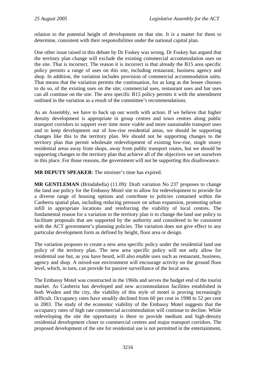relation to the potential height of development on that site. It is a matter for them to determine, consistent with their responsibilities under the national capital plan.

One other issue raised in this debate by Dr Foskey was wrong. Dr Foskey has argued that the territory plan change will exclude the existing commercial accommodation uses on the site. That is incorrect. The reason it is incorrect is that already the B15 area specific policy permits a range of uses on this site, including restaurant, business agency and shop. In addition, the variation includes provision of commercial accommodation units. That means that the variation permits the continuation, for as long as the lessee chooses to do so, of the existing uses on the site; commercial uses, restaurant uses and bar uses can all continue on the site. The area specific B15 policy permits it with the amendment outlined in the variation as a result of the committee's recommendations.

As an Assembly, we have to back up our words with action. If we believe that higher density development is appropriate in group centres and town centres along public transport corridors to support over time more viable and more sustainable transport uses and to keep development out of low-rise residential areas, we should be supporting changes like this to the territory plan. We should not be supporting changes to the territory plan that permit wholesale redevelopment of existing low-rise, single storey residential areas away from shops, away from public transport routes, but we should be supporting changes to the territory plan that achieve all of the objectives we set ourselves in this place. For those reasons, the government will not be supporting this disallowance.

**MR DEPUTY SPEAKER**: The minister's time has expired.

**MR GENTLEMAN** (Brindabella) (11.09): Draft variation No 237 proposes to change the land use policy for the Embassy Motel site to allow for redevelopment to provide for a diverse range of housing options and contribute to policies contained within the Canberra spatial plan, including reducing pressure on urban expansion, promoting urban infill in appropriate locations and reinforcing the viability of local centres. The fundamental reason for a variation to the territory plan is to change the land use policy to facilitate proposals that are supported by the authority and considered to be consistent with the ACT government's planning policies. The variation does not give effect to any particular development form as defined by height, floor area or design.

The variation proposes to create a new area specific policy under the residential land use policy of the territory plan. The new area specific policy will not only allow for residential use but, as you have heard, will also enable uses such as restaurant, business, agency and shop. A mixed-use environment will encourage activity on the ground floor level, which, in turn, can provide for passive surveillance of the local area.

The Embassy Motel was constructed in the 1960s and serves the budget end of the tourist market. As Canberra has developed and new accommodation facilities established in both Woden and the city, the viability of this style of motel is proving increasingly difficult. Occupancy rates have steadily declined from 60 per cent in 1998 to 52 per cent in 2003. The study of the economic viability of the Embassy Motel suggests that the occupancy rates of high rate commercial accommodation will continue to decline. While redeveloping the site the opportunity is there to provide medium and high-density residential development closer to commercial centres and major transport corridors. The proposed development of the site for residential use is not permitted in the entertainment,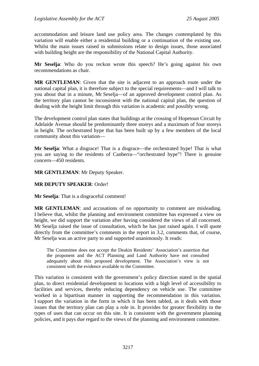accommodation and leisure land use policy area. The changes contemplated by this variation will enable either a residential building or a continuation of the existing use. Whilst the main issues raised in submissions relate to design issues, those associated with building height are the responsibility of the National Capital Authority.

**Mr Seselja**: Who do you reckon wrote this speech? He's going against his own recommendations as chair.

**MR GENTLEMAN**: Given that the site is adjacent to an approach route under the national capital plan, it is therefore subject to the special requirements—and I will talk to you about that in a minute, Mr Seselja—of an approved development control plan. As the territory plan cannot be inconsistent with the national capital plan, the question of dealing with the height limit through this variation is academic and possibly wrong.

The development control plan states that buildings at the crossing of Hopetoun Circuit by Adelaide Avenue should be predominantly three storeys and a maximum of four storeys in height. The orchestrated hype that has been built up by a few members of the local community about this variation—

**Mr Seselja:** What a disgrace! That is a disgrace—the orchestrated hype! That is what you are saying to the residents of Canberra—"orchestrated hype"! There is genuine concern—450 residents.

**MR GENTLEMAN**: Mr Deputy Speaker.

### **MR DEPUTY SPEAKER**: Order!

**Mr Seselja**: That is a disgraceful comment!

**MR GENTLEMAN**: and accusations of no opportunity to comment are misleading. I believe that, whilst the planning and environment committee has expressed a view on height, we did support the variation after having considered the views of all concerned. Mr Seselja raised the issue of consultation, which he has just raised again. I will quote directly from the committee's comments in the report in 3.2, comments that, of course, Mr Seselja was an active party to and supported unanimously. It reads:

The Committee does not accept the Deakin Residents' Association's assertion that the proponent and the ACT Planning and Land Authority have not consulted adequately about this proposed development. The Association's view is not consistent with the evidence available to the Committee.

This variation is consistent with the government's policy direction stated in the spatial plan, to direct residential development to locations with a high level of accessibility to facilities and services, thereby reducing dependency on vehicle use. The committee worked in a bipartisan manner in supporting the recommendation in this variation. I support the variation in the form in which it has been tabled, as it deals with those issues that the territory plan can play a role in. It provides for greater flexibility in the types of uses that can occur on this site. It is consistent with the government planning policies, and it pays due regard to the views of the planning and environment committee.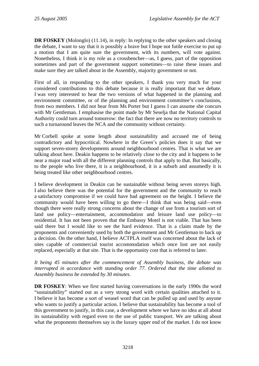**DR FOSKEY** (Molonglo) (11.14), in reply: In replying to the other speakers and closing the debate, I want to say that it is possibly a brave but I hope not futile exercise to put up a motion that I am quite sure the government, with its numbers, will vote against. Nonetheless, I think it is my role as a crossbencher—as, I guess, part of the opposition sometimes and part of the government support sometimes—to raise these issues and make sure they are talked about in the Assembly, majority government or not.

First of all, in responding to the other speakers, I thank you very much for your considered contributions to this debate because it is really important that we debate. I was very interested to hear the two versions of what happened in the planning and environment committee, or of the planning and environment committee's conclusions, from two members. I did not hear from Ms Porter but I guess I can assume she concurs with Mr Gentleman. I emphasise the point made by Mr Seselja that the National Capital Authority could turn around tomorrow: the fact that there are now no territory controls to such a turnaround leaves the NCA and the community without certainty.

Mr Corbell spoke at some length about sustainability and accused me of being contradictory and hypocritical. Nowhere in the Green's policies does it say that we support seven-storey developments around neighbourhood centres. That is what we are talking about here. Deakin happens to be relatively close to the city and it happens to be near a major road with all the different planning controls that apply to that. But basically, to the people who live there, it is a neighbourhood, it is a suburb and assumedly it is being treated like other neighbourhood centres.

I believe development in Deakin can be sustainable without being seven storeys high. I also believe there was the potential for the government and the community to reach a satisfactory compromise if we could have had agreement on the height. I believe the community would have been willing to go there—I think that was being said—even though there were really strong concerns about the change of use from a tourism sort of land use policy—entertainment, accommodation and leisure land use policy—to residential. It has not been proven that the Embassy Motel is not viable. That has been said there but I would like to see the hard evidence. That is a claim made by the proponents and conveniently used by both the government and Mr Gentleman to back up a decision. On the other hand, I believe ACTPLA itself was concerned about the lack of sites capable of commercial tourist accommodation which once lost are not easily replaced, especially at that site. That is the opportunity cost that is referred to later.

### *It being 45 minutes after the commencement of Assembly business, the debate was interrupted in accordance with standing order 77. Ordered that the time allotted to Assembly business be extended by 30 minutes.*

**DR FOSKEY**: When we first started having conversations in the early 1990s the word "sustainability" started out as a very strong word with certain qualities attached to it. I believe it has become a sort of weasel word that can be pulled up and used by anyone who wants to justify a particular action. I believe that sustainability has become a tool of this government to justify, in this case, a development where we have no idea at all about its sustainability with regard even to the use of public transport. We are talking about what the proponents themselves say is the luxury upper end of the market. I do not know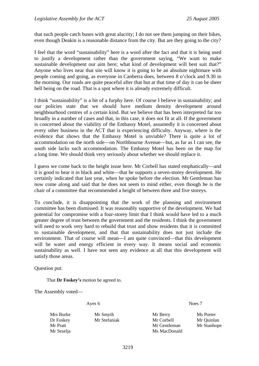that such people catch buses with great alacrity; I do not see them jumping on their bikes, even though Deakin is a reasonable distance from the city. But are they going to the city?

I feel that the word "sustainability" here is a word after the fact and that it is being used to justify a development rather than the government saying, "We want to make sustainable development our aim here; what kind of development will best suit that?" Anyone who lives near that site will know it is going to be an absolute nightmare with people coming and going, as everyone in Canberra does, between 8 o'clock and 9.30 in the morning. Our roads are quite peaceful after that but at that time of day it can be sheer hell being on the road. That is a spot where it is already extremely difficult.

I think "sustainability" is a bit of a furphy here. Of course I believe in sustainability; and our policies state that we should have medium density development around neighbourhood centres of a certain kind. But we believe that has been interpreted far too broadly in a number of cases and that, in this case, it does not fit at all. If the government is concerned about the viability of the Embassy Motel, assumedly it is concerned about every other business in the ACT that is experiencing difficulty. Anyway, where is the evidence that shows that the Embassy Motel is unviable? There is quite a lot of accommodation on the north side—on Northbourne Avenue—but, as far as I can see, the south side lacks such accommodation. The Embassy Motel has been on the map for a long time. We should think very seriously about whether we should replace it.

I guess we come back to the height issue here. Mr Corbell has stated emphatically—and it is good to hear it in black and white—that he supports a seven-storey development. He certainly indicated that last year, when he spoke before the election. Mr Gentleman has now come along and said that he does not seem to mind either, even though he is the chair of a committee that recommended a height of between three and five storeys.

To conclude, it is disappointing that the work of the planning and environment committee has been dismissed. It was reasonably supportive of the development. We had potential for compromise with a four-storey limit that I think would have led to a much greater degree of trust between the government and the residents. I think the government will need to work very hard to rebuild that trust and show residents that it is committed to sustainable development, and that that sustainability does not just include the environment. That of course will mean—I am quite convinced—that this development will be water and energy efficient in every way. It means social and economic sustainability as well. I have not seen any evidence at all that this development will satisfy those areas.

Question put:

That **Dr Foskey's** motion be agreed to.

The Assembly voted—

Ayes 6 Noes 7

| Mrs Burke  | Mr Smyth     | Mr Berry     | Ms Porter   |
|------------|--------------|--------------|-------------|
| Dr Foskey  | Mr Stefaniak | Mr Corbell   | Mr Quinlan  |
| Mr Pratt   |              | Mr Gentleman | Mr Stanhope |
| Mr Seselja |              | Ms MacDonald |             |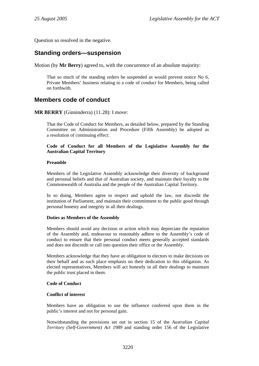<span id="page-15-0"></span>Question so resolved in the negative.

## **Standing orders—suspension**

Motion (by **Mr Berry**) agreed to, with the concurrence of an absolute majority:

That so much of the standing orders be suspended as would prevent notice No 6, Private Members' business relating to a code of conduct for Members, being called on forthwith.

## **Members code of conduct**

**MR BERRY** (Ginninderra) (11.28): I move:

That the Code of Conduct for Members, as detailed below, prepared by the Standing Committee on Administration and Procedure (Fifth Assembly) be adopted as a resolution of continuing effect:

#### **Code of Conduct for all Members of the Legislative Assembly for the Australian Capital Territory**

#### **Preamble**

Members of the Legislative Assembly acknowledge their diversity of background and personal beliefs and that of Australian society, and maintain their loyalty to the Commonwealth of Australia and the people of the Australian Capital Territory.

In so doing, Members agree to respect and uphold the law, not discredit the institution of Parliament, and maintain their commitment to the public good through personal honesty and integrity in all their dealings.

#### **Duties as Members of the Assembly**

Members should avoid any decision or action which may depreciate the reputation of the Assembly and, endeavour to reasonably adhere to the Assembly's code of conduct to ensure that their personal conduct meets generally accepted standards and does not discredit or call into question their office or the Assembly.

Members acknowledge that they have an obligation to electors to make decisions on their behalf and as such place emphasis on their dedication to this obligation. As elected representatives, Members will act honestly in all their dealings to maintain the public trust placed in them.

### **Code of Conduct**

#### **Conflict of interest**

Members have an obligation to use the influence conferred upon them in the public's interest and not for personal gain.

Notwithstanding the provisions set out in section 15 of the *Australian Capital Territory (Self-Government) Act 1989* and standing order 156 of the Legislative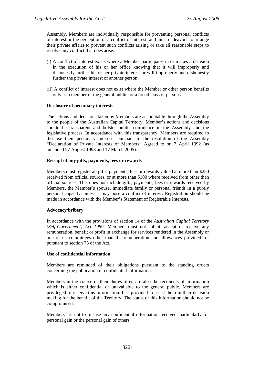Assembly, Members are individually responsible for preventing personal conflicts of interest or the perception of a conflict of interest, and must endeavour to arrange their private affairs to prevent such conflicts arising or take all reasonable steps to resolve any conflict that does arise.

- (i) A conflict of interest exists where a Member participates in or makes a decision in the execution of his or her office knowing that it will improperly and dishonestly further his or her private interest or will improperly and dishonestly further the private interest of another person.
- (ii) A conflict of interest does not exist where the Member or other person benefits only as a member of the general public, or a broad class of persons.

#### **Disclosure of pecuniary interests**

The actions and decisions taken by Members are accountable through the Assembly to the people of the Australian Capital Territory. Member's actions and decisions should be transparent and bolster public confidence in the Assembly and the legislative process. In accordance with this transparency, Members are required to disclose their pecuniary interests pursuant to the resolution of the Assembly "Declaration of Private Interests of Members" Agreed to on 7 April 1992 (as amended 27 August 1998 and 17 March 2005).

#### **Receipt of any gifts, payments, fees or rewards**

Members must register all gifts, payments, fees or rewards valued at more than \$250 received from official sources, or at more than \$100 where received from other than official sources. This does not include gifts, payments, fees or rewards received by Members, the Member's spouse, immediate family or personal friends in a purely personal capacity, unless it may pose a conflict of interest. Registration should be made in accordance with the Member's Statement of Registrable Interests.

#### **Advocacy/bribery**

In accordance with the provisions of section 14 of the *Australian Capital Territory (Self-Government) Act 1989*, Members must not solicit, accept or receive any remuneration, benefit or profit in exchange for services rendered in the Assembly or one of its committees other than the remuneration and allowances provided for pursuant to section 73 of the Act.

#### **Use of confidential information**

Members are reminded of their obligations pursuant to the standing orders concerning the publication of confidential information.

Members in the course of their duties often are also the recipients of information which is either confidential or unavailable to the general public. Members are privileged to receive this information. It is provided to assist them in their decision making for the benefit of the Territory. The status of this information should not be compromised.

Members are not to misuse any confidential information received, particularly for personal gain or the personal gain of others.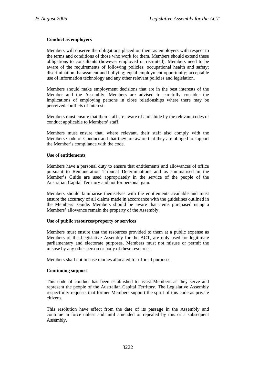#### **Conduct as employers**

Members will observe the obligations placed on them as employers with respect to the terms and conditions of those who work for them. Members should extend these obligations to consultants (however employed or recruited). Members need to be aware of the requirements of following policies: occupational health and safety; discrimination, harassment and bullying; equal employment opportunity; acceptable use of information technology and any other relevant policies and legislation.

Members should make employment decisions that are in the best interests of the Member and the Assembly. Members are advised to carefully consider the implications of employing persons in close relationships where there may be perceived conflicts of interest.

Members must ensure that their staff are aware of and abide by the relevant codes of conduct applicable to Members' staff.

Members must ensure that, where relevant, their staff also comply with the Members Code of Conduct and that they are aware that they are obliged to support the Member's compliance with the code.

#### **Use of entitlements**

Members have a personal duty to ensure that entitlements and allowances of office pursuant to Remuneration Tribunal Determinations and as summarised in the Member's Guide are used appropriately in the service of the people of the Australian Capital Territory and not for personal gain.

Members should familiarise themselves with the entitlements available and must ensure the accuracy of all claims made in accordance with the guidelines outlined in the Members' Guide. Members should be aware that items purchased using a Members' allowance remain the property of the Assembly.

#### **Use of public resources/property or services**

Members must ensure that the resources provided to them at a public expense as Members of the Legislative Assembly for the ACT, are only used for legitimate parliamentary and electorate purposes. Members must not misuse or permit the misuse by any other person or body of these resources.

Members shall not misuse monies allocated for official purposes.

#### **Continuing support**

This code of conduct has been established to assist Members as they serve and represent the people of the Australian Capital Territory. The Legislative Assembly respectfully requests that former Members support the spirit of this code as private citizens.

This resolution have effect from the date of its passage in the Assembly and continue in force unless and until amended or repealed by this or a subsequent Assembly.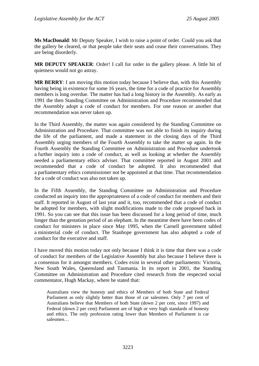**Ms MacDonald**: Mr Deputy Speaker, I wish to raise a point of order. Could you ask that the gallery be cleared, or that people take their seats and cease their conversations. They are being disorderly.

**MR DEPUTY SPEAKER**: Order! I call for order in the gallery please. A little bit of quietness would not go astray.

**MR BERRY**: I am moving this motion today because I believe that, with this Assembly having being in existence for some 16 years, the time for a code of practice for Assembly members is long overdue. The matter has had a long history in the Assembly. As early as 1991 the then Standing Committee on Administration and Procedure recommended that the Assembly adopt a code of conduct for members. For one reason or another that recommendation was never taken up.

In the Third Assembly, the matter was again considered by the Standing Committee on Administration and Procedure. That committee was not able to finish its inquiry during the life of the parliament, and made a statement in the closing days of the Third Assembly urging members of the Fourth Assembly to take the matter up again. In the Fourth Assembly the Standing Committee on Administration and Procedure undertook a further inquiry into a code of conduct, as well as looking at whether the Assembly needed a parliamentary ethics adviser. That committee reported in August 2001 and recommended that a code of conduct be adopted. It also recommended that a parliamentary ethics commissioner not be appointed at that time. That recommendation for a code of conduct was also not taken up.

In the Fifth Assembly, the Standing Committee on Administration and Procedure conducted an inquiry into the appropriateness of a code of conduct for members and their staff. It reported in August of last year and it, too, recommended that a code of conduct be adopted for members, with slight modifications made to the code proposed back in 1991. So you can see that this issue has been discussed for a long period of time, much longer than the gestation period of an elephant. In the meantime there have been codes of conduct for ministers in place since May 1995, when the Carnell government tabled a ministerial code of conduct. The Stanhope government has also adopted a code of conduct for the executive and staff.

I have moved this motion today not only because I think it is time that there was a code of conduct for members of the Legislative Assembly but also because I believe there is a consensus for it amongst members. Codes exist in several other parliaments: Victoria, New South Wales, Queensland and Tasmania. In its report in 2001, the Standing Committee on Administration and Procedure cited research from the respected social commentator, Hugh Mackay, where he stated that:

Australians view the honesty and ethics of Members of both State and Federal Parliament as only slightly better than those of car salesmen. Only 7 per cent of Australians believe that Members of both State (down 2 per cent, since 1997) and Federal (down 2 per cent) Parliament are of high or very high standards of honesty and ethics. The only profession rating lower than Members of Parliament is car salesmen…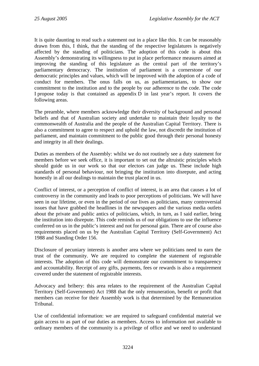It is quite daunting to read such a statement out in a place like this. It can be reasonably drawn from this, I think, that the standing of the respective legislatures is negatively affected by the standing of politicians. The adoption of this code is about this Assembly's demonstrating its willingness to put in place performance measures aimed at improving the standing of this legislature as the central part of the territory's parliamentary democracy. The institution of parliament is a cornerstone of our democratic principles and values, which will be improved with the adoption of a code of conduct for members. The onus falls on us, as parliamentarians, to show our commitment to the institution and to the people by our adherence to the code. The code I propose today is that contained as appendix D in last year's report. It covers the following areas.

The preamble, where members acknowledge their diversity of background and personal beliefs and that of Australian society and undertake to maintain their loyalty to the commonwealth of Australia and the people of the Australian Capital Territory. There is also a commitment to agree to respect and uphold the law, not discredit the institution of parliament, and maintain commitment to the public good through their personal honesty and integrity in all their dealings.

Duties as members of the Assembly: whilst we do not routinely see a duty statement for members before we seek office, it is important to set out the altruistic principles which should guide us in our work so that our electors can judge us. These include high standards of personal behaviour, not bringing the institution into disrepute, and acting honestly in all our dealings to maintain the trust placed in us.

Conflict of interest, or a perception of conflict of interest, is an area that causes a lot of controversy in the community and leads to poor perceptions of politicians. We will have seen in our lifetime, or even in the period of our lives as politicians, many controversial issues that have grabbed the headlines in the newspapers and the various media outlets about the private and public antics of politicians, which, in turn, as I said earlier, bring the institution into disrepute. This code reminds us of our obligations to use the influence conferred on us in the public's interest and not for personal gain. There are of course also requirements placed on us by the Australian Capital Territory (Self-Government) Act 1988 and Standing Order 156.

Disclosure of pecuniary interests is another area where we politicians need to earn the trust of the community. We are required to complete the statement of registrable interests. The adoption of this code will demonstrate our commitment to transparency and accountability. Receipt of any gifts, payments, fees or rewards is also a requirement covered under the statement of registrable interests.

Advocacy and bribery: this area relates to the requirement of the Australian Capital Territory (Self-Government) Act 1988 that the only remuneration, benefit or profit that members can receive for their Assembly work is that determined by the Remuneration Tribunal.

Use of confidential information: we are required to safeguard confidential material we gain access to as part of our duties as members. Access to information not available to ordinary members of the community is a privilege of office and we need to understand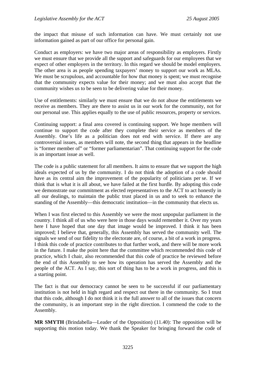the impact that misuse of such information can have. We must certainly not use information gained as part of our office for personal gain.

Conduct as employers: we have two major areas of responsibility as employers. Firstly we must ensure that we provide all the support and safeguards for our employees that we expect of other employers in the territory. In this regard we should be model employers. The other area is as people spending taxpayers' money to support our work as MLAs. We must be scrupulous, and accountable for how that money is spent; we must recognise that the community expects value for their money; and we must also accept that the community wishes us to be seen to be delivering value for their money.

Use of entitlements: similarly we must ensure that we do not abuse the entitlements we receive as members. They are there to assist us in our work for the community, not for our personal use. This applies equally to the use of public resources, property or services.

Continuing support: a final area covered is continuing support. We hope members will continue to support the code after they complete their service as members of the Assembly. One's life as a politician does not end with service. If there are any controversial issues, as members will note, the second thing that appears in the headline is "former member of" or "former parliamentarian". That continuing support for the code is an important issue as well.

The code is a public statement for all members. It aims to ensure that we support the high ideals expected of us by the community. I do not think the adoption of a code should have as its central aim the improvement of the popularity of politicians per se. If we think that is what it is all about, we have failed at the first hurdle. By adopting this code we demonstrate our commitment as elected representatives to the ACT to act honestly in all our dealings, to maintain the public trust placed in us and to seek to enhance the standing of the Assembly—this democratic institution—in the community that elects us.

When I was first elected to this Assembly we were the most unpopular parliament in the country. I think all of us who were here in those days would remember it. Over my years here I have hoped that one day that image would be improved. I think it has been improved; I believe that, generally, this Assembly has served the community well. The signals we send of our fidelity to the electorate are, of course, a bit of a work in progress. I think this code of practice contributes to that further work, and there will be more work in the future. I make the point here that the committee which recommended this code of practice, which I chair, also recommended that this code of practice be reviewed before the end of this Assembly to see how its operation has served the Assembly and the people of the ACT. As I say, this sort of thing has to be a work in progress, and this is a starting point.

The fact is that our democracy cannot be seen to be successful if our parliamentary institution is not held in high regard and respect out there in the community. So I trust that this code, although I do not think it is the full answer to all of the issues that concern the community, is an important step in the right direction. I commend the code to the Assembly.

**MR SMYTH** (Brindabella—Leader of the Opposition) (11.40): The opposition will be supporting this motion today. We thank the Speaker for bringing forward the code of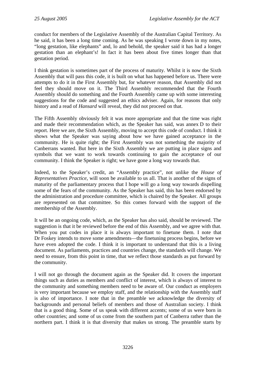conduct for members of the Legislative Assembly of the Australian Capital Territory. As he said, it has been a long time coming. As he was speaking I wrote down in my notes, "long gestation, like elephants" and, lo and behold, the speaker said it has had a longer gestation than an elephant's! In fact it has been about five times longer than that gestation period.

I think gestation is sometimes part of the process of maturity. Whilst it is now the Sixth Assembly that will pass this code, it is built on what has happened before us. There were attempts to do it in the First Assembly but, for whatever reason, that Assembly did not feel they should move on it. The Third Assembly recommended that the Fourth Assembly should do something and the Fourth Assembly came up with some interesting suggestions for the code and suggested an ethics adviser. Again, for reasons that only history and a read of *Hansard* will reveal, they did not proceed on that.

The Fifth Assembly obviously felt it was more appropriate and that the time was right and made their recommendation which, as the Speaker has said, was annex D to their report. Here we are, the Sixth Assembly, moving to accept this code of conduct. I think it shows what the Speaker was saying about how we have gained acceptance in the community. He is quite right; the First Assembly was not something the majority of Canberrans wanted. But here in the Sixth Assembly we are putting in place signs and symbols that we want to work towards continuing to gain the acceptance of our community. I think the Speaker is right; we have gone a long way towards that.

Indeed, to the Speaker's credit, an "Assembly practice", not unlike the *House of Representatives Practice*, will soon be available to us all. That is another of the signs of maturity of the parliamentary process that I hope will go a long way towards dispelling some of the fears of the community. As the Speaker has said, this has been endorsed by the administration and procedure committee, which is chaired by the Speaker. All groups are represented on that committee. So this comes forward with the support of the membership of the Assembly.

It will be an ongoing code, which, as the Speaker has also said, should be reviewed. The suggestion is that it be reviewed before the end of this Assembly, and we agree with that. When you put codes in place it is always important to finetune them. I note that Dr Foskey intends to move some amendments—the finetuning process begins, before we have even adopted the code. I think it is important to understand that this is a living document. As parliaments, practices and countries change, the standards will change. We need to ensure, from this point in time, that we reflect those standards as put forward by the community.

I will not go through the document again as the Speaker did. It covers the important things such as duties as members and conflict of interest, which is always of interest to the community and something members need to be aware of. Our conduct as employers is very important because we employ staff, and the relationship with the Assembly staff is also of importance. I note that in the preamble we acknowledge the diversity of backgrounds and personal beliefs of members and those of Australian society. I think that is a good thing. Some of us speak with different accents; some of us were born in other countries; and some of us come from the southern part of Canberra rather than the northern part. I think it is that diversity that makes us strong. The preamble starts by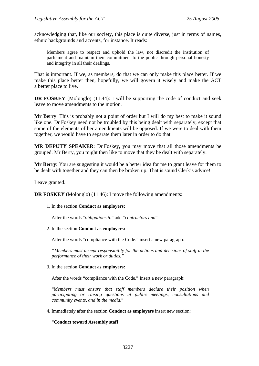acknowledging that, like our society, this place is quite diverse, just in terms of names, ethnic backgrounds and accents, for instance. It reads:

Members agree to respect and uphold the law, not discredit the institution of parliament and maintain their commitment to the public through personal honesty and integrity in all their dealings.

That is important. If we, as members, do that we can only make this place better. If we make this place better then, hopefully, we will govern it wisely and make the ACT a better place to live.

**DR FOSKEY** (Molonglo) (11.44): I will be supporting the code of conduct and seek leave to move amendments to the motion.

**Mr Berry**: This is probably not a point of order but I will do my best to make it sound like one. Dr Foskey need not be troubled by this being dealt with separately, except that some of the elements of her amendments will be opposed. If we were to deal with them together, we would have to separate them later in order to do that.

**MR DEPUTY SPEAKER**: Dr Foskey, you may move that all those amendments be grouped. Mr Berry, you might then like to move that they be dealt with separately.

**Mr Berry**: You are suggesting it would be a better idea for me to grant leave for them to be dealt with together and they can then be broken up. That is sound Clerk's advice!

Leave granted.

**DR FOSKEY** (Molonglo) (11.46): I move the following amendments:

1. In the section **Conduct as employers:**

After the words "*obligations to*" add "*contractors and*"

2. In the section **Conduct as employers:**

After the words "compliance with the Code." insert a new paragraph:

*"Members must accept responsibility for the actions and decisions of staff in the performance of their work or duties."* 

3. In the section **Conduct as employers:**

After the words "compliance with the Code." Insert a new paragraph:

"*Members must ensure that staff members declare their position when participating or raising questions at public meetings, consultations and community events, and in the media.*"

4. Immediately after the section **Conduct as employers** insert new section:

"**Conduct toward Assembly staff**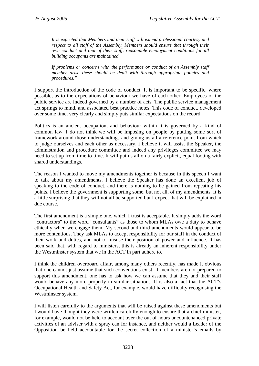*It is expected that Members and their staff will extend professional courtesy and respect to all staff of the Assembly. Members should ensure that through their own conduct and that of their staff, reasonable employment conditions for all building occupants are maintained.* 

*If problems or concerns with the performance or conduct of an Assembly staff member arise these should be dealt with through appropriate policies and procedures."* 

I support the introduction of the code of conduct. It is important to be specific, where possible, as to the expectations of behaviour we have of each other. Employees of the public service are indeed governed by a number of acts. The public service management act springs to mind, and associated best practice notes. This code of conduct, developed over some time, very clearly and simply puts similar expectations on the record.

Politics is an ancient occupation, and behaviour within it is governed by a kind of common law. I do not think we will be imposing on people by putting some sort of framework around those understandings and giving us all a reference point from which to judge ourselves and each other as necessary. I believe it will assist the Speaker, the administration and procedure committee and indeed any privileges committee we may need to set up from time to time. It will put us all on a fairly explicit, equal footing with shared understandings.

The reason I wanted to move my amendments together is because in this speech I want to talk about my amendments. I believe the Speaker has done an excellent job of speaking to the code of conduct, and there is nothing to be gained from repeating his points. I believe the government is supporting some, but not all, of my amendments. It is a little surprising that they will not all be supported but I expect that will be explained in due course.

The first amendment is a simple one, which I trust is acceptable. It simply adds the word "contractors" to the word "consultants" as those to whom MLAs owe a duty to behave ethically when we engage them. My second and third amendments would appear to be more contentious. They ask MLAs to accept responsibility for our staff in the conduct of their work and duties, and not to misuse their position of power and influence. It has been said that, with regard to ministers, this is already an inherent responsibility under the Westminster system that we in the ACT in part adhere to.

I think the children overboard affair, among many others recently, has made it obvious that one cannot just assume that such conventions exist. If members are not prepared to support this amendment, one has to ask how we can assume that they and their staff would behave any more properly in similar situations. It is also a fact that the ACT's Occupational Health and Safety Act, for example, would have difficulty recognising the Westminster system.

I will listen carefully to the arguments that will be raised against these amendments but I would have thought they were written carefully enough to ensure that a chief minister, for example, would not be held to account over the out of hours uncountenanced private activities of an adviser with a spray can for instance, and neither would a Leader of the Opposition be held accountable for the secret collection of a minister's emails by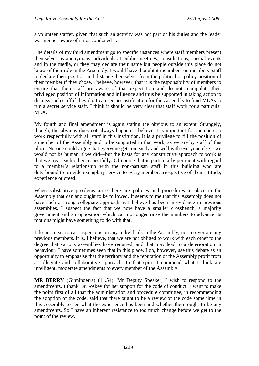a volunteer staffer, given that such an activity was not part of his duties and the leader was neither aware of it nor condoned it.

The details of my third amendment go to specific instances where staff members present themselves as anonymous individuals at public meetings, consultations, special events and in the media, or they may declare their name but people outside this place do not know of their role in the Assembly. I would have thought it incumbent on members' staff to declare their position and distance themselves from the political or policy position of their member if they chose. I believe, however, that it is the responsibility of members to ensure that their staff are aware of that expectation and do not manipulate their privileged position of information and influence and thus be supported in taking action to dismiss such staff if they do. I can see no justification for the Assembly to fund MLAs to run a secret service staff. I think it should be very clear that staff work for a particular MLA.

My fourth and final amendment is again stating the obvious to an extent. Strangely, though, the obvious does not always happen. I believe it is important for members to work respectfully with all staff in this institution. It is a privilege to fill the position of a member of the Assembly and to be supported in that work, as we are by staff of this place. No-one could argue that everyone gets on easily and well with everyone else—we would not be human if we did—but the basis for any constructive approach to work is that we treat each other respectfully. Of course that is particularly pertinent with regard to a member's relationship with the non-partisan staff in this building who are duty-bound to provide exemplary service to every member, irrespective of their attitude, experience or creed.

When substantive problems arise there are policies and procedures in place in the Assembly that can and ought to be followed. It seems to me that this Assembly does not have such a strong collegiate approach as I believe has been in evidence in previous assemblies. I suspect the fact that we now have a smaller crossbench, a majority government and an opposition which can no longer raise the numbers to advance its motions might have something to do with that.

I do not mean to cast aspersions on any individuals in the Assembly, nor to overrate any previous members. It is, I believe, that we are not obliged to work with each other to the degree that various assemblies have required, and that may lead to a deterioration in behaviour. I have sometimes seen that in this place. I do, however, use this debate as an opportunity to emphasise that the territory and the reputation of the Assembly profit from a collegiate and collaborative approach. In that spirit I commend what I think are intelligent, moderate amendments to every member of the Assembly.

**MR BERRY** (Ginninderra) (11.54): Mr Deputy Speaker, I wish to respond to the amendments. I thank Dr Foskey for her support for the code of conduct. I want to make the point first of all that the administration and procedure committee, in recommending the adoption of the code, said that there ought to be a review of the code some time in this Assembly to see what the experience has been and whether there ought to be any amendments. So I have an inherent resistance to too much change before we get to the point of the review.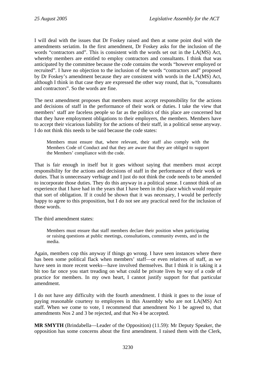I will deal with the issues that Dr Foskey raised and then at some point deal with the amendments seriatim. In the first amendment, Dr Foskey asks for the inclusion of the words "contractors and". This is consistent with the words set out in the LA(MS) Act, whereby members are entitled to employ contractors and consultants. I think that was anticipated by the committee because the code contains the words "however employed or recruited". I have no objection to the inclusion of the words "contractors and" proposed by Dr Foskey's amendment because they are consistent with words in the LA(MS) Act, although I think in that case they are expressed the other way round, that is, "consultants and contractors". So the words are fine.

The next amendment proposes that members must accept responsibility for the actions and decisions of staff in the performance of their work or duties. I take the view that members' staff are faceless people so far as the politics of this place are concerned but that they have employment obligations to their employers, the members. Members have to accept their vicarious liability for the actions of their staff, in a political sense anyway. I do not think this needs to be said because the code states:

Members must ensure that, where relevant, their staff also comply with the Members Code of Conduct and that they are aware that they are obliged to support the Members' compliance with the code.

That is fair enough in itself but it goes without saying that members must accept responsibility for the actions and decisions of staff in the performance of their work or duties. That is unnecessary verbiage and I just do not think the code needs to be amended to incorporate those duties. They do this anyway in a political sense. I cannot think of an experience that I have had in the years that I have been in this place which would require that sort of obligation. If it could be shown that it was necessary, I would be perfectly happy to agree to this proposition, but I do not see any practical need for the inclusion of those words.

The third amendment states:

Members must ensure that staff members declare their position when participating or raising questions at public meetings, consultations, community events, and in the media.

Again, members cop this anyway if things go wrong. I have seen instances where there has been some political flack when members' staff—or even relatives of staff, as we have seen in more recent weeks—have involved themselves. But I think it is taking it a bit too far once you start treading on what could be private lives by way of a code of practice for members. In my own heart, I cannot justify support for that particular amendment.

I do not have any difficulty with the fourth amendment. I think it goes to the issue of paying reasonable courtesy to employees in this Assembly who are not LA(MS) Act staff. When we come to vote, I recommend that amendment No 1 be agreed to, that amendments Nos 2 and 3 be rejected, and that No 4 be accepted.

**MR SMYTH** (Brindabella—Leader of the Opposition) (11.59): Mr Deputy Speaker, the opposition has some concerns about the first amendment. I raised them with the Clerk,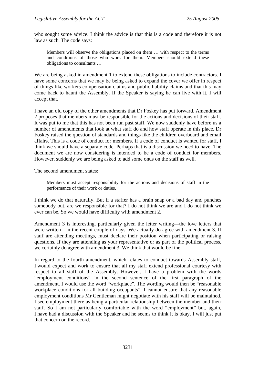who sought some advice. I think the advice is that this is a code and therefore it is not law as such. The code says:

Members will observe the obligations placed on them … with respect to the terms and conditions of those who work for them. Members should extend these obligations to consultants …

We are being asked in amendment 1 to extend these obligations to include contractors. I have some concerns that we may be being asked to expand the cover we offer in respect of things like workers compensation claims and public liability claims and that this may come back to haunt the Assembly. If the Speaker is saying he can live with it, I will accept that.

I have an old copy of the other amendments that Dr Foskey has put forward. Amendment 2 proposes that members must be responsible for the actions and decisions of their staff. It was put to me that this has not been run past staff. We now suddenly have before us a number of amendments that look at what staff do and how staff operate in this place. Dr Foskey raised the question of standards and things like the children overboard and email affairs. This is a code of conduct for members. If a code of conduct is wanted for staff, I think we should have a separate code. Perhaps that is a discussion we need to have. The document we are now considering is intended to be a code of conduct for members. However, suddenly we are being asked to add some onus on the staff as well.

The second amendment states:

Members must accept responsibility for the actions and decisions of staff in the performance of their work or duties.

I think we do that naturally. But if a staffer has a brain snap or a bad day and punches somebody out, are we responsible for that? I do not think we are and I do not think we ever can be. So we would have difficulty with amendment 2.

Amendment 3 is interesting, particularly given the letter writing—the love letters that were written—in the recent couple of days. We actually do agree with amendment 3. If staff are attending meetings, must declare their position when participating or raising questions. If they are attending as your representative or as part of the political process, we certainly do agree with amendment 3. We think that would be fine.

In regard to the fourth amendment, which relates to conduct towards Assembly staff, I would expect and work to ensure that all my staff extend professional courtesy with respect to all staff of the Assembly. However, I have a problem with the words "employment conditions" in the second sentence of the first paragraph of the amendment. I would use the word "workplace". The wording would then be "reasonable workplace conditions for all building occupants". I cannot ensure that any reasonable employment conditions Mr Gentleman might negotiate with his staff will be maintained. I see employment there as being a particular relationship between the member and their staff. So I am not particularly comfortable with the word "employment" but, again, I have had a discussion with the Speaker and he seems to think it is okay. I will just put that concern on the record.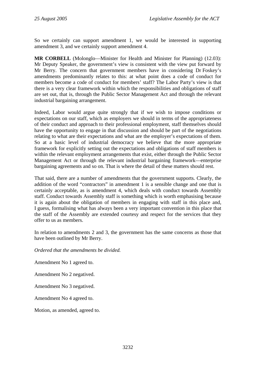So we certainly can support amendment 1, we would be interested in supporting amendment 3, and we certainly support amendment 4.

**MR CORBELL** (Molonglo—Minister for Health and Minister for Planning) (12.03): Mr Deputy Speaker, the government's view is consistent with the view put forward by Mr Berry. The concern that government members have in considering Dr Foskey's amendments predominantly relates to this: at what point does a code of conduct for members become a code of conduct for members' staff? The Labor Party's view is that there is a very clear framework within which the responsibilities and obligations of staff are set out, that is, through the Public Sector Management Act and through the relevant industrial bargaining arrangement.

Indeed, Labor would argue quite strongly that if we wish to impose conditions or expectations on our staff, which as employers we should in terms of the appropriateness of their conduct and approach to their professional employment, staff themselves should have the opportunity to engage in that discussion and should be part of the negotiations relating to what are their expectations and what are the employer's expectations of them. So at a basic level of industrial democracy we believe that the more appropriate framework for explicitly setting out the expectations and obligations of staff members is within the relevant employment arrangements that exist, either through the Public Sector Management Act or through the relevant industrial bargaining framework—enterprise bargaining agreements and so on. That is where the detail of these matters should rest.

That said, there are a number of amendments that the government supports. Clearly, the addition of the word "contractors" in amendment 1 is a sensible change and one that is certainly acceptable, as is amendment 4, which deals with conduct towards Assembly staff. Conduct towards Assembly staff is something which is worth emphasising because it is again about the obligation of members in engaging with staff in this place and, I guess, formalising what has always been a very important convention in this place that the staff of the Assembly are extended courtesy and respect for the services that they offer to us as members.

In relation to amendments 2 and 3, the government has the same concerns as those that have been outlined by Mr Berry.

*Ordered that the amendments be divided.*

Amendment No 1 agreed to.

Amendment No 2 negatived.

Amendment No 3 negatived.

Amendment No 4 agreed to.

Motion, as amended, agreed to.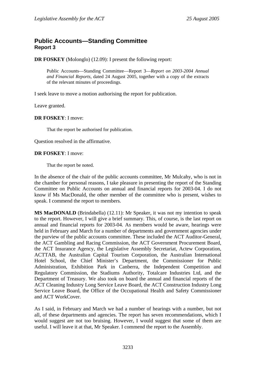## <span id="page-28-0"></span>**Public Accounts—Standing Committee Report 3**

**DR FOSKEY** (Molonglo) (12.09): I present the following report:

Public Accounts—Standing Committee—Report 3—*Report on 2003-2004 Annual and Financial Reports,* dated 24 August 2005, together with a copy of the extracts of the relevant minutes of proceedings.

I seek leave to move a motion authorising the report for publication.

Leave granted.

### **DR FOSKEY**: I move:

That the report be authorised for publication.

Question resolved in the affirmative.

### **DR FOSKEY**: I move:

That the report be noted.

In the absence of the chair of the public accounts committee, Mr Mulcahy, who is not in the chamber for personal reasons, I take pleasure in presenting the report of the Standing Committee on Public Accounts on annual and financial reports for 2003-04. I do not know if Ms MacDonald, the other member of the committee who is present, wishes to speak. I commend the report to members.

**MS MacDONALD** (Brindabella) (12.11): Mr Speaker, it was not my intention to speak to the report. However, I will give a brief summary. This, of course, is the last report on annual and financial reports for 2003-04. As members would be aware, hearings were held in February and March for a number of departments and government agencies under the purview of the public accounts committee. These included the ACT Auditor-General, the ACT Gambling and Racing Commission, the ACT Government Procurement Board, the ACT Insurance Agency, the Legislative Assembly Secretariat, Actew Corporation, ACTTAB, the Australian Capital Tourism Corporation, the Australian International Hotel School, the Chief Minister's Department, the Commissioner for Public Administration, Exhibition Park in Canberra, the Independent Competition and Regulatory Commission, the Stadiums Authority, Totalcare Industries Ltd, and the Department of Treasury. We also took on board the annual and financial reports of the ACT Cleaning Industry Long Service Leave Board, the ACT Construction Industry Long Service Leave Board, the Office of the Occupational Health and Safety Commissioner and ACT WorkCover.

As I said, in February and March we had a number of hearings with a number, but not all, of these departments and agencies. The report has seven recommendations, which I would suggest are not too bruising. However, I would suggest that some of them are useful. I will leave it at that, Mr Speaker. I commend the report to the Assembly.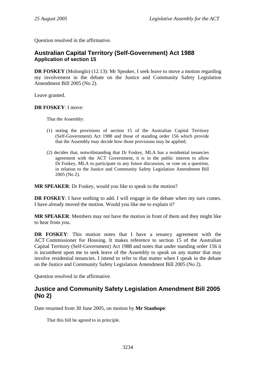<span id="page-29-0"></span>Question resolved in the affirmative.

## **Australian Capital Territory (Self-Government) Act 1988 Application of section 15**

**DR FOSKEY** (Molonglo) (12.13): Mr Speaker, I seek leave to move a motion regarding my involvement in the debate on the Justice and Community Safety Legislation Amendment Bill 2005 (No 2).

Leave granted.

**DR FOSKEY**: I move:

That the Assembly:

- (1) noting the provisions of section 15 of the Australian Capital Territory (Self-Government) Act 1988 and those of standing order 156 which provide that the Assembly may decide how those provisions may be applied;
- (2) decides that, notwithstanding that Dr Foskey, MLA has a residential tenancies agreement with the ACT Government, it is in the public interest to allow Dr Foskey, MLA to participate in any future discussion, or vote on a question, in relation to the Justice and Community Safety Legislation Amendment Bill 2005 (No 2).

**MR SPEAKER**: Dr Foskey, would you like to speak to the motion?

**DR FOSKEY:** I have nothing to add. I will engage in the debate when my turn comes. I have already moved the motion. Would you like me to explain it?

**MR SPEAKER**: Members may not have the motion in front of them and they might like to hear from you.

**DR FOSKEY**: This motion notes that I have a tenancy agreement with the ACT Commissioner for Housing. It makes reference to section 15 of the Australian Capital Territory (Self-Government) Act 1988 and notes that under standing order 156 it is incumbent upon me to seek leave of the Assembly to speak on any matter that may involve residential tenancies. I intend to refer to that matter when I speak in the debate on the Justice and Community Safety Legislation Amendment Bill 2005 (No 2).

Question resolved in the affirmative.

## **Justice and Community Safety Legislation Amendment Bill 2005 (No 2)**

Date resumed from 30 June 2005, on motion by **Mr Stanhope**:

That this bill be agreed to in principle.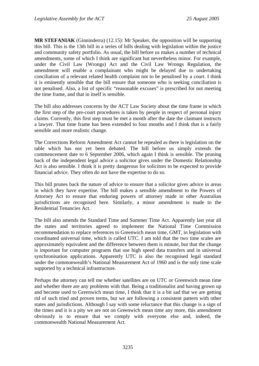**MR STEFANIAK** (Ginninderra) (12.15): Mr Speaker, the opposition will be supporting this bill. This is the 13th bill in a series of bills dealing with legislation within the justice and community safety portfolio. As usual, the bill before us makes a number of technical amendments, some of which I think are significant but nevertheless minor. For example, under the Civil Law (Wrongs) Act and the Civil Law Wrongs Regulation, the amendment will enable a complainant who might be delayed due to undertaking conciliation of a relevant related health complaint not to be penalised by a court. I think it is eminently sensible that the bill ensure that someone who is seeking conciliation is not penalised. Also, a list of specific "reasonable excuses" is prescribed for not meeting the time frame, and that in itself is sensible.

The bill also addresses concerns by the ACT Law Society about the time frame in which the first step of the pre-court procedures is taken by people in respect of personal injury claims. Currently, this first step must be met a month after the date the claimant instructs a lawyer. That time frame has been extended to four months and I think that is a fairly sensible and more realistic change.

The Corrections Reform Amendment Act cannot be repealed as there is legislation on the table which has not yet been debated. The bill before us simply extends the commencement date to 6 September 2006, which again I think is sensible. The pruning back of the independent legal advice a solicitor gives under the Domestic Relationship Act is also sensible. I think it is pretty dangerous for solicitors to be expected to provide financial advice. They often do not have the expertise to do so.

This bill prunes back the nature of advice to ensure that a solicitor gives advice in areas in which they have expertise. The bill makes a sensible amendment to the Powers of Attorney Act to ensure that enduring powers of attorney made in other Australian jurisdictions are recognised here. Similarly, a minor amendment is made to the Residential Tenancies Act.

The bill also amends the Standard Time and Summer Time Act. Apparently last year all the states and territories agreed to implement the National Time Commission recommendation to replace references to Greenwich mean time, GMT, in legislation with coordinated universal time, which is called UTC. I am told that the two time scales are approximately equivalent and the difference between them is minute, but that the change is important for computer programs that use high speed data transfers and in universal synchronisation applications. Apparently UTC is also the recognised legal standard under the commonwealth's National Measurement Act of 1960 and is the only time scale supported by a technical infrastructure.

Perhaps the attorney can tell me whether satellites are on UTC or Greenwich mean time and whether there are any problems with that. Being a traditionalist and having grown up and become used to Greenwich mean time, I think that it is a bit sad that we are getting rid of such tried and proven terms, but we are following a consistent pattern with other states and jurisdictions. Although I say with some reluctance that this change is a sign of the times and it is a pity we are not on Greenwich mean time any more, this amendment obviously is to ensure that we comply with everyone else and, indeed, the commonwealth National Measurement Act.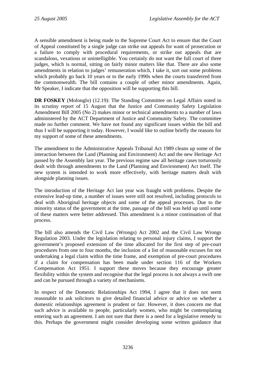A sensible amendment is being made to the Supreme Court Act to ensure that the Court of Appeal constituted by a single judge can strike out appeals for want of prosecution or a failure to comply with procedural requirements, or strike out appeals that are scandalous, vexatious or unintelligible. You certainly do not want the full court of three judges, which is normal, sitting on fairly minor matters like that. There are also some amendments in relation to judges' remuneration which, I take it, sort out some problems which probably go back 10 years or to the early 1990s when the courts transferred from the commonwealth. The bill contains a couple of other minor amendments. Again, Mr Speaker, I indicate that the opposition will be supporting this bill.

**DR FOSKEY** (Molonglo) (12.19): The Standing Committee on Legal Affairs noted in its scrutiny report of 15 August that the Justice and Community Safety Legislation Amendment Bill 2005 (No 2) makes minor or technical amendments to a number of laws administered by the ACT Department of Justice and Community Safety. The committee made no further comment. We have not found any significant issues within the bill and thus I will be supporting it today. However, I would like to outline briefly the reasons for my support of some of these amendments.

The amendment to the Administrative Appeals Tribunal Act 1989 cleans up some of the interaction between the Land (Planning and Environment) Act and the new Heritage Act passed by the Assembly last year. The previous regime saw all heritage cases torturously dealt with through amendments to the Land (Planning and Environment) Act itself. The new system is intended to work more effectively, with heritage matters dealt with alongside planning issues.

The introduction of the Heritage Act last year was fraught with problems. Despite the extensive lead-up time, a number of issues were still not resolved, including protocols to deal with Aboriginal heritage objects and some of the appeal processes. Due to the minority status of the government at the time, passage of the bill was held up until some of these matters were better addressed. This amendment is a minor continuation of that process.

The bill also amends the Civil Law (Wrongs) Act 2002 and the Civil Law Wrongs Regulation 2003. Under the legislation relating to personal injury claims, I support the government's proposed extension of the time allocated for the first step of pre-court procedures from one to four months, the inclusion of a list of reasonable excuses for not undertaking a legal claim within the time frame, and exemption of pre-court procedures if a claim for compensation has been made under section 116 of the Workers Compensation Act 1951. I support these moves because they encourage greater flexibility within the system and recognise that the legal process is not always a swift one and can be pursued through a variety of mechanisms.

In respect of the Domestic Relationships Act 1994, I agree that it does not seem reasonable to ask solicitors to give detailed financial advice or advice on whether a domestic relationships agreement is prudent or fair. However, it does concern me that such advice is available to people, particularly women, who might be contemplating entering such an agreement. I am not sure that there is a need for a legislative remedy to this. Perhaps the government might consider developing some written guidance that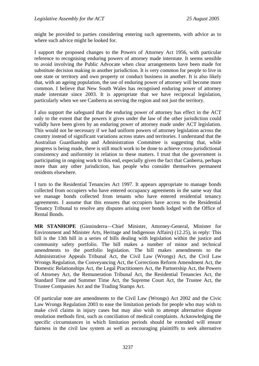might be provided to parties considering entering such agreements, with advice as to where such advice might be looked for.

I support the proposed changes to the Powers of Attorney Act 1956, with particular reference to recognising enduring powers of attorney made interstate. It seems sensible to avoid involving the Public Advocate when clear arrangements have been made for substitute decision making in another jurisdiction. It is very common for people to live in one state or territory and own property or conduct business in another. It is also likely that, with an ageing population, the use of enduring power of attorney will become more common. I believe that New South Wales has recognised enduring power of attorney made interstate since 2003. It is appropriate that we have reciprocal legislation, particularly when we see Canberra as serving the region and not just the territory.

I also support the safeguard that the enduring power of attorney has effect in the ACT only to the extent that the powers it gives under the law of the other jurisdiction could validly have been given by an enduring power of attorney made under ACT legislation. This would not be necessary if we had uniform powers of attorney legislation across the country instead of significant variations across states and territories. I understand that the Australian Guardianship and Administration Committee is suggesting that, while progress is being made, there is still much work to be done to achieve cross-jurisdictional consistency and uniformity in relation to these matters. I trust that the government is participating in ongoing work to this end, especially given the fact that Canberra, perhaps more than any other jurisdiction, has people who consider themselves permanent residents elsewhere.

I turn to the Residential Tenancies Act 1997. It appears appropriate to manage bonds collected from occupiers who have entered occupancy agreements in the same way that we manage bonds collected from tenants who have entered residential tenancy agreements. I assume that this ensures that occupiers have access to the Residential Tenancy Tribunal to resolve any disputes arising over bonds lodged with the Office of Rental Bonds.

**MR STANHOPE** (Ginninderra—Chief Minister, Attorney-General, Minister for Environment and Minister Arts, Heritage and Indigenous Affairs) (12.25), in reply: This bill is the 13th bill in a series of bills dealing with legislation within the justice and community safety portfolio. The bill makes a number of minor and technical amendments to the portfolio legislation. The bill makes amendments to the Administrative Appeals Tribunal Act, the Civil Law (Wrongs) Act, the Civil Law Wrongs Regulation, the Conveyancing Act, the Corrections Reform Amendment Act, the Domestic Relationships Act, the Legal Practitioners Act, the Partnership Act, the Powers of Attorney Act, the Remuneration Tribunal Act, the Residential Tenancies Act, the Standard Time and Summer Time Act, the Supreme Court Act, the Trustee Act, the Trustee Companies Act and the Trading Stamps Act.

Of particular note are amendments to the Civil Law (Wrongs) Act 2002 and the Civic Law Wrongs Regulation 2003 to ease the limitation periods for people who may wish to make civil claims in injury cases but may also wish to attempt alternative dispute resolution methods first, such as conciliation of medical complaints. Acknowledging the specific circumstances in which limitation periods should be extended will ensure fairness in the civil law system as well as encouraging plaintiffs to seek alternative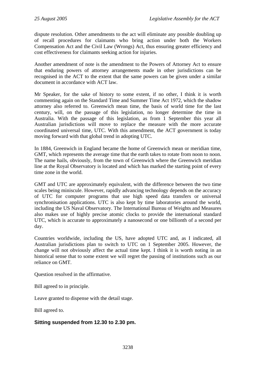dispute resolution. Other amendments to the act will eliminate any possible doubling up of recall procedures for claimants who bring action under both the Workers Compensation Act and the Civil Law (Wrongs) Act, thus ensuring greater efficiency and cost effectiveness for claimants seeking action for injuries.

Another amendment of note is the amendment to the Powers of Attorney Act to ensure that enduring powers of attorney arrangements made in other jurisdictions can be recognised in the ACT to the extent that the same powers can be given under a similar document in accordance with ACT law.

Mr Speaker, for the sake of history to some extent, if no other, I think it is worth commenting again on the Standard Time and Summer Time Act 1972, which the shadow attorney also referred to. Greenwich mean time, the basis of world time for the last century, will, on the passage of this legislation, no longer determine the time in Australia. With the passage of this legislation, as from 1 September this year all Australian jurisdictions will move to replace the measure with the more accurate coordinated universal time, UTC. With this amendment, the ACT government is today moving forward with that global trend in adopting UTC.

In 1884, Greenwich in England became the home of Greenwich mean or meridian time, GMT, which represents the average time that the earth takes to rotate from noon to noon. The name hails, obviously, from the town of Greenwich where the Greenwich meridian line at the Royal Observatory is located and which has marked the starting point of every time zone in the world.

GMT and UTC are approximately equivalent, with the difference between the two time scales being miniscule. However, rapidly advancing technology depends on the accuracy of UTC for computer programs that use high speed data transfers or universal synchronisation applications. UTC is also kept by time laboratories around the world, including the US Naval Observatory. The International Bureau of Weights and Measures also makes use of highly precise atomic clocks to provide the international standard UTC, which is accurate to approximately a nanosecond or one billionth of a second per day.

Countries worldwide, including the US, have adopted UTC and, as I indicated, all Australian jurisdictions plan to switch to UTC on 1 September 2005. However, the change will not obviously affect the actual time kept. I think it is worth noting in an historical sense that to some extent we will regret the passing of institutions such as our reliance on GMT.

Question resolved in the affirmative.

Bill agreed to in principle.

Leave granted to dispense with the detail stage.

Bill agreed to.

### **Sitting suspended from 12.30 to 2.30 pm.**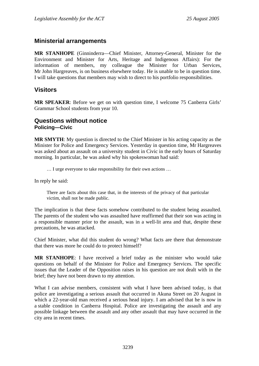## <span id="page-34-0"></span>**Ministerial arrangements**

**MR STANHOPE** (Ginninderra—Chief Minister, Attorney-General, Minister for the Environment and Minister for Arts, Heritage and Indigenous Affairs): For the information of members, my colleague the Minister for Urban Services, Mr John Hargreaves, is on business elsewhere today. He is unable to be in question time. I will take questions that members may wish to direct to his portfolio responsibilities.

## **Visitors**

**MR SPEAKER**: Before we get on with question time, I welcome 75 Canberra Girls' Grammar School students from year 10.

### **Questions without notice Policing—Civic**

**MR SMYTH**: My question is directed to the Chief Minister in his acting capacity as the Minister for Police and Emergency Services. Yesterday in question time, Mr Hargreaves was asked about an assault on a university student in Civic in the early hours of Saturday morning. In particular, he was asked why his spokeswoman had said:

… I urge everyone to take responsibility for their own actions …

In reply he said:

There are facts about this case that, in the interests of the privacy of that particular victim, shall not be made public.

The implication is that these facts somehow contributed to the student being assaulted. The parents of the student who was assaulted have reaffirmed that their son was acting in a responsible manner prior to the assault, was in a well-lit area and that, despite these precautions, he was attacked.

Chief Minister, what did this student do wrong? What facts are there that demonstrate that there was more he could do to protect himself?

**MR STANHOPE**: I have received a brief today as the minister who would take questions on behalf of the Minister for Police and Emergency Services. The specific issues that the Leader of the Opposition raises in his question are not dealt with in the brief; they have not been drawn to my attention.

What I can advise members, consistent with what I have been advised today, is that police are investigating a serious assault that occurred in Akuna Street on 20 August in which a 22-year-old man received a serious head injury. I am advised that he is now in a stable condition in Canberra Hospital. Police are investigating the assault and any possible linkage between the assault and any other assault that may have occurred in the city area in recent times.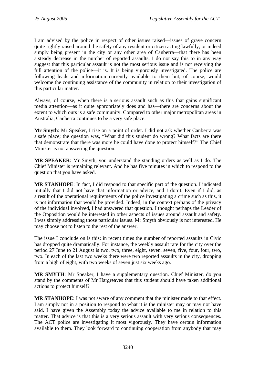I am advised by the police in respect of other issues raised—issues of grave concern quite rightly raised around the safety of any resident or citizen acting lawfully, or indeed simply being present in the city or any other area of Canberra—that there has been a steady decrease in the number of reported assaults. I do not say this to in any way suggest that this particular assault is not the most serious issue and is not receiving the full attention of the police—it is. It is being vigorously investigated. The police are following leads and information currently available to them but, of course, would welcome the continuing assistance of the community in relation to their investigation of this particular matter.

Always, of course, when there is a serious assault such as this that gains significant media attention—as it quite appropriately does and has—there are concerns about the extent to which ours is a safe community. Compared to other major metropolitan areas in Australia, Canberra continues to be a very safe place.

**Mr Smyth**: Mr Speaker, I rise on a point of order. I did not ask whether Canberra was a safe place; the question was, "What did this student do wrong? What facts are there that demonstrate that there was more he could have done to protect himself?" The Chief Minister is not answering the question.

**MR SPEAKER**: Mr Smyth, you understand the standing orders as well as I do. The Chief Minister is remaining relevant. And he has five minutes in which to respond to the question that you have asked.

**MR STANHOPE**: In fact, I did respond to that specific part of the question. I indicated initially that I did not have that information or advice, and I don't. Even if I did, as a result of the operational requirements of the police investigating a crime such as this, it is not information that would be provided. Indeed, in the context perhaps of the privacy of the individual involved, I had answered that question. I thought perhaps the Leader of the Opposition would be interested in other aspects of issues around assault and safety. I was simply addressing those particular issues. Mr Smyth obviously is not interested. He may choose not to listen to the rest of the answer.

The issue I conclude on is this: in recent times the number of reported assaults in Civic has dropped quite dramatically. For instance, the weekly assault rate for the city over the period 27 June to 21 August is two, two, three, eight, seven, seven, five, four, four, two, two. In each of the last two weeks there were two reported assaults in the city, dropping from a high of eight, with two weeks of seven just six weeks ago.

**MR SMYTH**: Mr Speaker, I have a supplementary question. Chief Minister, do you stand by the comments of Mr Hargreaves that this student should have taken additional actions to protect himself?

**MR STANHOPE**: I was not aware of any comment that the minister made to that effect. I am simply not in a position to respond to what it is the minister may or may not have said. I have given the Assembly today the advice available to me in relation to this matter. That advice is that this is a very serious assault with very serious consequences. The ACT police are investigating it most vigorously. They have certain information available to them. They look forward to continuing cooperation from anybody that may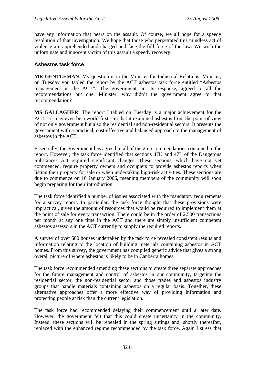have any information that bears on the assault. Of course, we all hope for a speedy resolution of that investigation. We hope that those who perpetrated this mindless act of violence are apprehended and charged and face the full force of the law. We wish the unfortunate and innocent victim of this assault a speedy recovery.

#### **Asbestos task force**

**MR GENTLEMAN:** My question is to the Minister for Industrial Relations. Minister, on Tuesday you tabled the report by the ACT asbestos task force entitled "Asbestos management in the ACT". The government, in its response, agreed to all the recommendations but one. Minister, why didn't the government agree to that recommendation?

**MS GALLAGHER**: The report I tabled on Tuesday is a major achievement for the ACT—it may even be a world first—in that it examined asbestos from the point of view of not only government but also the residential and non-residential sectors. It presents the government with a practical, cost-effective and balanced approach to the management of asbestos in the ACT.

Essentially, the government has agreed to all of the 25 recommendations contained in the report. However, the task force identified that sections 47K and 47L of the Dangerous Substances Act required significant changes. These sections, which have not yet commenced, require property owners and occupiers to provide asbestos reports when listing their property for sale or when undertaking high-risk activities. These sections are due to commence on 16 January 2006, meaning members of the community will soon begin preparing for their introduction.

The task force identified a number of issues associated with the mandatory requirements for a survey report. In particular, the task force thought that these provisions were impractical, given the amount of resources that would be required to implement them at the point of sale for every transaction. There could be in the order of 2,500 transactions per month at any one time in the ACT and there are simply insufficient competent asbestos assessors in the ACT currently to supply the required reports.

A survey of over 600 houses undertaken by the task force revealed consistent results and information relating to the location of building materials containing asbestos in ACT homes. From this survey, the government has compiled generic advice that gives a strong overall picture of where asbestos is likely to be in Canberra homes.

The task force recommended amending these sections to create three separate approaches for the future management and control of asbestos in our community, targeting the residential sector, the non-residential sector and those trades and asbestos industry groups that handle materials containing asbestos on a regular basis. Together, these alternative approaches offer a more effective way of providing information and protecting people at risk than the current legislation.

The task force had recommended delaying their commencement until a later date. However, the government felt that this could create uncertainty in the community. Instead, these sections will be repealed in the spring sittings and, shortly thereafter, replaced with the enhanced regime recommended by the task force. Again I stress that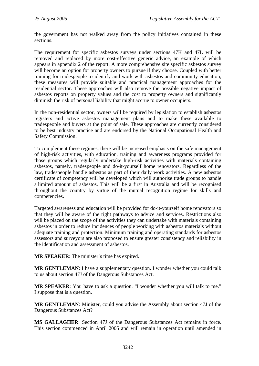the government has not walked away from the policy initiatives contained in these sections.

The requirement for specific asbestos surveys under sections 47K and 47L will be removed and replaced by more cost-effective generic advice, an example of which appears in appendix 2 of the report. A more comprehensive site specific asbestos survey will become an option for property owners to pursue if they choose. Coupled with better training for tradespeople to identify and work with asbestos and community education, these measures will provide suitable and practical management approaches for the residential sector. These approaches will also remove the possible negative impact of asbestos reports on property values and the cost to property owners and significantly diminish the risk of personal liability that might accrue to owner occupiers.

In the non-residential sector, owners will be required by legislation to establish asbestos registers and active asbestos management plans and to make these available to tradespeople and buyers at the point of sale. These approaches are currently considered to be best industry practice and are endorsed by the National Occupational Health and Safety Commission.

To complement these regimes, there will be increased emphasis on the safe management of high-risk activities, with education, training and awareness programs provided for those groups which regularly undertake high-risk activities with materials containing asbestos, namely, tradespeople and do-it-yourself home renovators. Regardless of the law, tradespeople handle asbestos as part of their daily work activities. A new asbestos certificate of competency will be developed which will authorise trade groups to handle a limited amount of asbestos. This will be a first in Australia and will be recognised throughout the country by virtue of the mutual recognition regime for skills and competencies.

Targeted awareness and education will be provided for do-it-yourself home renovators so that they will be aware of the right pathways to advice and services. Restrictions also will be placed on the scope of the activities they can undertake with materials containing asbestos in order to reduce incidences of people working with asbestos materials without adequate training and protection. Minimum training and operating standards for asbestos assessors and surveyors are also proposed to ensure greater consistency and reliability in the identification and assessment of asbestos.

**MR SPEAKER**: The minister's time has expired.

**MR GENTLEMAN**: I have a supplementary question. I wonder whether you could talk to us about section 47J of the Dangerous Substances Act.

**MR SPEAKER**: You have to ask a question. "I wonder whether you will talk to me." I suppose that is a question.

**MR GENTLEMAN**: Minister, could you advise the Assembly about section 47J of the Dangerous Substances Act?

**MS GALLAGHER**: Section 47J of the Dangerous Substances Act remains in force. This section commenced in April 2005 and will remain in operation until amended in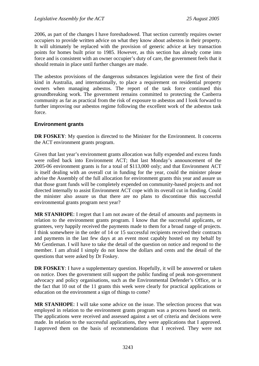2006, as part of the changes I have foreshadowed. That section currently requires owner occupiers to provide written advice on what they know about asbestos in their property. It will ultimately be replaced with the provision of generic advice at key transaction points for homes built prior to 1985. However, as this section has already come into force and is consistent with an owner occupier's duty of care, the government feels that it should remain in place until further changes are made.

The asbestos provisions of the dangerous substances legislation were the first of their kind in Australia, and internationally, to place a requirement on residential property owners when managing asbestos. The report of the task force continued this groundbreaking work. The government remains committed to protecting the Canberra community as far as practical from the risk of exposure to asbestos and I look forward to further improving our asbestos regime following the excellent work of the asbestos task force.

### **Environment grants**

**DR FOSKEY:** My question is directed to the Minister for the Environment. It concerns the ACT environment grants program.

Given that last year's environment grants allocation was fully expended and excess funds were rolled back into Environment ACT; that last Monday's announcement of the 2005-06 environment grants is for a total of \$113,000 only; and that Environment ACT is itself dealing with an overall cut in funding for the year, could the minister please advise the Assembly of the full allocation for environment grants this year and assure us that those grant funds will be completely expended on community-based projects and not directed internally to assist Environment ACT cope with its overall cut in funding. Could the minister also assure us that there are no plans to discontinue this successful environmental grants program next year?

**MR STANHOPE**: I regret that I am not aware of the detail of amounts and payments in relation to the environment grants program. I know that the successful applicants, or grantees, very happily received the payments made to them for a broad range of projects. I think somewhere in the order of 14 or 15 successful recipients received their contracts and payments in the last few days at an event most capably hosted on my behalf by Mr Gentleman. I will have to take the detail of the question on notice and respond to the member. I am afraid I simply do not know the dollars and cents and the detail of the questions that were asked by Dr Foskey.

**DR FOSKEY**: I have a supplementary question. Hopefully, it will be answered or taken on notice. Does the government still support the public funding of peak non-government advocacy and policy organisations, such as the Environmental Defender's Office, or is the fact that 10 out of the 11 grants this week were clearly for practical applications or education on the environment a sign of things to come?

**MR STANHOPE**: I will take some advice on the issue. The selection process that was employed in relation to the environment grants program was a process based on merit. The applications were received and assessed against a set of criteria and decisions were made. In relation to the successful applications, they were applications that I approved. I approved them on the basis of recommendations that I received. They were not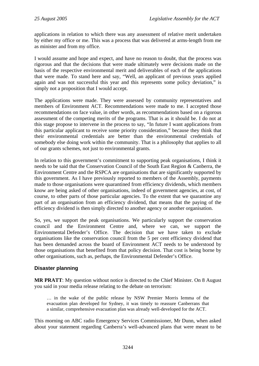applications in relation to which there was any assessment of relative merit undertaken by either my office or me. This was a process that was delivered at arms-length from me as minister and from my office.

I would assume and hope and expect, and have no reason to doubt, that the process was rigorous and that the decisions that were made ultimately were decisions made on the basis of the respective environmental merit and deliverables of each of the applications that were made. To stand here and say, "Well, an applicant of previous years applied again and was not successful this year and this represents some policy deviation," is simply not a proposition that I would accept.

The applications were made. They were assessed by community representatives and members of Environment ACT. Recommendations were made to me. I accepted those recommendations on face value, in other words, as recommendations based on a rigorous assessment of the competing merits of the programs. That is as it should be. I do not at this stage propose to intervene in the process to say, "In future I want applications from this particular applicant to receive some priority consideration," because they think that their environmental credentials are better than the environmental credentials of somebody else doing work within the community. That is a philosophy that applies to all of our grants schemes, not just to environmental grants.

In relation to this government's commitment to supporting peak organisations, I think it needs to be said that the Conservation Council of the South East Region & Canberra, the Environment Centre and the RSPCA are organisations that are significantly supported by this government. As I have previously reported to members of the Assembly, payments made to those organisations were quarantined from efficiency dividends, which members know are being asked of other organisations, indeed of government agencies, at cost, of course, to other parts of those particular agencies. To the extent that we quarantine any part of an organisation from an efficiency dividend, that means that the paying of the efficiency dividend is then simply directed to another agency or another organisation.

So, yes, we support the peak organisations. We particularly support the conservation council and the Environment Centre and, where we can, we support the Environmental Defender's Office. The decision that we have taken to exclude organisations like the conservation council from the 5 per cent efficiency dividend that has been demanded across the board of Environment ACT needs to be understood by those organisations that benefited from that policy decision. That cost is being borne by other organisations, such as, perhaps, the Environmental Defender's Office.

### **Disaster planning**

**MR PRATT**: My question without notice is directed to the Chief Minister. On 8 August you said in your media release relating to the debate on terrorism:

… in the wake of the public release by NSW Premier Morris Iemma of the evacuation plan developed for Sydney, it was timely to reassure Canberrans that a similar, comprehensive evacuation plan was already well-developed for the ACT.

This morning on ABC radio Emergency Services Commissioner, Mr Dunn, when asked about your statement regarding Canberra's well-advanced plans that were meant to be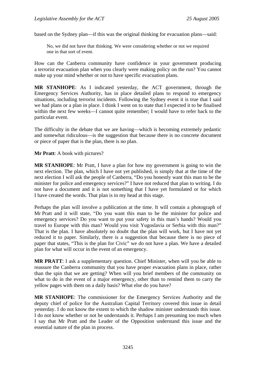based on the Sydney plan—if this was the original thinking for evacuation plans—said:

No, we did not have that thinking. We were considering whether or not we required one in that sort of event.

How can the Canberra community have confidence in your government producing a terrorist evacuation plan when you clearly were making policy on the run? You cannot make up your mind whether or not to have specific evacuation plans.

**MR STANHOPE**: As I indicated yesterday, the ACT government, through the Emergency Services Authority, has in place detailed plans to respond to emergency situations, including terrorist incidents. Following the Sydney event it is true that I said we had plans or a plan in place. I think I went on to state that I expected it to be finalised within the next few weeks—I cannot quite remember; I would have to refer back to the particular event.

The difficulty in the debate that we are having—which is becoming extremely pedantic and somewhat ridiculous—is the suggestion that because there is no concrete document or piece of paper that is the plan, there is no plan.

**Mr Pratt**: A book with pictures?

**MR STANHOPE**: Mr Pratt, I have a plan for how my government is going to win the next election. The plan, which I have not yet published, is simply that at the time of the next election I will ask the people of Canberra, "Do you honestly want this man to be the minister for police and emergency services?" I have not reduced that plan to writing. I do not have a document and it is not something that I have yet formulated or for which I have created the words. That plan is in my head at this stage.

Perhaps the plan will involve a publication at the time. It will contain a photograph of Mr Pratt and it will state, "Do you want this man to be the minister for police and emergency services? Do you want to put your safety in this man's hands? Would you travel to Europe with this man? Would you visit Yugoslavia or Serbia with this man?" That is the plan. I have absolutely no doubt that the plan will work, but I have not yet reduced it to paper. Similarly, there is a suggestion that because there is no piece of paper that states, "This is the plan for Civic" we do not have a plan. We have a detailed plan for what will occur in the event of an emergency.

**MR PRATT**: I ask a supplementary question. Chief Minister, when will you be able to reassure the Canberra community that you have proper evacuation plans in place, rather than the spin that we are getting? When will you brief members of the community on what to do in the event of a major emergency, other than to remind them to carry the yellow pages with them on a daily basis? What else do you have?

**MR STANHOPE**: The commissioner for the Emergency Services Authority and the deputy chief of police for the Australian Capital Territory covered this issue in detail yesterday. I do not know the extent to which the shadow minister understands this issue. I do not know whether or not he understands it. Perhaps I am presuming too much when I say that Mr Pratt and the Leader of the Opposition understand this issue and the essential nature of the plan in process.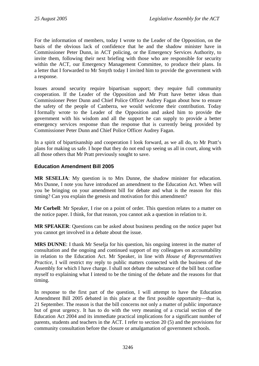For the information of members, today I wrote to the Leader of the Opposition, on the basis of the obvious lack of confidence that he and the shadow minister have in Commissioner Peter Dunn, in ACT policing, or the Emergency Services Authority, to invite them, following their next briefing with those who are responsible for security within the ACT, our Emergency Management Committee, to produce their plans. In a letter that I forwarded to Mr Smyth today I invited him to provide the government with a response.

Issues around security require bipartisan support; they require full community cooperation. If the Leader of the Opposition and Mr Pratt have better ideas than Commissioner Peter Dunn and Chief Police Officer Audrey Fagan about how to ensure the safety of the people of Canberra, we would welcome their contribution. Today I formally wrote to the Leader of the Opposition and asked him to provide the government with his wisdom and all the support he can supply to provide a better emergency services response than the response that is currently being provided by Commissioner Peter Dunn and Chief Police Officer Audrey Fagan.

In a spirit of bipartisanship and cooperation I look forward, as we all do, to Mr Pratt's plans for making us safe. I hope that they do not end up seeing us all in court, along with all those others that Mr Pratt previously sought to save.

### **Education Amendment Bill 2005**

**MR SESELJA**: My question is to Mrs Dunne, the shadow minister for education. Mrs Dunne, I note you have introduced an amendment to the Education Act. When will you be bringing on your amendment bill for debate and what is the reason for this timing? Can you explain the genesis and motivation for this amendment?

**Mr Corbell**: Mr Speaker, I rise on a point of order. This question relates to a matter on the notice paper. I think, for that reason, you cannot ask a question in relation to it.

**MR SPEAKER**: Questions can be asked about business pending on the notice paper but you cannot get involved in a debate about the issue.

**MRS DUNNE**: I thank Mr Seselja for his question, his ongoing interest in the matter of consultation and the ongoing and continued support of my colleagues on accountability in relation to the Education Act. Mr Speaker, in line with *House of Representatives Practice*, I will restrict my reply to public matters connected with the business of the Assembly for which I have charge. I shall not debate the substance of the bill but confine myself to explaining what I intend to be the timing of the debate and the reasons for that timing.

In response to the first part of the question, I will attempt to have the Education Amendment Bill 2005 debated in this place at the first possible opportunity—that is, 21 September. The reason is that the bill concerns not only a matter of public importance but of great urgency. It has to do with the very meaning of a crucial section of the Education Act 2004 and its immediate practical implications for a significant number of parents, students and teachers in the ACT. I refer to section 20 (5) and the provisions for community consultation before the closure or amalgamation of government schools.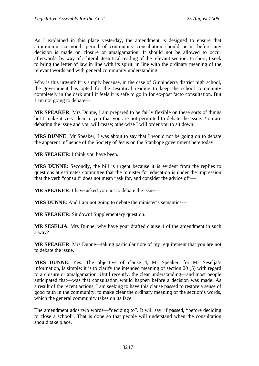As I explained in this place yesterday, the amendment is designed to ensure that a minimum six-month period of community consultation should occur before any decision is made on closure or amalgamation. It should not be allowed to occur afterwards, by way of a literal, Jesuitical reading of the relevant section. In short, I seek to bring the letter of law in line with its spirit, in line with the ordinary meaning of the relevant words and with general community understanding.

Why is this urgent? It is simply because, in the case of Ginninderra district high school, the government has opted for the Jesuitical reading to keep the school community completely in the dark until it feels it is safe to go in for ex-post facto consultation. But I am not going to debate—

**MR SPEAKER**: Mrs Dunne, I am prepared to be fairly flexible on these sorts of things but I make it very clear to you that you are not permitted to debate the issue. You are debating the issue and you will cease; otherwise I will order you to sit down.

**MRS DUNNE**: Mr Speaker, I was about to say that I would not be going on to debate the apparent influence of the Society of Jesus on the Stanhope government here today.

**MR SPEAKER**: I think you have been.

**MRS DUNNE**: Secondly, the bill is urgent because it is evident from the replies to questions at estimates committee that the minister for education is under the impression that the verb "consult" does not mean "ask for, and consider the advice of"—

**MR SPEAKER**: I have asked you not to debate the issue—

**MRS DUNNE:** And I am not going to debate the minister's semantics—

**MR SPEAKER**: Sit down! Supplementary question.

**MR SESELJA**: Mrs Dunne, why have your drafted clause 4 of the amendment in such a way?

**MR SPEAKER**: Mrs Dunne—taking particular note of my requirement that you are not to debate the issue.

**MRS DUNNE**: Yes. The objective of clause 4, Mr Speaker, for Mr Seselja's information, is simple: it is to clarify the intended meaning of section 20 (5) with regard to a closure or amalgamation. Until recently, the clear understanding—and most people anticipated that—was that consultation would happen before a decision was made. As a result of the recent actions, I am seeking to have this clause passed to restore a sense of good faith in the community, to make clear the ordinary meaning of the section's words, which the general community takes on its face.

The amendment adds two words—"deciding to". It will say, if passed, "before deciding to close a school". That is done so that people will understand when the consultation should take place.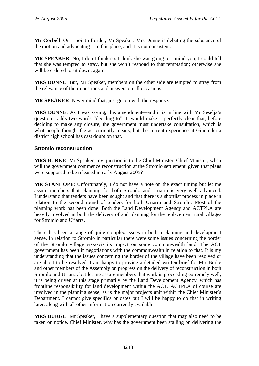**Mr Corbell**: On a point of order, Mr Speaker: Mrs Dunne is debating the substance of the motion and advocating it in this place, and it is not consistent.

**MR SPEAKER:** No, I don't think so. I think she was going to—mind you, I could tell that she was tempted to stray, but she won't respond to that temptation; otherwise she will be ordered to sit down, again.

**MRS DUNNE**: But, Mr Speaker, members on the other side are tempted to stray from the relevance of their questions and answers on all occasions.

**MR SPEAKER**: Never mind that; just get on with the response.

**MRS DUNNE**: As I was saying, this amendment—and it is in line with Mr Seselja's question—adds two words "deciding to". It would make it perfectly clear that, before deciding to make any closure, the government must undertake consultation, which is what people thought the act currently means, but the current experience at Ginninderra district high school has cast doubt on that.

#### **Stromlo reconstruction**

**MRS BURKE**: Mr Speaker, my question is to the Chief Minister. Chief Minister, when will the government commence reconstruction at the Stromlo settlement, given that plans were supposed to be released in early August 2005?

**MR STANHOPE**: Unfortunately, I do not have a note on the exact timing but let me assure members that planning for both Stromlo and Uriarra is very well advanced. I understand that tenders have been sought and that there is a shortlist process in place in relation to the second round of tenders for both Uriarra and Stromlo. Most of the planning work has been done. Both the Land Development Agency and ACTPLA are heavily involved in both the delivery of and planning for the replacement rural villages for Stromlo and Uriarra.

There has been a range of quite complex issues in both a planning and development sense. In relation to Stromlo in particular there were some issues concerning the border of the Stromlo village vis-a-vis its impact on some commonwealth land. The ACT government has been in negotiations with the commonwealth in relation to that. It is my understanding that the issues concerning the border of the village have been resolved or are about to be resolved. I am happy to provide a detailed written brief for Mrs Burke and other members of the Assembly on progress on the delivery of reconstruction in both Stromlo and Uriarra, but let me assure members that work is proceeding extremely well; it is being driven at this stage primarily by the Land Development Agency, which has frontline responsibility for land development within the ACT. ACTPLA of course are involved in the planning sense, as is the major projects unit within the Chief Minister's Department. I cannot give specifics or dates but I will be happy to do that in writing later, along with all other information currently available.

**MRS BURKE**: Mr Speaker, I have a supplementary question that may also need to be taken on notice. Chief Minister, why has the government been stalling on delivering the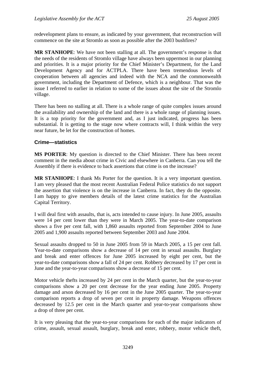redevelopment plans to ensure, as indicated by your government, that reconstruction will commence on the site at Stromlo as soon as possible after the 2003 bushfires?

**MR STANHOPE**: We have not been stalling at all. The government's response is that the needs of the residents of Stromlo village have always been uppermost in our planning and priorities. It is a major priority for the Chief Minister's Department, for the Land Development Agency and for ACTPLA. There have been tremendous levels of cooperation between all agencies and indeed with the NCA and the commonwealth government, including the Department of Defence, which is a neighbour. That was the issue I referred to earlier in relation to some of the issues about the site of the Stromlo village.

There has been no stalling at all. There is a whole range of quite complex issues around the availability and ownership of the land and there is a whole range of planning issues. It is a top priority for the government and, as I just indicated, progress has been substantial. It is getting to the stage now where contracts will, I think within the very near future, be let for the construction of homes.

#### **Crime—statistics**

**MS PORTER**: My question is directed to the Chief Minister. There has been recent comment in the media about crime in Civic and elsewhere in Canberra. Can you tell the Assembly if there is evidence to back assertions that crime is on the increase?

**MR STANHOPE**: I thank Ms Porter for the question. It is a very important question. I am very pleased that the most recent Australian Federal Police statistics do not support the assertion that violence is on the increase in Canberra. In fact, they do the opposite. I am happy to give members details of the latest crime statistics for the Australian Capital Territory.

I will deal first with assaults, that is, acts intended to cause injury. In June 2005, assaults were 14 per cent lower than they were in March 2005. The year-to-date comparison shows a five per cent fall, with 1,860 assaults reported from September 2004 to June 2005 and 1,900 assaults reported between September 2003 and June 2004.

Sexual assaults dropped to 50 in June 2005 from 59 in March 2005, a 15 per cent fall. Year-to-date comparisons show a decrease of 14 per cent in sexual assaults. Burglary and break and enter offences for June 2005 increased by eight per cent, but the year-to-date comparisons show a fall of 24 per cent. Robbery decreased by 17 per cent in June and the year-to-year comparisons show a decrease of 15 per cent.

Motor vehicle thefts increased by 24 per cent in the March quarter, but the year-to-year comparisons show a 20 per cent decrease for the year ending June 2005. Property damage and arson decreased by 16 per cent in the June 2005 quarter. The year-to-year comparison reports a drop of seven per cent in property damage. Weapons offences decreased by 12.5 per cent in the March quarter and year-to-year comparisons show a drop of three per cent.

It is very pleasing that the year-to-year comparisons for each of the major indicators of crime, assault, sexual assault, burglary, break and enter, robbery, motor vehicle theft,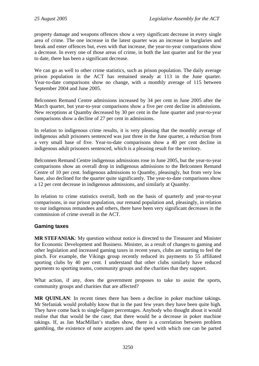property damage and weapons offences show a very significant decrease in every single area of crime. The one increase in the latest quarter was an increase in burglaries and break and enter offences but, even with that increase, the year-to-year comparisons show a decrease. In every one of those areas of crime, in both the last quarter and for the year to date, there has been a significant decrease.

We can go as well to other crime statistics, such as prison population. The daily average prison population in the ACT has remained steady at 113 in the June quarter. Year-to-date comparisons show no change, with a monthly average of 115 between September 2004 and June 2005.

Belconnen Remand Centre admissions increased by 34 per cent in June 2005 after the March quarter, but year-to-year comparisons show a five per cent decline in admissions. New receptions at Quamby decreased by 30 per cent in the June quarter and year-to-year comparisons show a decline of 27 per cent in admissions.

In relation to indigenous crime results, it is very pleasing that the monthly average of indigenous adult prisoners sentenced was just three in the June quarter, a reduction from a very small base of five. Year-to-date comparisons show a 40 per cent decline in indigenous adult prisoners sentenced, which is a pleasing result for the territory.

Belconnen Remand Centre indigenous admissions rose in June 2005, but the year-to-year comparisons show an overall drop in indigenous admissions to the Belconnen Remand Centre of 10 per cent. Indigenous admissions to Quamby, pleasingly, but from very low base, also declined for the quarter quite significantly. The year-to-date comparisons show a 12 per cent decrease in indigenous admissions, and similarly at Quamby.

In relation to crime statistics overall, both on the basis of quarterly and year-to-year comparisons, in our prison population, our remand population and, pleasingly, in relation to our indigenous remandees and others, there have been very significant decreases in the commission of crime overall in the ACT.

### **Gaming taxes**

**MR STEFANIAK**: My question without notice is directed to the Treasurer and Minister for Economic Development and Business. Minister, as a result of changes to gaming and other legislation and increased gaming taxes in recent years, clubs are starting to feel the pinch. For example, the Vikings group recently reduced its payments to 55 affiliated sporting clubs by 40 per cent. I understand that other clubs similarly have reduced payments to sporting teams, community groups and the charities that they support.

What action, if any, does the government proposes to take to assist the sports, community groups and charities that are affected?

**MR QUINLAN**: In recent times there has been a decline in poker machine takings. Mr Stefaniak would probably know that in the past few years they have been quite high. They have come back to single-figure percentages. Anybody who thought about it would realise that that would be the case; that there would be a decrease in poker machine takings. If, as Jan MacMillan's studies show, there is a correlation between problem gambling, the existence of note accepters and the speed with which one can be parted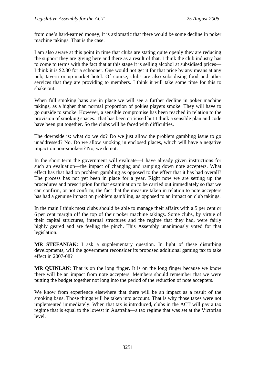from one's hard-earned money, it is axiomatic that there would be some decline in poker machine takings. That is the case.

I am also aware at this point in time that clubs are stating quite openly they are reducing the support they are giving here and there as a result of that. I think the club industry has to come to terms with the fact that at this stage it is selling alcohol at subsidised prices— I think it is \$2.80 for a schooner. One would not get it for that price by any means at any pub, tavern or up-market hotel. Of course, clubs are also subsidising food and other services that they are providing to members. I think it will take some time for this to shake out.

When full smoking bans are in place we will see a further decline in poker machine takings, as a higher than normal proportion of pokies players smoke. They will have to go outside to smoke. However, a sensible compromise has been reached in relation to the provision of smoking spaces. That has been criticised but I think a sensible plan and code have been put together. So the clubs will be faced with difficulties.

The downside is: what do we do? Do we just allow the problem gambling issue to go unaddressed? No. Do we allow smoking in enclosed places, which will have a negative impact on non-smokers? No, we do not.

In the short term the government will evaluate—I have already given instructions for such an evaluation—the impact of changing and ramping down note accepters. What effect has that had on problem gambling as opposed to the effect that it has had overall? The process has not yet been in place for a year. Right now we are setting up the procedures and prescription for that examination to be carried out immediately so that we can confirm, or not confirm, the fact that the measure taken in relation to note accepters has had a genuine impact on problem gambling, as opposed to an impact on club takings.

In the main I think most clubs should be able to manage their affairs with a 5 per cent or 6 per cent margin off the top of their poker machine takings. Some clubs, by virtue of their capital structures, internal structures and the regime that they had, were fairly highly geared and are feeling the pinch. This Assembly unanimously voted for that legislation.

**MR STEFANIAK**: I ask a supplementary question. In light of these disturbing developments, will the government reconsider its proposed additional gaming tax to take effect in 2007-08?

**MR QUINLAN**: That is on the long finger. It is on the long finger because we know there will be an impact from note accepters. Members should remember that we were putting the budget together not long into the period of the reduction of note accepters.

We know from experience elsewhere that there will be an impact as a result of the smoking bans. Those things will be taken into account. That is why those taxes were not implemented immediately. When that tax is introduced, clubs in the ACT will pay a tax regime that is equal to the lowest in Australia—a tax regime that was set at the Victorian level.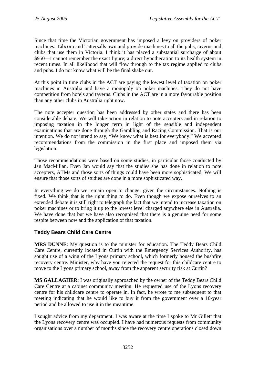Since that time the Victorian government has imposed a levy on providers of poker machines. Tabcorp and Tattersalls own and provide machines to all the pubs, taverns and clubs that use them in Victoria. I think it has placed a substantial surcharge of about \$950—I cannot remember the exact figure; a direct hypothecation to its health system in recent times. In all likelihood that will flow through to the tax regime applied to clubs and pubs. I do not know what will be the final shake out.

At this point in time clubs in the ACT are paying the lowest level of taxation on poker machines in Australia and have a monopoly on poker machines. They do not have competition from hotels and taverns. Clubs in the ACT are in a more favourable position than any other clubs in Australia right now.

The note accepter question has been addressed by other states and there has been considerable debate. We will take action in relation to note accepters and in relation to imposing taxation in the longer term in light of the sensible and independent examinations that are done through the Gambling and Racing Commission. That is our intention. We do not intend to say, "We know what is best for everybody." We accepted recommendations from the commission in the first place and imposed them via legislation.

Those recommendations were based on some studies, in particular those conducted by Jan MacMillan. Even Jan would say that the studies she has done in relation to note accepters, ATMs and those sorts of things could have been more sophisticated. We will ensure that those sorts of studies are done in a more sophisticated way.

In everything we do we remain open to change, given the circumstances. Nothing is fixed. We think that is the right thing to do. Even though we expose ourselves to an extended debate it is still right to telegraph the fact that we intend to increase taxation on poker machines or to bring it up to the lowest level charged anywhere else in Australia. We have done that but we have also recognised that there is a genuine need for some respite between now and the application of that taxation.

### **Teddy Bears Child Care Centre**

**MRS DUNNE**: My question is to the minister for education. The Teddy Bears Child Care Centre, currently located in Curtin with the Emergency Services Authority, has sought use of a wing of the Lyons primary school, which formerly housed the bushfire recovery centre. Minister, why have you rejected the request for this childcare centre to move to the Lyons primary school, away from the apparent security risk at Curtin?

**MS GALLAGHER**: I was originally approached by the owner of the Teddy Bears Child Care Centre at a cabinet community meeting. He requested use of the Lyons recovery centre for his childcare centre to operate in. In fact, he wrote to me subsequent to that meeting indicating that he would like to buy it from the government over a 10-year period and be allowed to use it in the meantime.

I sought advice from my department. I was aware at the time I spoke to Mr Gillett that the Lyons recovery centre was occupied. I have had numerous requests from community organisations over a number of months since the recovery centre operations closed down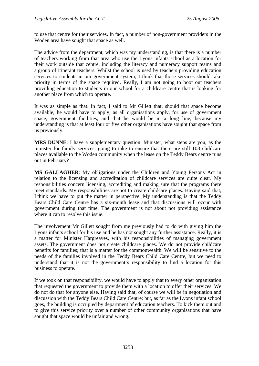to use that centre for their services. In fact, a number of non-government providers in the Woden area have sought that space as well.

The advice from the department, which was my understanding, is that there is a number of teachers working from that area who use the Lyons infants school as a location for their work outside that centre, including the literacy and numeracy support teams and a group of itinerant teachers. Whilst the school is used by teachers providing education services to students in our government system, I think that those services should take priority in terms of the space required. Really, I am not going to boot out teachers providing education to students in our school for a childcare centre that is looking for another place from which to operate.

It was as simple as that. In fact, I said to Mr Gillett that, should that space become available, he would have to apply, as all organisations apply, for use of government space, government facilities, and that he would be in a long line, because my understanding is that at least four or five other organisations have sought that space from us previously.

**MRS DUNNE**: I have a supplementary question. Minister, what steps are you, as the minister for family services, going to take to ensure that there are still 108 childcare places available to the Woden community when the lease on the Teddy Bears centre runs out in February?

**MS GALLAGHER**: My obligations under the Children and Young Persons Act in relation to the licensing and accreditation of childcare services are quite clear. My responsibilities concern licensing, accrediting and making sure that the programs there meet standards. My responsibilities are not to create childcare places. Having said that, I think we have to put the matter in perspective. My understanding is that the Teddy Bears Child Care Centre has a six-month lease and that discussions will occur with government during that time. The government is not about not providing assistance where it can to resolve this issue.

The involvement Mr Gillett sought from me previously had to do with giving him the Lyons infants school for his use and he has not sought any further assistance. Really, it is a matter for Minister Hargreaves, with his responsibilities of managing government assets. The government does not create childcare places. We do not provide childcare benefits for families; that is a matter for the commonwealth. We will be sensitive to the needs of the families involved in the Teddy Bears Child Care Centre, but we need to understand that it is not the government's responsibility to find a location for this business to operate.

If we took on that responsibility, we would have to apply that to every other organisation that requested the government to provide them with a location to offer their services. We do not do that for anyone else. Having said that, of course we will be in negotiation and discussion with the Teddy Bears Child Care Centre; but, as far as the Lyons infant school goes, the building is occupied by department of education teachers. To kick them out and to give this service priority over a number of other community organisations that have sought that space would be unfair and wrong.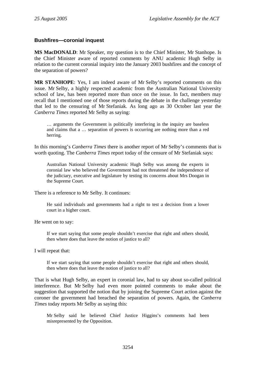#### **Bushfires—coronial inquest**

**MS MacDONALD**: Mr Speaker, my question is to the Chief Minister, Mr Stanhope. Is the Chief Minister aware of reported comments by ANU academic Hugh Selby in relation to the current coronial inquiry into the January 2003 bushfires and the concept of the separation of powers?

**MR STANHOPE**: Yes, I am indeed aware of Mr Selby's reported comments on this issue. Mr Selby, a highly respected academic from the Australian National University school of law, has been reported more than once on the issue. In fact, members may recall that I mentioned one of those reports during the debate in the challenge yesterday that led to the censuring of Mr Stefaniak. As long ago as 30 October last year the *Canberra Times* reported Mr Selby as saying:

… arguments the Government is politically interfering in the inquiry are baseless and claims that a … separation of powers is occurring are nothing more than a red herring.

In this morning's *Canberra Times* there is another report of Mr Selby's comments that is worth quoting. The *Canberra Times* report today of the censure of Mr Stefaniak says:

Australian National University academic Hugh Selby was among the experts in coronial law who believed the Government had not threatened the independence of the judiciary, executive and legislature by testing its concerns about Mrs Doogan in the Supreme Court.

There is a reference to Mr Selby. It continues:

He said individuals and governments had a right to test a decision from a lower court in a higher court.

He went on to say:

If we start saying that some people shouldn't exercise that right and others should, then where does that leave the notion of justice to all?

I will repeat that:

If we start saying that some people shouldn't exercise that right and others should, then where does that leave the notion of justice to all?

That is what Hugh Selby, an expert in coronial law, had to say about so-called political interference. But Mr Selby had even more pointed comments to make about the suggestion that supported the notion that by joining the Supreme Court action against the coroner the government had breached the separation of powers. Again, the *Canberra Times* today reports Mr Selby as saying this:

Mr Selby said he believed Chief Justice Higgins's comments had been misrepresented by the Opposition.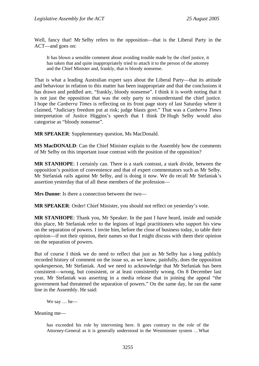Well, fancy that! Mr Selby refers to the opposition—that is the Liberal Party in the ACT—and goes on:

It has blown a sensible comment about avoiding trouble made by the chief justice, it has taken that and quite inappropriately tried to attach it to the person of the attorney and the Chief Minister and, frankly, that is bloody nonsense.

That is what a leading Australian expert says about the Liberal Party—that its attitude and behaviour in relation to this matter has been inappropriate and that the conclusions it has drawn and peddled are, "frankly, bloody nonsense". I think it is worth noting that it is not just the opposition that was the only party to misunderstand the chief justice. I hope the *Canberra Times* is reflecting on its front page story of last Saturday where it claimed, "Judiciary freedom put at risk; judge blasts govt." That was a *Canberra Times* interpretation of Justice Higgins's speech that I think Dr Hugh Selby would also categorise as "bloody nonsense".

**MR SPEAKER**: Supplementary question, Ms MacDonald.

**MS MacDONALD**: Can the Chief Minister explain to the Assembly how the comments of Mr Selby on this important issue contrast with the position of the opposition?

**MR STANHOPE**: I certainly can. There is a stark contrast, a stark divide, between the opposition's position of convenience and that of expert commentators such as Mr Selby. Mr Stefaniak rails against Mr Selby, and is doing it now. We do recall Mr Stefaniak's assertion yesterday that of all these members of the profession—

**Mrs Dunne**: Is there a connection between the two—

**MR SPEAKER**: Order! Chief Minister, you should not reflect on yesterday's vote.

**MR STANHOPE**: Thank you, Mr Speaker. In the past I have heard, inside and outside this place, Mr Stefaniak refer to the legions of legal practitioners who support his view on the separation of powers. I invite him, before the close of business today, to table their opinion—if not their opinion, their names so that I might discuss with them their opinion on the separation of powers.

But of course I think we do need to reflect that just as Mr Selby has a long publicly recorded history of comment on the issue so, as we know, painfully, does the opposition spokesperson, Mr Stefaniak. And we need to acknowledge that Mr Stefaniak has been consistent—wrong, but consistent, or at least consistently wrong. On 8 December last year, Mr Stefaniak was asserting in a media release that in joining the appeal "the government had threatened the separation of powers." On the same day, he ran the same line in the Assembly. He said:

We say … he—

Meaning me—

has exceeded his role by intervening here. It goes contrary to the role of the Attorney-General as it is generally understood in the Westminster system …What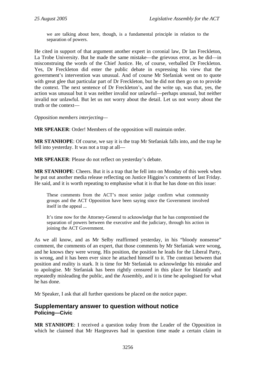we are talking about here, though, is a fundamental principle in relation to the separation of powers.

He cited in support of that argument another expert in coronial law, Dr Ian Freckleton, La Trobe University. But he made the same mistake—the grievous error, as he did—in misconstruing the words of the Chief Justice. He, of course, verballed Dr Freckleton. Yes, Dr Freckleton did enter the public debate in expressing his view that the government's intervention was unusual. And of course Mr Stefaniak went on to quote with great glee that particular part of Dr Freckleton, but he did not then go on to provide the context. The next sentence of Dr Freckleton's, and the write up, was that, yes, the action was unusual but it was neither invalid nor unlawful—perhaps unusual, but neither invalid nor unlawful. But let us not worry about the detail. Let us not worry about the truth or the context—

*Opposition members interjecting—* 

**MR SPEAKER**: Order! Members of the opposition will maintain order.

**MR STANHOPE**: Of course, we say it is the trap Mr Stefaniak falls into, and the trap he fell into yesterday. It was not a trap at all—

**MR SPEAKER**: Please do not reflect on yesterday's debate.

**MR STANHOPE**: Cheers. But it is a trap that he fell into on Monday of this week when he put out another media release reflecting on Justice Higgins's comments of last Friday. He said, and it is worth repeating to emphasise what it is that he has done on this issue:

These comments from the ACT's most senior judge confirm what community groups and the ACT Opposition have been saying since the Government involved itself in the appeal ...

It's time now for the Attorney-General to acknowledge that he has compromised the separation of powers between the executive and the judiciary, through his action in joining the ACT Government.

As we all know, and as Mr Selby reaffirmed yesterday, in his "bloody nonsense" comment, the comments of an expert, that those comments by Mr Stefaniak were wrong, and he knows they were wrong. His position, the position he leads for the Liberal Party, is wrong, and it has been ever since he attached himself to it. The contrast between that position and reality is stark. It is time for Mr Stefaniak to acknowledge his mistake and to apologise. Mr Stefaniak has been rightly censured in this place for blatantly and repeatedly misleading the public, and the Assembly, and it is time he apologised for what he has done.

Mr Speaker, I ask that all further questions be placed on the notice paper.

### **Supplementary answer to question without notice Policing—Civic**

**MR STANHOPE**: I received a question today from the Leader of the Opposition in which he claimed that Mr Hargreaves had in question time made a certain claim in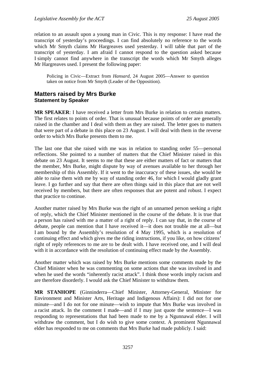relation to an assault upon a young man in Civic. This is my response: I have read the transcript of yesterday's proceedings. I can find absolutely no reference to the words which Mr Smyth claims Mr Hargreaves used yesterday. I will table that part of the transcript of yesterday. I am afraid I cannot respond to the question asked because I simply cannot find anywhere in the transcript the words which Mr Smyth alleges Mr Hargreaves used. I present the following paper:

Policing in Civic—Extract from *Hansard*, 24 August 2005—Answer to question taken on notice from Mr Smyth (Leader of the Opposition).

# **Matters raised by Mrs Burke Statement by Speaker**

**MR SPEAKER**: I have received a letter from Mrs Burke in relation to certain matters. The first relates to points of order. That is unusual because points of order are generally raised in the chamber and I deal with them as they are raised. The letter goes to matters that were part of a debate in this place on 23 August. I will deal with them in the reverse order to which Mrs Burke presents them to me.

The last one that she raised with me was in relation to standing order 55—personal reflections. She pointed to a number of matters that the Chief Minister raised in this debate on 23 August. It seems to me that these are either matters of fact or matters that the member, Mrs Burke, might dispute by way of avenues available to her through her membership of this Assembly. If it went to the inaccuracy of these issues, she would be able to raise them with me by way of standing order 46, for which I would gladly grant leave. I go further and say that there are often things said in this place that are not well received by members, but there are often responses that are potent and robust. I expect that practice to continue.

Another matter raised by Mrs Burke was the right of an unnamed person seeking a right of reply, which the Chief Minister mentioned in the course of the debate. It is true that a person has raised with me a matter of a right of reply. I can say that, in the course of debate, people can mention that I have received it—it does not trouble me at all—but I am bound by the Assembly's resolution of 4 May 1995, which is a resolution of continuing effect and which gives me the riding instructions, if you like, on how citizens' right of reply references to me are to be dealt with. I have received one, and I will deal with it in accordance with the resolution of continuing effect made by the Assembly.

Another matter which was raised by Mrs Burke mentions some comments made by the Chief Minister when he was commenting on some actions that she was involved in and when he used the words "inherently racist attack". I think those words imply racism and are therefore disorderly. I would ask the Chief Minister to withdraw them.

**MR STANHOPE** (Ginninderra—Chief Minister, Attorney-General, Minister for Environment and Minister Arts, Heritage and Indigenous Affairs): I did not for one minute—and I do not for one minute—wish to impute that Mrs Burke was involved in a racist attack. In the comment I made—and if I may just quote the sentence—I was responding to representations that had been made to me by a Ngunnawal elder. I will withdraw the comment, but I do wish to give some context. A prominent Ngunnawal elder has responded to me on comments that Mrs Burke had made publicly. I said: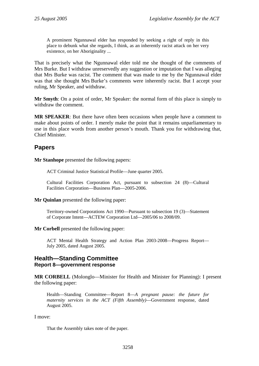A prominent Ngunnawal elder has responded by seeking a right of reply in this place to debunk what she regards, I think, as an inherently racist attack on her very existence, on her Aboriginality ...

That is precisely what the Ngunnawal elder told me she thought of the comments of Mrs Burke. But I withdraw unreservedly any suggestion or imputation that I was alleging that Mrs Burke was racist. The comment that was made to me by the Ngunnawal elder was that she thought Mrs Burke's comments were inherently racist. But I accept your ruling, Mr Speaker, and withdraw.

**Mr Smyth**: On a point of order, Mr Speaker: the normal form of this place is simply to withdraw the comment.

**MR SPEAKER**: But there have often been occasions when people have a comment to make about points of order. I merely make the point that it remains unparliamentary to use in this place words from another person's mouth. Thank you for withdrawing that, Chief Minister.

# **Papers**

**Mr Stanhope** presented the following papers:

ACT Criminal Justice Statistical Profile—June quarter 2005.

Cultural Facilities Corporation Act, pursuant to subsection 24 (8)—Cultural Facilities Corporation—Business Plan—2005-2006.

**Mr Quinlan** presented the following paper:

Territory-owned Corporations Act 1990—Pursuant to subsection 19 (3)—Statement of Corporate Intent—ACTEW Corporation Ltd—2005/06 to 2008/09.

**Mr Corbell** presented the following paper:

ACT Mental Health Strategy and Action Plan 2003-2008—Progress Report— July 2005, dated August 2005.

### **Health—Standing Committee Report 8—government response**

**MR CORBELL** (Molonglo—Minister for Health and Minister for Planning): I present the following paper:

Health—Standing Committee—Report 8—*A pregnant pause: the future for maternity services in the ACT (Fifth Assembly)*—Government response, dated August 2005.

I move:

That the Assembly takes note of the paper.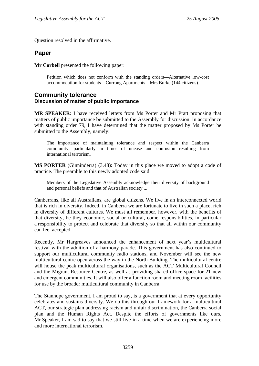Question resolved in the affirmative.

# **Paper**

**Mr Corbell** presented the following paper:

Petition which does not conform with the standing orders—Alternative low-cost accommodation for students—Currong Apartments—Mrs Burke (144 citizens).

#### **Community tolerance Discussion of matter of public importance**

**MR SPEAKER**: I have received letters from Ms Porter and Mr Pratt proposing that matters of public importance be submitted to the Assembly for discussion. In accordance with standing order 79, I have determined that the matter proposed by Ms Porter be submitted to the Assembly, namely:

The importance of maintaining tolerance and respect within the Canberra community, particularly in times of unease and confusion resulting from international terrorism.

**MS PORTER** (Ginninderra) (3.48): Today in this place we moved to adopt a code of practice. The preamble to this newly adopted code said:

Members of the Legislative Assembly acknowledge their diversity of background and personal beliefs and that of Australian society ...

Canberrans, like all Australians, are global citizens. We live in an interconnected world that is rich in diversity. Indeed, in Canberra we are fortunate to live in such a place, rich in diversity of different cultures. We must all remember, however, with the benefits of that diversity, be they economic, social or cultural, come responsibilities, in particular a responsibility to protect and celebrate that diversity so that all within our community can feel accepted.

Recently, Mr Hargreaves announced the enhancement of next year's multicultural festival with the addition of a harmony parade. This government has also continued to support our multicultural community radio stations, and November will see the new multicultural centre open across the way in the North Building. The multicultural centre will house the peak multicultural organisations, such as the ACT Multicultural Council and the Migrant Resource Centre, as well as providing shared office space for 21 new and emergent communities. It will also offer a function room and meeting room facilities for use by the broader multicultural community in Canberra.

The Stanhope government, I am proud to say, is a government that at every opportunity celebrates and sustains diversity. We do this through our framework for a multicultural ACT, our strategic plan addressing racism and unfair discrimination, the Canberra social plan and the Human Rights Act. Despite the efforts of governments like ours, Mr Speaker, I am sad to say that we still live in a time when we are experiencing more and more international terrorism.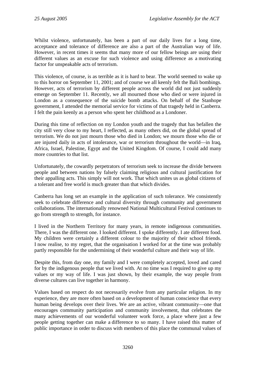Whilst violence, unfortunately, has been a part of our daily lives for a long time, acceptance and tolerance of difference are also a part of the Australian way of life. However, in recent times it seems that many more of our fellow beings are using their different values as an excuse for such violence and using difference as a motivating factor for unspeakable acts of terrorism.

This violence, of course, is as terrible as it is hard to bear. The world seemed to wake up to this horror on September 11, 2001; and of course we all keenly felt the Bali bombings. However, acts of terrorism by different people across the world did not just suddenly emerge on September 11. Recently, we all mourned those who died or were injured in London as a consequence of the suicide bomb attacks. On behalf of the Stanhope government, I attended the memorial service for victims of that tragedy held in Canberra. I felt the pain keenly as a person who spent her childhood as a Londoner.

During this time of reflection on my London youth and the tragedy that has befallen the city still very close to my heart, I reflected, as many others did, on the global spread of terrorism. We do not just mourn those who died in London; we mourn those who die or are injured daily in acts of intolerance, war or terrorism throughout the world—in Iraq, Africa, Israel, Palestine, Egypt and the United Kingdom. Of course, I could add many more countries to that list.

Unfortunately, the cowardly perpetrators of terrorism seek to increase the divide between people and between nations by falsely claiming religious and cultural justification for their appalling acts. This simply will not work. That which unites us as global citizens of a tolerant and free world is much greater than that which divides.

Canberra has long set an example in the application of such tolerance. We consistently seek to celebrate difference and cultural diversity through community and government collaborations. The internationally renowned National Multicultural Festival continues to go from strength to strength, for instance.

I lived in the Northern Territory for many years, in remote indigenous communities. There, I was the different one. I looked different. I spoke differently. I ate different food. My children were certainly a different colour to the majority of their school friends. I now realise, to my regret, that the organisation I worked for at the time was probably partly responsible for the undermining of their wonderful culture and their way of life.

Despite this, from day one, my family and I were completely accepted, loved and cared for by the indigenous people that we lived with. At no time was I required to give up my values or my way of life. I was just shown, by their example, the way people from diverse cultures can live together in harmony.

Values based on respect do not necessarily evolve from any particular religion. In my experience, they are more often based on a development of human conscience that every human being develops over their lives. We are an active, vibrant community—one that encourages community participation and community involvement, that celebrates the many achievements of our wonderful volunteer work force, a place where just a few people getting together can make a difference to so many. I have raised this matter of public importance in order to discuss with members of this place the communal values of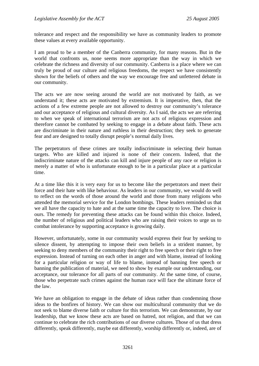tolerance and respect and the responsibility we have as community leaders to promote these values at every available opportunity.

I am proud to be a member of the Canberra community, for many reasons. But in the world that confronts us, none seems more appropriate than the way in which we celebrate the richness and diversity of our community. Canberra is a place where we can truly be proud of our culture and religious freedoms, the respect we have consistently shown for the beliefs of others and the way we encourage free and unfettered debate in our community.

The acts we are now seeing around the world are not motivated by faith, as we understand it; these acts are motivated by extremism. It is imperative, then, that the actions of a few extreme people are not allowed to destroy our community's tolerance and our acceptance of religious and cultural diversity. As I said, the acts we are referring to when we speak of international terrorism are not acts of religious expression and therefore cannot be combated by seeking to engage in a debate about faith. These acts are discriminate in their nature and ruthless in their destruction; they seek to generate fear and are designed to totally disrupt people's normal daily lives.

The perpetrators of these crimes are totally indiscriminate in selecting their human targets. Who are killed and injured is none of their concern. Indeed, that the indiscriminate nature of the attacks can kill and injure people of any race or religion is merely a matter of who is unfortunate enough to be in a particular place at a particular time.

At a time like this it is very easy for us to become like the perpetrators and meet their force and their hate with like behaviour. As leaders in our community, we would do well to reflect on the words of those around the world and those from many religions who attended the memorial service for the London bombings. These leaders reminded us that we all have the capacity to hate and at the same time the capacity to love. The choice is ours. The remedy for preventing these attacks can be found within this choice. Indeed, the number of religious and political leaders who are raising their voices to urge us to combat intolerance by supporting acceptance is growing daily.

However, unfortunately, some in our community would express their fear by seeking to silence dissent, by attempting to impose their own beliefs in a strident manner, by seeking to deny members of the community their right to free speech or their right to free expression. Instead of turning on each other in anger and with blame, instead of looking for a particular religion or way of life to blame, instead of banning free speech or banning the publication of material, we need to show by example our understanding, our acceptance, our tolerance for all parts of our community. At the same time, of course, those who perpetrate such crimes against the human race will face the ultimate force of the law.

We have an obligation to engage in the debate of ideas rather than condemning those ideas to the bonfires of history. We can show our multicultural community that we do not seek to blame diverse faith or culture for this terrorism. We can demonstrate, by our leadership, that we know these acts are based on hatred, not religion, and that we can continue to celebrate the rich contributions of our diverse cultures. Those of us that dress differently, speak differently, maybe eat differently, worship differently or, indeed, are of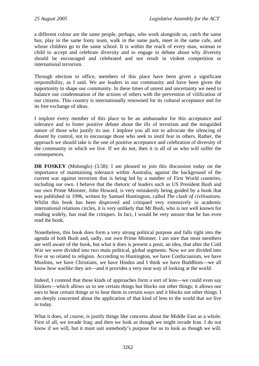a different colour are the same people, perhaps, who work alongside us, catch the same bus, play in the same footy team, walk in the same park, meet in the same cafe, and whose children go to the same school. It is within the reach of every man, woman or child to accept and celebrate diversity and to engage in debate about why diversity should be encouraged and celebrated and not result in violent competition or international terrorism.

Through election to office, members of this place have been given a significant responsibility, as I said. We are leaders in our community and have been given the opportunity to shape our community. In these times of unrest and uncertainty we need to balance our condemnation of the actions of others with the prevention of vilification of our citizens. This country is internationally renowned for its cultural acceptance and for its free exchange of ideas.

I implore every member of this place to be an ambassador for this acceptance and tolerance and to foster positive debate about the ills of terrorism and the misguided nature of those who justify its use. I implore you all not to advocate the silencing of dissent by control, not to encourage those who seek to instil fear in others. Rather, the approach we should take is the one of positive acceptance and celebration of diversity of the community in which we live. If we do not, then it is all of us who will suffer the consequences.

**DR FOSKEY** (Molonglo) (3.58): I am pleased to join this discussion today on the importance of maintaining tolerance within Australia, against the background of the current war against terrorism that is being led by a number of First World countries, including our own. I believe that the rhetoric of leaders such as US President Bush and our own Prime Minister, John Howard, is very mistakenly being guided by a book that was published in 1996, written by Samuel Huntington, called *The clash of civilisations*. Whilst this book has been disproved and critiqued very extensively in academic international relations circles, it is very unlikely that Mr Bush, who is not well known for reading widely, has read the critiques. In fact, I would be very unsure that he has even read the book.

Nonetheless, this book does form a very strong political purpose and falls right into the agenda of both Bush and, sadly, our own Prime Minister. I am sure that most members are well aware of the book, but what it does is present a posit, an idea, that after the Cold War we were divided into two main political, global segments. Now we are divided into five or so related to religion. According to Huntington, we have Confucianism, we have Muslims, we have Christians, we have Hindus and I think we have Buddhists—we all know how warlike they are—and it provides a very neat way of looking at the world.

Indeed, I contend that these kinds of approaches form a sort of lens—we could even say blinkers—which allows us to see certain things but blocks out other things; it allows our ears to hear certain things or to hear them in certain ways and it blocks out other things. I am deeply concerned about the application of that kind of lens to the world that we live in today.

What it does, of course, is justify things like concerns about the Middle East as a whole. First of all, we invade Iraq; and then we look as though we might invade Iran. I do not know if we will, but it must suit somebody's purpose for us to look as though we will.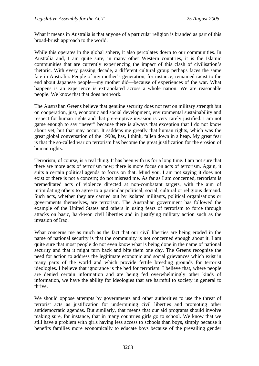What it means in Australia is that anyone of a particular religion is branded as part of this broad-brush approach to the world.

While this operates in the global sphere, it also percolates down to our communities. In Australia and, I am quite sure, in many other Western countries, it is the Islamic communities that are currently experiencing the impact of this clash of civilisation's rhetoric. With every passing decade, a different cultural group perhaps faces the same fate in Australia. People of my mother's generation, for instance, remained racist to the end about Japanese people—my mother did—because of experiences of the war. What happens is an experience is extrapolated across a whole nation. We are reasonable people. We know that that does not work.

The Australian Greens believe that genuine security does not rest on military strength but on cooperation, just, economic and social development, environmental sustainability and respect for human rights and that pre-emptive invasion is very rarely justified. I am not game enough to say "never" because there is always that exception that I do not know about yet, but that may occur. It saddens me greatly that human rights, which was the great global conversation of the 1990s, has, I think, fallen down in a heap. My great fear is that the so-called war on terrorism has become the great justification for the erosion of human rights.

Terrorism, of course, is a real thing. It has been with us for a long time. I am not sure that there are more acts of terrorism now; there is more focus on acts of terrorism. Again, it suits a certain political agenda to focus on that. Mind you, I am not saying it does not exist or there is not a concern; do not misread me. As far as I am concerned, terrorism is premeditated acts of violence directed at non-combatant targets, with the aim of intimidating others to agree to a particular political, social, cultural or religious demand. Such acts, whether they are carried out by isolated militants, political organisations or governments themselves, are terrorism. The Australian government has followed the example of the United States and others in using fears of terrorism to force through attacks on basic, hard-won civil liberties and in justifying military action such as the invasion of Iraq.

What concerns me as much as the fact that our civil liberties are being eroded in the name of national security is that the community is not concerned enough about it. I am quite sure that most people do not even know what is being done in the name of national security and that it might turn back and bite them one day. The Greens recognise the need for action to address the legitimate economic and social grievances which exist in many parts of the world and which provide fertile breeding grounds for terrorist ideologies. I believe that ignorance is the bed for terrorism. I believe that, where people are denied certain information and are being fed overwhelmingly other kinds of information, we have the ability for ideologies that are harmful to society in general to thrive.

We should oppose attempts by governments and other authorities to use the threat of terrorist acts as justification for undermining civil liberties and promoting other antidemocratic agendas. But similarly, that means that our aid programs should involve making sure, for instance, that in many countries girls go to school. We know that we still have a problem with girls having less access to schools than boys, simply because it benefits families more economically to educate boys because of the prevailing gender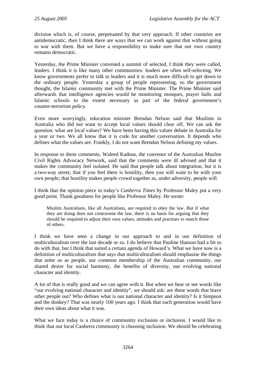division which is, of course, perpetuated by that very approach. If other countries are antidemocratic, then I think there are ways that we can work against that without going to war with them. But we have a responsibility to make sure that our own country remains democratic.

Yesterday, the Prime Minister convened a summit of selected, I think they were called, leaders. I think it is like many other communities: leaders are often self-selecting. We know governments prefer to talk to leaders and it is much more difficult to get down to the ordinary people. Yesterday a group of people representing, so the government thought, the Islamic community met with the Prime Minister. The Prime Minister said afterwards that intelligence agencies would be monitoring mosques, prayer halls and Islamic schools to the extent necessary as part of the federal government's counter-terrorism policy.

Even more worryingly, education minister Brendan Nelson said that Muslims in Australia who did not want to accept local values should clear off. We can ask the question: what are local values? We have been having this values debate in Australia for a year or two. We all know that it is code for another conversation. It depends who defines what the values are. Frankly, I do not want Brendan Nelson defining my values.

In response to these comments, Waleed Kadous, the convenor of the Australian Muslim Civil Rights Advocacy Network, said that the comments were ill advised and that it makes the community feel isolated. He said that people talk about integration, but it is a two-way street; that if you feel there is hostility, then you will want to be with your own people; that hostility makes people crowd together as, under adversity, people will.

I think that the opinion piece in today's *Canberra Times* by Professor Maley put a very good point. Thank goodness for people like Professor Maley. He wrote:

Muslim Australians, like all Australians, are required to obey the law. But if what they are doing does not contravene the law, there is no basis for arguing that they should be required to adjust their own values, attitudes and practises to match those of others.

I think we have seen a change in our approach to and in our definition of multiculturalism over the last decade or so. I do believe that Pauline Hanson had a bit to do with that, but I think that suited a certain agenda of Howard's. What we have now is a definition of multiculturalism that says that multiculturalism should emphasise the things that unite us as people, our common membership of the Australian community, our shared desire for social harmony, the benefits of diversity, our evolving national character and identity.

A lot of that is really good and we can agree with it. But when we hear or see words like "our evolving national character and identity", we should ask: are these words that leave other people out? Who defines what is our national character and identity? Is it Simpson and the donkey? That was nearly 100 years ago. I think that each generation would have their own ideas about what it was.

What we face today is a choice of community exclusion or inclusion. I would like to think that our local Canberra community is choosing inclusion. We should be celebrating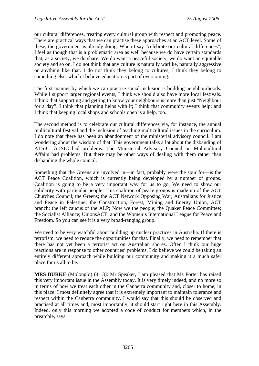our cultural differences, treating every cultural group with respect and promoting peace. There are practical ways that we can practise these approaches at an ACT level. Some of these, the government is already doing. When I say "celebrate our cultural differences", I feel as though that is a problematic area as well because we do have certain standards that, as a society, we do share. We do want a peaceful society, we do want an equitable society and so on. I do not think that any culture is naturally warlike, naturally aggressive or anything like that. I do not think they belong to cultures; I think they belong to something else, which I believe education is part of overcoming.

The first manner by which we can practise social inclusion is building neighbourhoods. While I support larger regional events, I think we should also have more local festivals. I think that supporting and getting to know your neighbours is more than just "Neighbour for a day". I think that planning helps with it; I think that community events help; and I think that keeping local shops and schools open is a help, too.

The second method is to celebrate our cultural differences via, for instance, the annual multicultural festival and the inclusion of teaching multicultural issues in the curriculum. I do note that there has been an abandonment of the ministerial advisory council. I am wondering about the wisdom of that. This government talks a lot about the disbanding of ATSIC. ATSIC had problems. The Ministerial Advisory Council on Multicultural Affairs had problems. But there may be other ways of dealing with them rather than disbanding the whole council.

Something that the Greens are involved in—in fact, probably were the spur for—is the ACT Peace Coalition, which is currently being developed by a number of groups. Coalition is going to be a very important way for us to go. We need to show our solidarity with particular people. This coalition of peace groups is made up of the ACT Churches Council; the Greens; the ACT Network Opposing War; Australians for Justice and Peace in Palestine; the Construction, Forest, Mining and Energy Union, ACT branch; the left caucus of the ALP; Now we the people; the Quaker Peace Committee; the Socialist Alliance; UnionsACT; and the Women's International League for Peace and Freedom. So you can see it is a very broad-ranging group.

We need to be very watchful about building up nuclear practices in Australia. If there is terrorism, we need to reduce the opportunities for that. Finally, we need to remember that there has not yet been a terrorist act on Australian shores. Often I think our huge reactions are in response to other countries' problems. I do believe we could be taking an entirely different approach while building our community and making it a much safer place for us all to be.

**MRS BURKE** (Molonglo) (4.13): Mr Speaker, I am pleased that Ms Porter has raised this very important issue in the Assembly today. It is very timely indeed, and no more so in terms of how we treat each other in the Canberra community and, closer to home, in this place. I most definitely agree that it is extremely important to maintain tolerance and respect within the Canberra community. I would say that this should be observed and practised at all times and, most importantly, it should start right here in this Assembly. Indeed, only this morning we adopted a code of conduct for members which, in the preamble, says: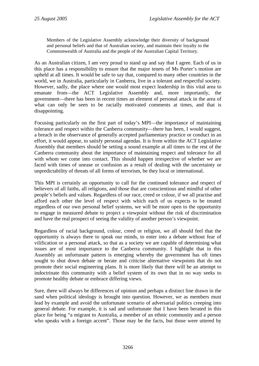Members of the Legislative Assembly acknowledge their diversity of background and personal beliefs and that of Australian society, and maintain their loyalty to the Commonwealth of Australia and the people of the Australian Capital Territory.

As an Australian citizen, I am very proud to stand up and say that I agree. Each of us in this place has a responsibility to ensure that the major tenets of Ms Porter's motion are upheld at all times. It would be safe to say that, compared to many other countries in the world, we in Australia, particularly in Canberra, live in a tolerant and respectful society. However, sadly, the place where one would most expect leadership in this vital area to emanate from—the ACT Legislative Assembly and, more importantly, the government—there has been in recent times an element of personal attack in the area of what can only be seen to be racially motivated comments at times, and that is disappointing.

Focusing particularly on the first part of today's MPI—the importance of maintaining tolerance and respect within the Canberra community—there has been, I would suggest, a breach in the observance of generally accepted parliamentary practice or conduct in an effort, it would appear, to satisfy personal agendas. It is from within the ACT Legislative Assembly that members should be setting a sound example at all times to the rest of the Canberra community about the importance of maintaining respect and tolerance for all with whom we come into contact. This should happen irrespective of whether we are faced with times of unease or confusion as a result of dealing with the uncertainty or unpredictability of threats of all forms of terrorism, be they local or international.

This MPI is certainly an opportunity to call for the continued tolerance and respect of believers of all faiths, all religions, and those that are conscientious and mindful of other people's beliefs and values. Regardless of our race, creed or colour, if we all practise and afford each other the level of respect with which each of us expects to be treated regardless of our own personal belief systems, we will be more open to the opportunity to engage in measured debate to project a viewpoint without the risk of discrimination and have the real prospect of seeing the validity of another person's viewpoint.

Regardless of racial background, colour, creed or religion, we all should feel that the opportunity is always there to speak our minds, to enter into a debate without fear of vilification or a personal attack, so that as a society we are capable of determining what issues are of most importance to the Canberra community. I highlight that in this Assembly an unfortunate pattern is emerging whereby the government has oft times sought to shut down debate or berate and criticise alternative viewpoints that do not promote their social engineering plans. It is more likely that there will be an attempt to indoctrinate this community with a belief system of its own that in no way seeks to promote healthy debate or embrace differing views.

Sure, there will always be differences of opinion and perhaps a distinct line drawn in the sand when political ideology is brought into question. However, we as members must lead by example and avoid the unfortunate scenario of adversarial politics creeping into general debate. For example, it is sad and unfortunate that I have been berated in this place for being "a migrant to Australia, a member of an ethnic community and a person who speaks with a foreign accent". Those may be the facts, but those were uttered by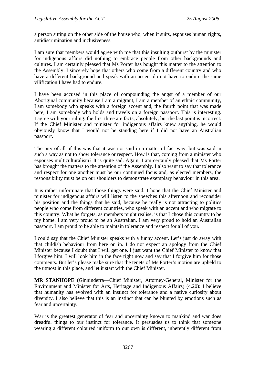a person sitting on the other side of the house who, when it suits, espouses human rights, antidiscrimination and inclusiveness.

I am sure that members would agree with me that this insulting outburst by the minister for indigenous affairs did nothing to embrace people from other backgrounds and cultures. I am certainly pleased that Ms Porter has bought this matter to the attention to the Assembly. I sincerely hope that others who come from a different country and who have a different background and speak with an accent do not have to endure the same vilification I have had to endure.

I have been accused in this place of compounding the angst of a member of our Aboriginal community because I am a migrant, I am a member of an ethnic community, I am somebody who speaks with a foreign accent and, the fourth point that was made here, I am somebody who holds and travels on a foreign passport. This is interesting. I agree with your ruling: the first three are facts, absolutely, but the last point is incorrect. If the Chief Minister and minister for indigenous affairs knew anything, he would obviously know that I would not be standing here if I did not have an Australian passport.

The pity of all of this was that it was not said in a matter of fact way, but was said in such a way as not to show tolerance or respect. How is that, coming from a minister who espouses multiculturalism? It is quite sad. Again, I am certainly pleased that Ms Porter has brought the matters to the attention of the Assembly. I also want to say that tolerance and respect for one another must be our continued focus and, as elected members, the responsibility must be on our shoulders to demonstrate exemplary behaviour in this area.

It is rather unfortunate that those things were said. I hope that the Chief Minister and minister for indigenous affairs will listen to the speeches this afternoon and reconsider his position and the things that he said, because he really is not attracting to politics people who come from different countries, who speak with an accent and who migrate to this country. What he forgets, as members might realise, is that I chose this country to be my home. I am very proud to be an Australian. I am very proud to hold an Australian passport. I am proud to be able to maintain tolerance and respect for all of you.

I could say that the Chief Minister speaks with a funny accent. Let's just do away with that childish behaviour from here on in. I do not expect an apology from the Chief Minister because I doubt that I will get one. I just want the Chief Minister to know that I forgive him. I will look him in the face right now and say that I forgive him for those comments. But let's please make sure that the tenets of Ms Porter's motion are upheld to the utmost in this place, and let it start with the Chief Minister.

**MR STANHOPE** (Ginninderra—Chief Minister, Attorney-General, Minister for the Environment and Minister for Arts, Heritage and Indigenous Affairs) (4.20): I believe that humanity has evolved with an instinct for tolerance and a native curiosity about diversity. I also believe that this is an instinct that can be blunted by emotions such as fear and uncertainty.

War is the greatest generator of fear and uncertainty known to mankind and war does dreadful things to our instinct for tolerance. It persuades us to think that someone wearing a different coloured uniform to our own is different, inherently different from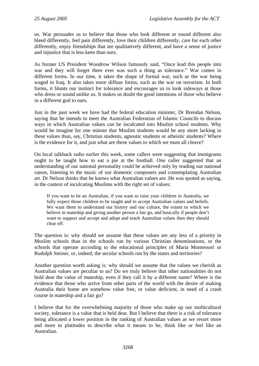us. War persuades us to believe that those who look different or sound different also bleed differently, feel pain differently, love their children differently, care for each other differently, enjoy friendships that are qualitatively different, and have a sense of justice and injustice that is less keen than ours.

As former US President Woodrow Wilson famously said, "Once lead this people into war and they will forget there ever was such a thing as tolerance." War comes in different forms. In our time, it takes the shape of formal war, such as the war being waged in Iraq. It also takes more diffuse forms, such as the war on terrorism. In both forms, it blunts our instinct for tolerance and encourages us to look sideways at those who dress or sound unlike us. It makes us doubt the good intentions of those who believe in a different god to ours.

Just in the past week we have had the federal education minister, Dr Brendan Nelson, saying that he intends to meet the Australian Federation of Islamic Councils to discuss ways in which Australian values can be inculcated into Muslim school students. Why would he imagine for one minute that Muslim students would be any more lacking in these values than, say, Christian students, agnostic students or atheistic students? Where is the evidence for it, and just what are these values to which we must all cleave?

On local talkback radio earlier this week, some callers were suggesting that immigrants ought to be taught how to eat a pie at the football. One caller suggested that an understanding of our national personality could be achieved only by reading our national canon, listening to the music of our domestic composers and contemplating Australian art. Dr Nelson thinks that he knows what Australian values are. He was quoted as saying, in the context of inculcating Muslims with the right set of values:

If you want to be an Australian, if you want to raise your children in Australia, we fully expect those children to be taught and to accept Australian values and beliefs. We want them to understand our history and our culture, the extent to which we believe in mateship and giving another person a fair go, and basically if people don't want to support and accept and adopt and teach Australian values then they should clear off.

The question is: why should we assume that these values are any less of a priority in Muslim schools than in the schools run by various Christian denominations, or the schools that operate according to the educational principles of Maria Montessori or Rudolph Steiner, or, indeed, the secular schools run by the states and territories?

Another question worth asking is: why should we assume that the values we cherish as Australian values are peculiar to us? Do we truly believe that other nationalities do not hold dear the value of mateship, even if they call it by a different name? Where is the evidence that those who arrive from other parts of the world with the desire of making Australia their home are somehow value free, or value deficient, in need of a crash course in mateship and a fair go?

I believe that for the overwhelming majority of those who make up our multicultural society, tolerance is a value that is held dear. But I believe that there is a risk of tolerance being allocated a lower position in the ranking of Australian values as we resort more and more to platitudes to describe what it means to be, think like or feel like an Australian.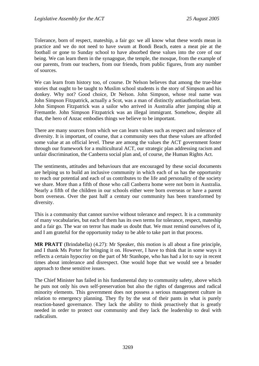Tolerance, born of respect, mateship, a fair go: we all know what these words mean in practice and we do not need to have swum at Bondi Beach, eaten a meat pie at the football or gone to Sunday school to have absorbed these values into the core of our being. We can learn them in the synagogue, the temple, the mosque, from the example of our parents, from our teachers, from our friends, from public figures, from any number of sources.

We can learn from history too, of course. Dr Nelson believes that among the true-blue stories that ought to be taught to Muslim school students is the story of Simpson and his donkey. Why not? Good choice, Dr Nelson. John Simpson, whose real name was John Simpson Fitzpatrick, actually a Scot, was a man of distinctly antiauthoritarian bent. John Simpson Fitzpatrick was a sailor who arrived in Australia after jumping ship at Fremantle. John Simpson Fitzpatrick was an illegal immigrant. Somehow, despite all that, the hero of Anzac embodies things we believe to be important.

There are many sources from which we can learn values such as respect and tolerance of diversity. It is important, of course, that a community sees that these values are afforded some value at an official level. These are among the values the ACT government foster through our framework for a multicultural ACT, our strategic plan addressing racism and unfair discrimination, the Canberra social plan and, of course, the Human Rights Act.

The sentiments, attitudes and behaviours that are encouraged by these social documents are helping us to build an inclusive community in which each of us has the opportunity to reach our potential and each of us contributes to the life and personality of the society we share. More than a fifth of those who call Canberra home were not born in Australia. Nearly a fifth of the children in our schools either were born overseas or have a parent born overseas. Over the past half a century our community has been transformed by diversity.

This is a community that cannot survive without tolerance and respect. It is a community of many vocabularies, but each of them has its own terms for tolerance, respect, mateship and a fair go. The war on terror has made us doubt that. We must remind ourselves of it, and I am grateful for the opportunity today to be able to take part in that process.

**MR PRATT** (Brindabella) (4.27): Mr Speaker, this motion is all about a fine principle, and I thank Ms Porter for bringing it on. However, I have to think that in some ways it reflects a certain hypocrisy on the part of Mr Stanhope, who has had a lot to say in recent times about intolerance and disrespect. One would hope that we would see a broader approach to these sensitive issues.

The Chief Minister has failed in his fundamental duty to community safety, above which he puts not only his own self-preservation but also the rights of dangerous and radical minority elements. This government does not possess a serious management culture in relation to emergency planning. They fly by the seat of their pants in what is purely reaction-based governance. They lack the ability to think proactively that is greatly needed in order to protect our community and they lack the leadership to deal with radicalism.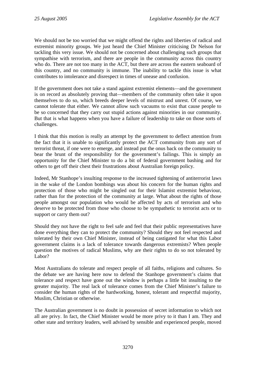We should not be too worried that we might offend the rights and liberties of radical and extremist minority groups. We just heard the Chief Minister criticising Dr Nelson for tackling this very issue. We should not be concerned about challenging such groups that sympathise with terrorism, and there are people in the community across this country who do. There are not too many in the ACT, but there are across the eastern seaboard of this country, and no community is immune. The inability to tackle this issue is what contributes to intolerance and disrespect in times of unease and confusion.

If the government does not take a stand against extremist elements—and the government is on record as absolutely proving that—members of the community often take it upon themselves to do so, which breeds deeper levels of mistrust and unrest. Of course, we cannot tolerate that either. We cannot allow such vacuums to exist that cause people to be so concerned that they carry out stupid actions against minorities in our community. But that is what happens when you have a failure of leadership to take on those sorts of challenges.

I think that this motion is really an attempt by the government to deflect attention from the fact that it is unable to significantly protect the ACT community from any sort of terrorist threat, if one were to emerge, and instead put the onus back on the community to bear the brunt of the responsibility for the government's failings. This is simply an opportunity for the Chief Minister to do a bit of federal government bashing and for others to get off their chest their frustrations about Australian foreign policy.

Indeed, Mr Stanhope's insulting response to the increased tightening of antiterrorist laws in the wake of the London bombings was about his concern for the human rights and protection of those who might be singled out for their Islamist extremist behaviour, rather than for the protection of the community at large. What about the rights of those people amongst our population who would be affected by acts of terrorism and who deserve to be protected from those who choose to be sympathetic to terrorist acts or to support or carry them out?

Should they not have the right to feel safe and feel that their public representatives have done everything they can to protect the community? Should they not feel respected and tolerated by their own Chief Minister, instead of being castigated for what this Labor government claims is a lack of tolerance towards dangerous extremists? When people question the motives of radical Muslims, why are their rights to do so not tolerated by Labor?

Most Australians do tolerate and respect people of all faiths, religions and cultures. So the debate we are having here now to defend the Stanhope government's claims that tolerance and respect have gone out the window is perhaps a little bit insulting to the greater majority. The real lack of tolerance comes from the Chief Minister's failure to consider the human rights of the hardworking, honest, tolerant and respectful majority, Muslim, Christian or otherwise.

The Australian government is no doubt in possession of secret information to which not all are privy. In fact, the Chief Minister would be more privy to it than I am. They and other state and territory leaders, well advised by sensible and experienced people, moved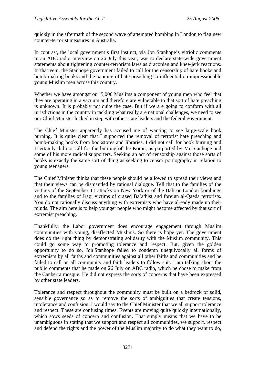quickly in the aftermath of the second wave of attempted bombing in London to flag new counter-terrorist measures in Australia.

In contrast, the local government's first instinct, via Jon Stanhope's vitriolic comments in an ABC radio interview on 26 July this year, was to declare state-wide government statements about tightening counter-terrorism laws as draconian and knee-jerk reactions. In that vein, the Stanhope government failed to call for the censorship of hate books and bomb-making books and the banning of hate preaching so influential on impressionable young Muslim men across this country.

Whether we have amongst our 5,000 Muslims a component of young men who feel that they are operating in a vacuum and therefore are vulnerable to that sort of hate preaching is unknown. It is probably not quite the case. But if we are going to conform with all jurisdictions in the country in tackling what really are national challenges, we need to see our Chief Minister locked in step with other state leaders and the federal government.

The Chief Minister apparently has accused me of wanting to see large-scale book burning. It is quite clear that I supported the removal of terrorist hate preaching and bomb-making books from bookstores and libraries. I did not call for book burning and I certainly did not call for the burning of the Koran, as purported by Mr Stanhope and some of his more radical supporters. Seeking an act of censorship against those sorts of books is exactly the same sort of thing as seeking to censor pornography in relation to young teenagers.

The Chief Minister thinks that these people should be allowed to spread their views and that their views can be dismantled by rational dialogue. Tell that to the families of the victims of the September 11 attacks on New York or of the Bali or London bombings and to the families of Iraqi victims of crazed Ba'athist and foreign al-Qaeda terrorists. You do not rationally discuss anything with extremists who have already made up their minds. The aim here is to help younger people who might become affected by that sort of extremist preaching.

Thankfully, the Labor government does encourage engagement through Muslim communities with young, disaffected Muslims. So there is hope yet. The government does do the right thing by demonstrating solidarity with the Muslim community. This could go some way to promoting tolerance and respect. But, given the golden opportunity to do so, Jon Stanhope failed to condemn unequivocally all forms of extremism by all faiths and communities against all other faiths and communities and he failed to call on all community and faith leaders to follow suit. I am talking about the public comments that he made on 26 July on ABC radio, which he chose to make from the Canberra mosque. He did not express the sorts of concerns that have been expressed by other state leaders.

Tolerance and respect throughout the community must be built on a bedrock of solid, sensible governance so as to remove the sorts of ambiguities that create tensions, intolerance and confusion. I would say to the Chief Minister that we all support tolerance and respect. These are confusing times. Events are moving quite quickly internationally, which sows seeds of concern and confusion. That simply means that we have to be unambiguous in stating that we support and respect all communities, we support, respect and defend the rights and the power of the Muslim majority to do what they want to do,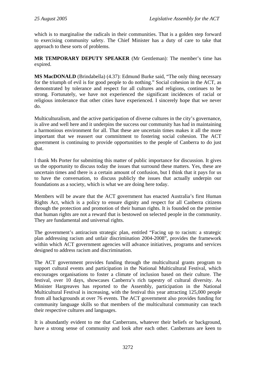which is to marginalise the radicals in their communities. That is a golden step forward to exercising community safety. The Chief Minister has a duty of care to take that approach to these sorts of problems.

**MR TEMPORARY DEPUTY SPEAKER** (Mr Gentleman): The member's time has expired.

**MS MacDONALD** (Brindabella) (4.37): Edmund Burke said, "The only thing necessary for the triumph of evil is for good people to do nothing." Social cohesion in the ACT, as demonstrated by tolerance and respect for all cultures and religions, continues to be strong. Fortunately, we have not experienced the significant incidences of racial or religious intolerance that other cities have experienced. I sincerely hope that we never do.

Multiculturalism, and the active participation of diverse cultures in the city's governance, is alive and well here and it underpins the success our community has had in maintaining a harmonious environment for all. That these are uncertain times makes it all the more important that we reassert our commitment to fostering social cohesion. The ACT government is continuing to provide opportunities to the people of Canberra to do just that.

I thank Ms Porter for submitting this matter of public importance for discussion. It gives us the opportunity to discuss today the issues that surround these matters. Yes, these are uncertain times and there is a certain amount of confusion, but I think that it pays for us to have the conversation, to discuss publicly the issues that actually underpin our foundations as a society, which is what we are doing here today.

Members will be aware that the ACT government has enacted Australia's first Human Rights Act, which is a policy to ensure dignity and respect for all Canberra citizens through the protection and promotion of their human rights. It is founded on the premise that human rights are not a reward that is bestowed on selected people in the community. They are fundamental and universal rights.

The government's antiracism strategic plan, entitled "Facing up to racism: a strategic plan addressing racism and unfair discrimination 2004-2008", provides the framework within which ACT government agencies will advance initiatives, programs and services designed to address racism and discrimination.

The ACT government provides funding through the multicultural grants program to support cultural events and participation in the National Multicultural Festival, which encourages organisations to foster a climate of inclusion based on their culture. The festival, over 10 days, showcases Canberra's rich tapestry of cultural diversity. As Minister Hargreaves has reported to the Assembly, participation in the National Multicultural Festival is increasing, with the festival this year attracting 125,000 people from all backgrounds at over 76 events. The ACT government also provides funding for community language skills so that members of the multicultural community can teach their respective cultures and languages.

It is abundantly evident to me that Canberrans, whatever their beliefs or background, have a strong sense of community and look after each other. Canberrans are keen to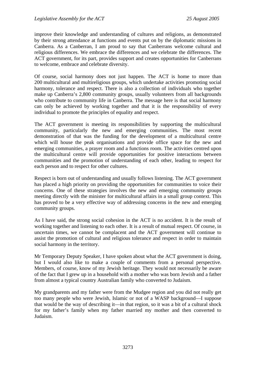improve their knowledge and understanding of cultures and religions, as demonstrated by their strong attendance at functions and events put on by the diplomatic missions in Canberra. As a Canberran, I am proud to say that Canberrans welcome cultural and religious differences. We embrace the differences and we celebrate the differences. The ACT government, for its part, provides support and creates opportunities for Canberrans to welcome, embrace and celebrate diversity.

Of course, social harmony does not just happen. The ACT is home to more than 200 multicultural and multireligious groups, which undertake activities promoting social harmony, tolerance and respect. There is also a collection of individuals who together make up Canberra's 2,800 community groups, usually volunteers from all backgrounds who contribute to community life in Canberra. The message here is that social harmony can only be achieved by working together and that it is the responsibility of every individual to promote the principles of equality and respect.

The ACT government is meeting its responsibilities by supporting the multicultural community, particularly the new and emerging communities. The most recent demonstration of that was the funding for the development of a multicultural centre which will house the peak organisations and provide office space for the new and emerging communities, a prayer room and a functions room. The activities centred upon the multicultural centre will provide opportunities for positive interactions between communities and the promotion of understanding of each other, leading to respect for each person and to respect for other cultures.

Respect is born out of understanding and usually follows listening. The ACT government has placed a high priority on providing the opportunities for communities to voice their concerns. One of these strategies involves the new and emerging community groups meeting directly with the minister for multicultural affairs in a small group context. This has proved to be a very effective way of addressing concerns in the new and emerging community groups.

As I have said, the strong social cohesion in the ACT is no accident. It is the result of working together and listening to each other. It is a result of mutual respect. Of course, in uncertain times, we cannot be complacent and the ACT government will continue to assist the promotion of cultural and religious tolerance and respect in order to maintain social harmony in the territory.

Mr Temporary Deputy Speaker, I have spoken about what the ACT government is doing, but I would also like to make a couple of comments from a personal perspective. Members, of course, know of my Jewish heritage. They would not necessarily be aware of the fact that I grew up in a household with a mother who was born Jewish and a father from almost a typical country Australian family who converted to Judaism.

My grandparents and my father were from the Mudgee region and you did not really get too many people who were Jewish, Islamic or not of a WASP background—I suppose that would be the way of describing it—in that region, so it was a bit of a cultural shock for my father's family when my father married my mother and then converted to Judaism.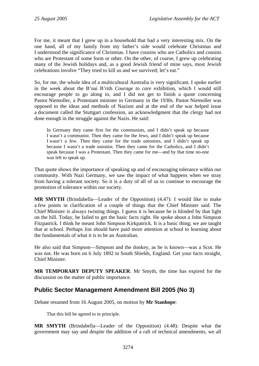For me, it meant that I grew up in a household that had a very interesting mix. On the one hand, all of my family from my father's side would celebrate Christmas and I understood the significance of Christmas. I have cousins who are Catholics and cousins who are Protestant of some form or other. On the other, of course, I grew up celebrating many of the Jewish holidays and, as a good Jewish friend of mine says, most Jewish celebrations involve "They tried to kill us and we survived; let's eat."

So, for me, the whole idea of a multicultural Australia is very significant. I spoke earlier in the week about the B'nai B'rith *Courage to care* exhibition, which I would still encourage people to go along to, and I did not get to finish a quote concerning Pastor Niemoller, a Protestant minister in Germany in the 1930s. Pastor Niemoller was opposed to the ideas and methods of Nazism and at the end of the war helped issue a document called the Stuttgart confession, an acknowledgment that the clergy had not done enough in the struggle against the Nazis. He said:

In Germany they came first for the communists, and I didn't speak up because I wasn't a communist. Then they came for the Jews, and I didn't speak up because I wasn't a Jew. Then they came for the trade unionists, and I didn't speak up because I wasn't a trade unionist. Then they came for the Catholics, and I didn't speak because I was a Protestant. Then they came for me—and by that time no-one was left to speak up.

That quote shows the importance of speaking up and of encouraging tolerance within our community. With Nazi Germany, we saw the impact of what happens when we stray from having a tolerant society. So it is a duty of all of us to continue to encourage the promotion of tolerance within our society.

**MR SMYTH** (Brindabella—Leader of the Opposition) (4.47): I would like to make a few points in clarification of a couple of things that the Chief Minister said. The Chief Minister is always twisting things. I guess it is because he is blinded by that light on the hill. Today, he failed to get the basic facts right. He spoke about a John Simpson Fitzpatrick. I think he meant John Simpson Kirkpatrick. It is a basic thing; we are taught that at school. Perhaps Jon should have paid more attention at school to learning about the fundamentals of what it is to be an Australian.

He also said that Simpson—Simpson and the donkey, as he is known—was a Scot. He was not. He was born on 6 July 1892 in South Shields, England. Get your facts straight, Chief Minister.

**MR TEMPORARY DEPUTY SPEAKER**: Mr Smyth, the time has expired for the discussion on the matter of public importance.

# **Public Sector Management Amendment Bill 2005 (No 3)**

Debate resumed from 16 August 2005, on motion by **Mr Stanhope**:

That this bill be agreed to in principle.

**MR SMYTH** (Brindabella—Leader of the Opposition) (4.48): Despite what the government may say and despite the addition of a raft of technical amendments, we all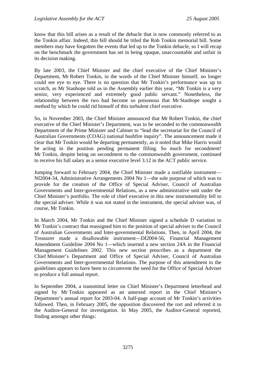know that this bill arises as a result of the debacle that is now commonly referred to as the Tonkin affair. Indeed, this bill should be titled the Rob Tonkin memorial bill. Some members may have forgotten the events that led up to the Tonkin debacle, so I will recap on the benchmark the government has set in being opaque, unaccountable and unfair in its decision making.

By late 2003, the Chief Minister and the chief executive of the Chief Minister's Department, Mr Robert Tonkin, in the words of the Chief Minister himself, no longer could see eye to eye. There is no question that Mr Tonkin's performance was up to scratch, as Mr Stanhope told us in the Assembly earlier this year, "Mr Tonkin is a very senior, very experienced and extremely good public servant." Nonetheless, the relationship between the two had become so poisonous that Mr Stanhope sought a method by which he could rid himself of this turbulent chief executive.

So, in November 2003, the Chief Minister announced that Mr Robert Tonkin, the chief executive of the Chief Minister's Department, was to be seconded to the commonwealth Department of the Prime Minister and Cabinet to "lead the secretariat for the Council of Australian Governments (COAG) national bushfire inquiry". The announcement made it clear that Mr Tonkin would be departing permanently, as it noted that Mike Harris would be acting in the position pending permanent filling. So much for secondment! Mr Tonkin, despite being on secondment to the commonwealth government, continued to receive his full salary as a senior executive level 3.12 in the ACT public service.

Jumping forward to February 2004, the Chief Minister made a notifiable instrument— NI2004-34, Administrative Arrangements 2004 No 1—the sole purpose of which was to provide for the creation of the Office of Special Adviser, Council of Australian Governments and Inter-governmental Relations, as a new administrative unit under the Chief Minister's portfolio. The role of chief executive in this new instrumentality fell to the special adviser. While it was not stated in the instrument, the special adviser was, of course, Mr Tonkin.

In March 2004, Mr Tonkin and the Chief Minister signed a schedule D variation to Mr Tonkin's contract that reassigned him to the position of special adviser to the Council of Australian Governments and Inter-governmental Relations. Then, in April 2004, the Treasurer made a disallowable instrument—DI2004-56, Financial Management Amendment Guideline 2004 No 1—which inserted a new section 24A in the Financial Management Guidelines 2002. This new section prescribes as a department the Chief Minister's Department and Office of Special Adviser, Council of Australian Governments and Inter-governmental Relations. The purpose of this amendment to the guidelines appears to have been to circumvent the need for the Office of Special Adviser to produce a full annual report.

In September 2004, a transmittal letter on Chief Minister's Department letterhead and signed by Mr Tonkin appeared as an annexed report in the Chief Minister's Department's annual report for 2003-04. A half-page account of Mr Tonkin's activities followed. Then, in February 2005, the opposition discovered the rort and referred it to the Auditor-General for investigation. In May 2005, the Auditor-General reported, finding amongst other things: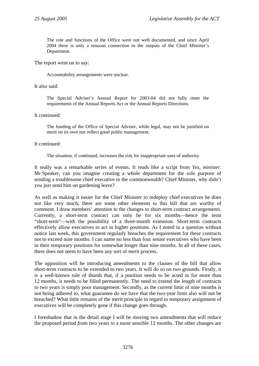The role and functions of the Office were not well documented, and since April 2004 there is only a tenuous connection to the outputs of the Chief Minister's Department.

The report went on to say:

Accountability arrangements were unclear.

It also said:

The Special Adviser's Annual Report for 2003-04 did not fully meet the requirements of the Annual Reports Act or the Annual Reports Directions.

#### It continued:

The funding of the Office of Special Adviser, while legal, may not be justified on merit on its own nor reflect good public management.

#### It continued:

The situation, if continued, increases the risk for inappropriate uses of authority.

It really was a remarkable series of events. It reads like a script from *Yes, minister*. Mr Speaker, can you imagine creating a whole department for the sole purpose of sending a troublesome chief executive to the commonwealth? Chief Minister, why didn't you just send him on gardening leave?

As well as making it easier for the Chief Minister to redeploy chief executives he does not like very much, there are some other elements to this bill that are worthy of comment. I draw members' attention to the changes to short-term contract arrangements. Currently, a short-term contract can only be for six months—hence the term "short-term"—with the possibility of a three-month extension. Short-term contracts effectively allow executives to act in higher positions. As I noted in a question without notice last week, this government regularly breaches the requirement for these contracts not to exceed nine months. I can name no less than four senior executives who have been in their temporary positions for somewhat longer than nine months. In all of these cases, there does not seem to have been any sort of merit process.

The opposition will be introducing amendments to the clauses of the bill that allow short-term contracts to be extended to two years. It will do so on two grounds. Firstly, it is a well-known rule of thumb that, if a position needs to be acted in for more than 12 months, it needs to be filled permanently. The need to extend the length of contracts to two years is simply poor management. Secondly, as the current limit of nine months is not being adhered to, what guarantee do we have that the two-year limit also will not be breached? What little remains of the merit principle in regard to temporary assignment of executives will be completely gone if this change goes through.

I foreshadow that in the detail stage I will be moving two amendments that will reduce the proposed period from two years to a more sensible 12 months. The other changes are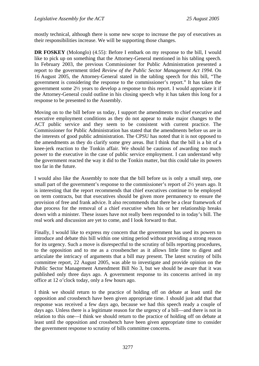mostly technical, although there is some new scope to increase the pay of executives as their responsibilities increase. We will be supporting those changes.

**DR FOSKEY** (Molonglo) (4.55): Before I embark on my response to the bill, I would like to pick up on something that the Attorney-General mentioned in his tabling speech. In February 2003, the previous Commissioner for Public Administration presented a report to the government titled *Review of the Public Sector Management Act 1994.* On 16 August 2005, the Attorney-General stated in the tabling speech for this bill, "The government is considering the response to the commissioner's report." It has taken the government some 2½ years to develop a response to this report. I would appreciate it if the Attorney-General could outline in his closing speech why it has taken this long for a response to be presented to the Assembly.

Moving on to the bill before us today, I support the amendments to chief executive and executive employment conditions as they do not appear to make major changes to the ACT public service and they seem to be consistent with current practice. The Commissioner for Public Administration has stated that the amendments before us are in the interests of good public administration. The CPSU has noted that it is not opposed to the amendments as they do clarify some grey areas. But I think that the bill is a bit of a knee-jerk reaction to the Tonkin affair. We should be cautious of awarding too much power to the executive in the case of public service employment. I can understand why the government reacted the way it did to the Tonkin matter, but this could take its powers too far in the future.

I would also like the Assembly to note that the bill before us is only a small step, one small part of the government's response to the commissioner's report of 2<sup>1/2</sup> years ago. It is interesting that the report recommends that chief executives continue to be employed on term contracts, but that executives should be given more permanency to ensure the provision of free and frank advice. It also recommends that there be a clear framework of due process for the removal of a chief executive when his or her relationship breaks down with a minister. These issues have not really been responded to in today's bill. The real work and discussion are yet to come, and I look forward to that.

Finally, I would like to express my concern that the government has used its powers to introduce and debate this bill within one sitting period without providing a strong reason for its urgency. Such a move is disrespectful to the scrutiny of bills reporting procedures, to the opposition and to me as a crossbencher as it allows little time to digest and articulate the intricacy of arguments that a bill may present. The latest scrutiny of bills committee report, 22 August 2005, was able to investigate and provide opinion on the Public Sector Management Amendment Bill No 3, but we should be aware that it was published only three days ago. A government response to its concerns arrived in my office at 12 o'clock today, only a few hours ago.

I think we should return to the practice of holding off on debate at least until the opposition and crossbench have been given appropriate time. I should just add that that response was received a few days ago, because we had this speech ready a couple of days ago. Unless there is a legitimate reason for the urgency of a bill—and there is not in relation to this one—I think we should return to the practice of holding off on debate at least until the opposition and crossbench have been given appropriate time to consider the government response to scrutiny of bills committee concerns.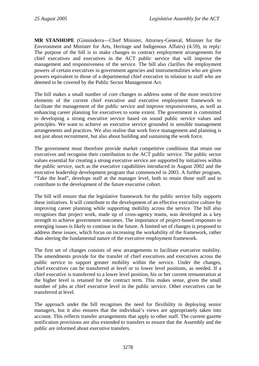**MR STANHOPE** (Ginninderra—Chief Minister, Attorney-General, Minister for the Environment and Minister for Arts, Heritage and Indigenous Affairs) (4.59), in reply: The purpose of the bill is to make changes to contract employment arrangements for chief executives and executives in the ACT public service that will improve the management and responsiveness of the service. The bill also clarifies the employment powers of certain executives in government agencies and instrumentalities who are given powers equivalent to those of a departmental chief executive in relation to staff who are deemed to be covered by the Public Sector Management Act.

The bill makes a small number of core changes to address some of the more restrictive elements of the current chief executive and executive employment framework to facilitate the management of the public service and improve responsiveness, as well as enhancing career planning for executives to some extent. The government is committed to developing a strong executive service based on sound public service values and principles. We want to achieve an executive service grounded in sensible management arrangements and practices. We also realise that work force management and planning is not just about recruitment, but also about building and sustaining the work force.

The government must therefore provide market competitive conditions that retain our executives and recognise their contribution to the ACT public service. The public sector values essential for creating a strong executive service are supported by initiatives within the public service, such as the executive capabilities introduced in August 2002 and the executive leadership development program that commenced in 2003. A further program, "Take the lead", develops staff at the manager level, both to retain those staff and to contribute to the development of the future executive cohort.

The bill will ensure that the legislative framework for the public service fully supports these initiatives. It will contribute to the development of an effective executive culture by improving career planning while supporting mobility across the service. The bill also recognises that project work, made up of cross-agency teams, was developed as a key strength to achieve government outcomes. The importance of project-based responses to emerging issues is likely to continue in the future. A limited set of changes is proposed to address these issues, which focus on increasing the workability of the framework, rather than altering the fundamental nature of the executive employment framework.

The first set of changes consists of new arrangements to facilitate executive mobility. The amendments provide for the transfer of chief executives and executives across the public service to support greater mobility within the service. Under the changes, chief executives can be transferred at level or to lower level positions, as needed. If a chief executive is transferred to a lower level position, his or her current remuneration at the higher level is retained for the contract term. This makes sense, given the small number of jobs at chief executive level in the public service. Other executives can be transferred at level.

The approach under the bill recognises the need for flexibility in deploying senior managers, but it also ensures that the individual's views are appropriately taken into account. This reflects transfer arrangements that apply to other staff. The current gazette notification provisions are also extended to transfers to ensure that the Assembly and the public are informed about executive transfers.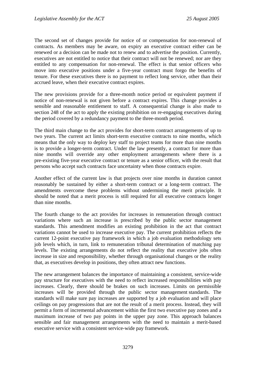The second set of changes provide for notice of or compensation for non-renewal of contracts. As members may be aware, on expiry an executive contract either can be renewed or a decision can be made not to renew and to advertise the position. Currently, executives are not entitled to notice that their contract will not be renewed; nor are they entitled to any compensation for non-renewal. The effect is that senior officers who move into executive positions under a five-year contract must forgo the benefits of tenure. For these executives there is no payment to reflect long service, other than their accrued leave, when their executive contract expires.

The new provisions provide for a three-month notice period or equivalent payment if notice of non-renewal is not given before a contract expires. This change provides a sensible and reasonable entitlement to staff. A consequential change is also made to section 248 of the act to apply the existing prohibition on re-engaging executives during the period covered by a redundancy payment to the three-month period.

The third main change to the act provides for short-term contract arrangements of up to two years. The current act limits short-term executive contracts to nine months, which means that the only way to deploy key staff to project teams for more than nine months is to provide a longer-term contract. Under the law presently, a contract for more than nine months will override any other employment arrangements where there is a pre-existing five-year executive contract or tenure as a senior officer, with the result that persons who accept such contracts face uncertainty when those contracts expire.

Another effect of the current law is that projects over nine months in duration cannot reasonably be sustained by either a short-term contract or a long-term contract. The amendments overcome these problems without undermining the merit principle. It should be noted that a merit process is still required for all executive contracts longer than nine months.

The fourth change to the act provides for increases in remuneration through contract variations where such an increase is prescribed by the public sector management standards. This amendment modifies an existing prohibition in the act that contract variations cannot be used to increase executive pay. The current prohibition reflects the current 12-point executive pay framework in which a job evaluation methodology sets job levels which, in turn, link to remuneration tribunal determination of matching pay levels. The existing arrangements do not reflect the reality that executive jobs often increase in size and responsibility, whether through organisational changes or the reality that, as executives develop in positions, they often attract new functions.

The new arrangement balances the importance of maintaining a consistent, service-wide pay structure for executives with the need to reflect increased responsibilities with pay increases. Clearly, there should be brakes on such increases. Limits on permissible increases will be provided through the public sector management standards. The standards will make sure pay increases are supported by a job evaluation and will place ceilings on pay progressions that are not the result of a merit process. Instead, they will permit a form of incremental advancement within the first two executive pay zones and a maximum increase of two pay points in the upper pay zone. This approach balances sensible and fair management arrangements with the need to maintain a merit-based executive service with a consistent service-wide pay framework.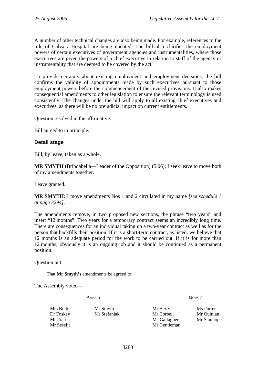A number of other technical changes are also being made. For example, references to the title of Calvary Hospital are being updated. The bill also clarifies the employment powers of certain executives of government agencies and instrumentalities, where those executives are given the powers of a chief executive in relation to staff of the agency or instrumentality that are deemed to be covered by the act.

To provide certainty about existing employment and employment decisions, the bill confirms the validity of appointments made by such executives pursuant to those employment powers before the commencement of the revised provisions. It also makes consequential amendments to other legislation to ensure the relevant terminology is used consistently. The changes under the bill will apply to all existing chief executives and executives, as there will be no prejudicial impact on current entitlements.

Question resolved in the affirmative.

Bill agreed to in principle.

#### **Detail stage**

Bill, by leave, taken as a whole.

**MR SMYTH** (Brindabella—Leader of the Opposition) (5.06): I seek leave to move both of my amendments together.

Leave granted.

**MR SMYTH**: I move amendments Nos 1 and 2 circulated in my name *[see schedule 1 at page 3294].*

The amendments remove, in two proposed new sections, the phrase "two years" and insert "12 months". Two years for a temporary contract seems an incredibly long time. There are consequences for an individual taking up a two-year contract as well as for the person that backfills their position. If it is a short-term contract, as listed, we believe that 12 months is an adequate period for the work to be carried out. If it is for more than 12 months, obviously it is an ongoing job and it should be continued as a permanent position.

Question put:

That **Mr Smyth's** amendments be agreed to:

The Assembly voted—

Ayes 6 Noes 7

Mrs Burke Mr Smyth Mr Berry Ms Porter Dr Foskey Mr Stefaniak Mr Corbell Mr Quinlan Mr Pratt Mr Stanhope Mr Stanhope Mr Stanhope Mr Stanhope Mr Stanhope Mr Stanhope Mr Stanhope Mr Stanhope Mr Stanhope  $\mathbf{M}$ Mr Seselja Mr Gentleman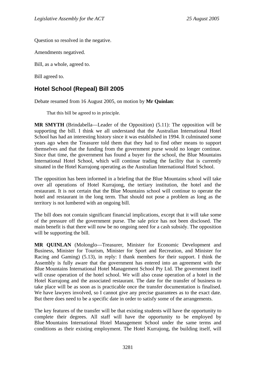Question so resolved in the negative.

Amendments negatived.

Bill, as a whole, agreed to.

Bill agreed to.

# **Hotel School (Repeal) Bill 2005**

Debate resumed from 16 August 2005, on motion by **Mr Quinlan**:

That this bill be agreed to in principle.

**MR SMYTH** (Brindabella—Leader of the Opposition) (5.11): The opposition will be supporting the bill. I think we all understand that the Australian International Hotel School has had an interesting history since it was established in 1994. It culminated some years ago when the Treasurer told them that they had to find other means to support themselves and that the funding from the government purse would no longer continue. Since that time, the government has found a buyer for the school, the Blue Mountains International Hotel School, which will continue trading the facility that is currently situated in the Hotel Kurrajong operating as the Australian International Hotel School.

The opposition has been informed in a briefing that the Blue Mountains school will take over all operations of Hotel Kurrajong, the tertiary institution, the hotel and the restaurant. It is not certain that the Blue Mountains school will continue to operate the hotel and restaurant in the long term. That should not pose a problem as long as the territory is not lumbered with an ongoing bill.

The bill does not contain significant financial implications, except that it will take some of the pressure off the government purse. The sale price has not been disclosed. The main benefit is that there will now be no ongoing need for a cash subsidy. The opposition will be supporting the bill.

**MR QUINLAN** (Molonglo—Treasurer, Minister for Economic Development and Business, Minister for Tourism, Minister for Sport and Recreation, and Minister for Racing and Gaming) (5.13), in reply: I thank members for their support. I think the Assembly is fully aware that the government has entered into an agreement with the Blue Mountains International Hotel Management School Pty Ltd. The government itself will cease operation of the hotel school. We will also cease operation of a hotel in the Hotel Kurrajong and the associated restaurant. The date for the transfer of business to take place will be as soon as is practicable once the transfer documentation is finalised. We have lawyers involved, so I cannot give any precise guarantees as to the exact date. But there does need to be a specific date in order to satisfy some of the arrangements.

The key features of the transfer will be that existing students will have the opportunity to complete their degrees. All staff will have the opportunity to be employed by Blue Mountains International Hotel Management School under the same terms and conditions as their existing employment. The Hotel Kurrajong, the building itself, will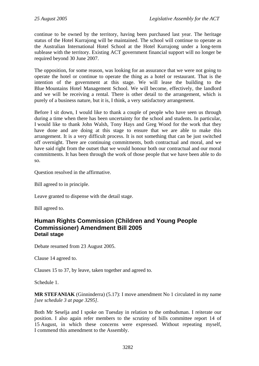continue to be owned by the territory, having been purchased last year. The heritage status of the Hotel Kurrajong will be maintained. The school will continue to operate as the Australian International Hotel School at the Hotel Kurrajong under a long-term sublease with the territory. Existing ACT government financial support will no longer be required beyond 30 June 2007.

The opposition, for some reason, was looking for an assurance that we were not going to operate the hotel or continue to operate the thing as a hotel or restaurant. That is the intention of the government at this stage. We will lease the building to the Blue Mountains Hotel Management School. We will become, effectively, the landlord and we will be receiving a rental. There is other detail to the arrangement, which is purely of a business nature, but it is, I think, a very satisfactory arrangement.

Before I sit down, I would like to thank a couple of people who have seen us through during a time when there has been uncertainty for the school and students. In particular, I would like to thank John Walsh, Tony Hays and Greg Wood for the work that they have done and are doing at this stage to ensure that we are able to make this arrangement. It is a very difficult process. It is not something that can be just switched off overnight. There are continuing commitments, both contractual and moral, and we have said right from the outset that we would honour both our contractual and our moral commitments. It has been through the work of those people that we have been able to do so.

Question resolved in the affirmative.

Bill agreed to in principle.

Leave granted to dispense with the detail stage.

Bill agreed to.

# **Human Rights Commission (Children and Young People Commissioner) Amendment Bill 2005 Detail stage**

Debate resumed from 23 August 2005.

Clause 14 agreed to.

Clauses 15 to 37, by leave, taken together and agreed to.

Schedule 1.

**MR STEFANIAK** (Ginninderra) (5.17): I move amendment No 1 circulated in my name *[see schedule 3 at page 3295]*.

Both Mr Seselja and I spoke on Tuesday in relation to the ombudsman. I reiterate our position. I also again refer members to the scrutiny of bills committee report 14 of 15 August, in which these concerns were expressed. Without repeating myself, I commend this amendment to the Assembly.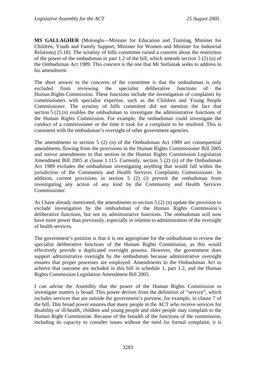**MS GALLAGHER** (Molonglo—Minister for Education and Training, Minister for Children, Youth and Family Support, Minister for Women and Minister for Industrial Relations) (5.18): The scrutiny of bills committee raised a concern about the restriction of the power of the ombudsman in part 1.2 of the bill, which amends section 5 (2) (n) of the Ombudsman Act 1989. This concern is the one that Mr Stefaniak seeks to address in his amendment.

The short answer to the concerns of the committee is that the ombudsman is only excluded from reviewing the specialist deliberative functions of the Human Rights Commission. These functions include the investigation of complaints by commissioners with specialist expertise, such as the Children and Young People Commissioner. The scrutiny of bills committee did not mention the fact that section 5 (2) (n) enables the ombudsman to investigate the administrative functions of the Human Rights Commission. For example, the ombudsman could investigate the conduct of a commissioner or the time it took for a complaint to be resolved. This is consistent with the ombudsman's oversight of other government agencies.

The amendments to section 5 (2) (n) of the Ombudsman Act 1989 are consequential amendments flowing from the provisions in the Human Rights Commissioner Bill 2005 and mirror amendments to that section in the Human Rights Commission Legislation Amendment Bill 2005 at clause 1.115. Currently, section 5 (2) (n) of the Ombudsman Act 1989 excludes the ombudsman investigating anything that would fall within the jurisdiction of the Community and Health Services Complaints Commissioner. In addition, current provisions in section 5 (2) (i) prevent the ombudsman from investigating any action of any kind by the Community and Health Services Commissioner.

As I have already mentioned, the amendments to section  $5(2)$  (n) update the provision to exclude investigation by the ombudsman of the Human Rights Commission's deliberative functions, but not its administrative functions. The ombudsman will now have more power than previously, especially in relation to administration of the oversight of health services.

The government's position is that it is not appropriate for the ombudsman to review the specialist deliberative functions of the Human Rights Commission, as this would effectively provide a duplicated oversight process. However, the government does support administrative oversight by the ombudsman because administrative oversight ensures that proper processes are employed. Amendments to the Ombudsman Act to achieve that outcome are included in this bill in schedule 1, part 1.2, and the Human Rights Commission Legislation Amendment Bill 2005.

I can advise the Assembly that the power of the Human Rights Commission to investigate matters is broad. This power derives from the definition of "service", which includes services that are outside the government's purview, for example, in clause 7 of the bill. This broad power ensures that many people in the ACT who receive services for disability or ill-health, children and young people and older people may complain to the Human Right Commission. Because of the breadth of the functions of the commission, including its capacity to consider issues without the need for formal complaint, it is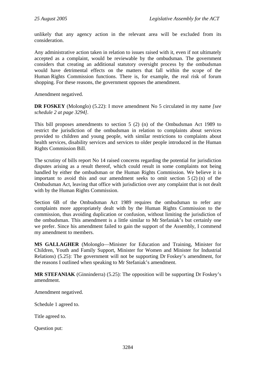unlikely that any agency action in the relevant area will be excluded from its consideration.

Any administrative action taken in relation to issues raised with it, even if not ultimately accepted as a complaint, would be reviewable by the ombudsman. The government considers that creating an additional statutory oversight process by the ombudsman would have detrimental effects on the matters that fall within the scope of the Human Rights Commission functions. There is, for example, the real risk of forum shopping. For these reasons, the government opposes the amendment.

Amendment negatived.

**DR FOSKEY** (Molonglo) (5.22): I move amendment No 5 circulated in my name *[see schedule 2 at page 3294]*.

This bill proposes amendments to section 5 (2) (n) of the Ombudsman Act 1989 to restrict the jurisdiction of the ombudsman in relation to complaints about services provided to children and young people, with similar restrictions to complaints about health services, disability services and services to older people introduced in the Human Rights Commission Bill.

The scrutiny of bills report No 14 raised concerns regarding the potential for jurisdiction disputes arising as a result thereof, which could result in some complaints not being handled by either the ombudsman or the Human Rights Commission. We believe it is important to avoid this and our amendment seeks to omit section  $5(2)(n)$  of the Ombudsman Act, leaving that office with jurisdiction over any complaint that is not dealt with by the Human Rights Commission.

Section 6B of the Ombudsman Act 1989 requires the ombudsman to refer any complaints more appropriately dealt with by the Human Rights Commission to the commission, thus avoiding duplication or confusion, without limiting the jurisdiction of the ombudsman. This amendment is a little similar to Mr Stefaniak's but certainly one we prefer. Since his amendment failed to gain the support of the Assembly, I commend my amendment to members.

**MS GALLAGHER** (Molonglo—Minister for Education and Training, Minister for Children, Youth and Family Support, Minister for Women and Minister for Industrial Relations) (5.25): The government will not be supporting Dr Foskey's amendment, for the reasons I outlined when speaking to Mr Stefaniak's amendment.

**MR STEFANIAK** (Ginninderra) (5.25): The opposition will be supporting Dr Foskey's amendment.

Amendment negatived.

Schedule 1 agreed to.

Title agreed to.

Question put: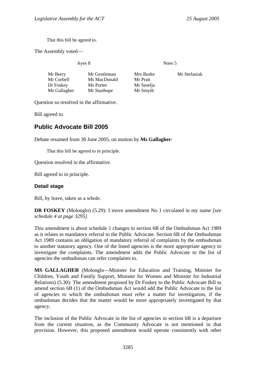That this bill be agreed to.

The Assembly voted—

Ayes 8 Noes 5

| Mr Berry     | Mr Gentleman | Mrs Burke  | Mr Stefaniak |
|--------------|--------------|------------|--------------|
| Mr Corbell   | Ms MacDonald | Mr Pratt   |              |
| Dr Foskey    | Ms Porter    | Mr Seselja |              |
| Ms Gallagher | Mr Stanhope  | Mr Smyth   |              |

Question so resolved in the affirmative.

Bill agreed to.

# **Public Advocate Bill 2005**

Debate resumed from 30 June 2005, on motion by **Ms Gallagher**:

That this bill be agreed to in principle.

Question resolved in the affirmative.

Bill agreed to in principle.

#### **Detail stage**

Bill, by leave, taken as a whole.

**DR FOSKEY** (Molonglo) (5.29): I move amendment No 1 circulated in my name *[see schedule 4 at page 3295]*.

This amendment is about schedule 1 changes to section 6B of the Ombudsman Act 1989 as it relates to mandatory referral to the Public Advocate. Section 6B of the Ombudsman Act 1989 contains an obligation of mandatory referral of complaints by the ombudsman to another statutory agency. One of the listed agencies is the more appropriate agency to investigate the complaints. The amendment adds the Public Advocate to the list of agencies the ombudsman can refer complaints to.

**MS GALLAGHER** (Molonglo—Minister for Education and Training, Minister for Children, Youth and Family Support, Minister for Women and Minister for Industrial Relations) (5.30): The amendment proposed by Dr Foskey to the Public Advocate Bill to amend section 6B (1) of the Ombudsman Act would add the Public Advocate to the list of agencies to which the ombudsman must refer a matter for investigation, if the ombudsman decides that the matter would be more appropriately investigated by that agency.

The inclusion of the Public Advocate in the list of agencies in section 6B is a departure from the current situation, as the Community Advocate is not mentioned in that provision. However, this proposed amendment would operate consistently with other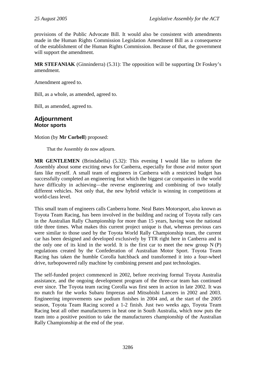provisions of the Public Advocate Bill. It would also be consistent with amendments made in the Human Rights Commission Legislation Amendment Bill as a consequence of the establishment of the Human Rights Commission. Because of that, the government will support the amendment.

**MR STEFANIAK** (Ginninderra) (5.31): The opposition will be supporting Dr Foskey's amendment.

Amendment agreed to.

Bill, as a whole, as amended, agreed to.

Bill, as amended, agreed to.

#### **Adjournment Motor sports**

Motion (by **Mr Corbell**) proposed:

That the Assembly do now adjourn.

**MR GENTLEMEN** (Brindabella) (5.32): This evening I would like to inform the Assembly about some exciting news for Canberra, especially for those avid motor sport fans like myself. A small team of engineers in Canberra with a restricted budget has successfully completed an engineering feat which the biggest car companies in the world have difficulty in achieving—the reverse engineering and combining of two totally different vehicles. Not only that, the new hybrid vehicle is winning in competitions at world-class level.

This small team of engineers calls Canberra home. Neal Bates Motorsport, also known as Toyota Team Racing, has been involved in the building and racing of Toyota rally cars in the Australian Rally Championship for more than 15 years, having won the national title three times. What makes this current project unique is that, whereas previous cars were similar to those used by the Toyota World Rally Championship team, the current car has been designed and developed exclusively by TTR right here in Canberra and is the only one of its kind in the world. It is the first car to meet the new group  $N(P)$ regulations created by the Confederation of Australian Motor Sport. Toyota Team Racing has taken the humble Corolla hatchback and transformed it into a four-wheel drive, turbopowered rally machine by combining present and past technologies.

The self-funded project commenced in 2002, before receiving formal Toyota Australia assistance, and the ongoing development program of the three-car team has continued ever since. The Toyota team racing Corolla was first seen in action in late 2002. It was no match for the works Subaru Imprezas and Mitsubishi Lancers in 2002 and 2003. Engineering improvements saw podium finishes in 2004 and, at the start of the 2005 season, Toyota Team Racing scored a 1-2 finish. Just two weeks ago, Toyota Team Racing beat all other manufacturers in heat one in South Australia, which now puts the team into a positive position to take the manufacturers championship of the Australian Rally Championship at the end of the year.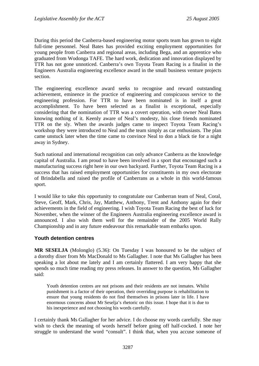During this period the Canberra-based engineering motor sports team has grown to eight full-time personnel. Neal Bates has provided exciting employment opportunities for young people from Canberra and regional areas, including Bega, and an apprentice who graduated from Wodonga TAFE. The hard work, dedication and innovation displayed by TTR has not gone unnoticed. Canberra's own Toyota Team Racing is a finalist in the Engineers Australia engineering excellence award in the small business venture projects section.

The engineering excellence award seeks to recognise and reward outstanding achievement, eminence in the practice of engineering and conspicuous service to the engineering profession. For TTR to have been nominated is in itself a great accomplishment. To have been selected as a finalist is exceptional, especially considering that the nomination of TTR was a covert operation, with owner Neal Bates knowing nothing of it. Keenly aware of Neal's modesty, his close friends nominated TTR on the sly. When the awards judges came to inspect Toyota Team Racing's workshop they were introduced to Neal and the team simply as car enthusiasts. The plan came unstuck later when the time came to convince Neal to don a black tie for a night away in Sydney.

Such national and international recognition can only advance Canberra as the knowledge capital of Australia. I am proud to have been involved in a sport that encouraged such a manufacturing success right here in our own backyard. Further, Toyota Team Racing is a success that has raised employment opportunities for constituents in my own electorate of Brindabella and raised the profile of Canberrans as a whole in this world-famous sport.

I would like to take this opportunity to congratulate our Canberran team of Neal, Coral, Steve, Geoff, Mark, Chris, Jay, Matthew, Anthony, Trent and Anthony again for their achievements in the field of engineering. I wish Toyota Team Racing the best of luck for November, when the winner of the Engineers Australia engineering excellence award is announced. I also wish them well for the remainder of the 2005 World Rally Championship and in any future endeavour this remarkable team embarks upon.

#### **Youth detention centres**

**MR SESELJA** (Molonglo) (5.36): On Tuesday I was honoured to be the subject of a dorothy dixer from Ms MacDonald to Ms Gallagher. I note that Ms Gallagher has been speaking a lot about me lately and I am certainly flattered. I am very happy that she spends so much time reading my press releases. In answer to the question, Ms Gallagher said:

Youth detention centres are not prisons and their residents are not inmates. Whilst punishment is a factor of their operation, their overriding purpose is rehabilitation to ensure that young residents do not find themselves in prisons later in life. I have enormous concerns about Mr Seselja's rhetoric on this issue. I hope that it is due to his inexperience and not choosing his words carefully.

I certainly thank Ms Gallagher for her advice. I do choose my words carefully. She may wish to check the meaning of words herself before going off half-cocked. I note her struggle to understand the word "consult". I think that, when you accuse someone of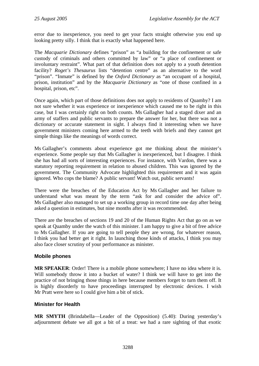error due to inexperience, you need to get your facts straight otherwise you end up looking pretty silly. I think that is exactly what happened here.

The *Macquarie Dictionary* defines "prison" as "a building for the confinement or safe custody of criminals and others committed by law" or "a place of confinement or involuntary restraint". What part of that definition does not apply to a youth detention facility? *Roget's Thesaurus* lists "detention centre" as an alternative to the word "prison". "Inmate" is defined by the *Oxford Dictionary* as "an occupant of a hospital, prison, institution" and by the *Macquarie Dictionary* as "one of those confined in a hospital, prison, etc".

Once again, which part of those definitions does not apply to residents of Quamby? I am not sure whether it was experience or inexperience which caused me to be right in this case, but I was certainly right on both counts. Ms Gallagher had a staged dixer and an army of staffers and public servants to prepare the answer for her, but there was not a dictionary or accurate statement in sight. I always find it interesting when we have government ministers coming here armed to the teeth with briefs and they cannot get simple things like the meanings of words correct.

Ms Gallagher's comments about experience got me thinking about the minister's experience. Some people say that Ms Gallagher is inexperienced, but I disagree. I think she has had all sorts of interesting experiences. For instance, with Vardon, there was a statutory reporting requirement in relation to abused children. This was ignored by the government. The Community Advocate highlighted this requirement and it was again ignored. Who cops the blame? A public servant! Watch out, public servants!

There were the breaches of the Education Act by Ms Gallagher and her failure to understand what was meant by the term "ask for and consider the advice of". Ms Gallagher also managed to set up a working group in record time one day after being asked a question in estimates, but nine months after it was recommended.

There are the breaches of sections 19 and 20 of the Human Rights Act that go on as we speak at Quamby under the watch of this minister. I am happy to give a bit of free advice to Ms Gallagher. If you are going to tell people they are wrong, for whatever reason, I think you had better get it right. In launching those kinds of attacks, I think you may also face closer scrutiny of your performance as minister.

# **Mobile phones**

**MR SPEAKER**: Order! There is a mobile phone somewhere; I have no idea where it is. Will somebody throw it into a bucket of water? I think we will have to get into the practice of not bringing those things in here because members forget to turn them off. It is highly disorderly to have proceedings interrupted by electronic devices. I wish Mr Pratt were here so I could give him a bit of stick.

#### **Minister for Health**

**MR SMYTH** (Brindabella—Leader of the Opposition) (5.40): During yesterday's adjournment debate we all got a bit of a treat: we had a rare sighting of that exotic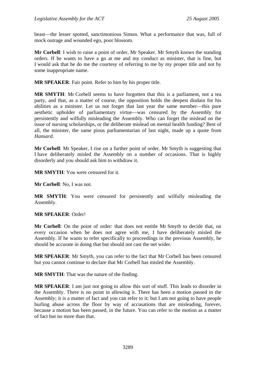beast—the lesser spotted, sanctimonious Simon. What a performance that was, full of mock outrage and wounded ego, poor blossom.

**Mr Corbell**: I wish to raise a point of order, Mr Speaker. Mr Smyth knows the standing orders. If he wants to have a go at me and my conduct as minister, that is fine, but I would ask that he do me the courtesy of referring to me by my proper title and not by some inappropriate name.

**MR SPEAKER**: Fair point. Refer to him by his proper title.

**MR SMYTH**: Mr Corbell seems to have forgotten that this is a parliament, not a tea party, and that, as a matter of course, the opposition holds the deepest disdain for his abilities as a minister. Let us not forget that last year the same member—this pure aesthetic upholder of parliamentary virtue—was censured by the Assembly for persistently and wilfully misleading the Assembly. Who can forget the mislead on the issue of nursing scholarships, or the deliberate mislead on mental health funding? Best of all, the minister, the same pious parliamentarian of last night, made up a quote from *Hansard*.

**Mr Corbell**: Mr Speaker, I rise on a further point of order. Mr Smyth is suggesting that I have deliberately misled the Assembly on a number of occasions. That is highly disorderly and you should ask him to withdraw it.

**MR SMYTH**: You were censured for it.

**Mr Corbell**: No, I was not.

**MR SMYTH**: You were censured for persistently and wilfully misleading the Assembly.

#### **MR SPEAKER**: Order!

**Mr Corbell**: On the point of order: that does not entitle Mr Smyth to decide that, on every occasion when he does not agree with me, I have deliberately misled the Assembly. If he wants to refer specifically to proceedings in the previous Assembly, he should be accurate in doing that but should not cast the net wider.

**MR SPEAKER**: Mr Smyth, you can refer to the fact that Mr Corbell has been censured but you cannot continue to declare that Mr Corbell has misled the Assembly.

**MR SMYTH**: That was the nature of the finding.

**MR SPEAKER**: I am just not going to allow this sort of stuff. This leads to disorder in the Assembly. There is no point in allowing it. There has been a motion passed in the Assembly; it is a matter of fact and you can refer to it; but I am not going to have people hurling abuse across the floor by way of accusations that are misleading, forever, because a motion has been passed, in the future. You can refer to the motion as a matter of fact but no more than that.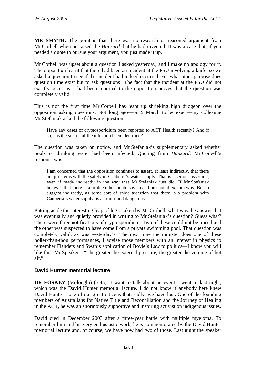**MR SMYTH**: The point is that there was no research or reasoned argument from Mr Corbell when he raised the *Hansard* that he had invented. It was a case that, if you needed a quote to pursue your argument, you just made it up.

Mr Corbell was upset about a question I asked yesterday, and I make no apology for it. The opposition learnt that there had been an incident at the PSU involving a knife, so we asked a question to see if the incident had indeed occurred. For what other purpose does question time exist but to ask questions? The fact that the incident at the PSU did not exactly occur as it had been reported to the opposition proves that the question was completely valid.

This is not the first time Mr Corbell has leapt up shrieking high dudgeon over the opposition asking questions. Not long ago—on 9 March to be exact—my colleague Mr Stefaniak asked the following question:

Have any cases of cryptosporidium been reported to ACT Health recently? And if so, has the source of the infection been identified?

The question was taken on notice, and Mr Stefaniak's supplementary asked whether pools or drinking water had been infected. Quoting from *Hansard*, Mr Corbell's response was:

I am concerned that the opposition continues to assert, at least indirectly, that there are problems with the safety of Canberra's water supply. That is a serious assertion, even if made indirectly in the way that Mr Stefaniak just did. If Mr Stefaniak believes that there is a problem he should say so and he should explain why. But to suggest indirectly, as some sort of snide assertion that there is a problem with Canberra's water supply, is alarmist and dangerous.

Putting aside the interesting leap of logic taken by Mr Corbell, what was the answer that was eventually and quietly provided in writing to Mr Stefaniak's question? Guess what? There were three notifications of cryptosporidium. Two of these could not be traced and the other was suspected to have come from a private swimming pool. That question was completely valid, as was yesterday's. The next time the minister does one of these holier-than-thou performances, I advise those members with an interest in physics to remember Flanders and Swan's application of Boyle's Law to politics—I know you will like this, Mr Speaker—"The greater the external pressure, the greater the volume of hot air."

#### **David Hunter memorial lecture**

**DR FOSKEY** (Molonglo) (5.45): I want to talk about an event I went to last night, which was the David Hunter memorial lecture. I do not know if anybody here knew David Hunter—one of our great citizens that, sadly, we have lost. One of the founding members of Australians for Native Title and Reconciliation and the Journey of Healing in the ACT, he was an enormously supportive and inspiring activist on indigenous issues.

David died in December 2003 after a three-year battle with multiple myeloma. To remember him and his very enthusiastic work, he is commemorated by the David Hunter memorial lecture and, of course, we have now had two of those. Last night the speaker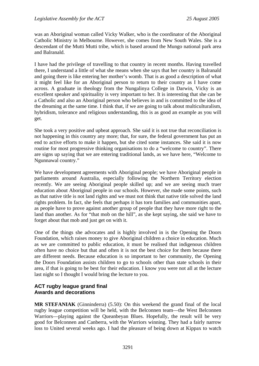was an Aboriginal woman called Vicky Walker, who is the coordinator of the Aboriginal Catholic Ministry in Melbourne. However, she comes from New South Wales. She is a descendant of the Mutti Mutti tribe, which is based around the Mungo national park area and Balranald.

I have had the privilege of travelling to that country in recent months. Having travelled there, I understand a little of what she means when she says that her country is Balranald and going there is like entering her mother's womb. That is as good a description of what it might feel like for an Aboriginal person to return to their country as I have come across. A graduate in theology from the Nungalinya College in Darwin, Vicky is an excellent speaker and spirituality is very important to her. It is interesting that she can be a Catholic and also an Aboriginal person who believes in and is committed to the idea of the dreaming at the same time. I think that, if we are going to talk about multiculturalism, hybridism, tolerance and religious understanding, this is as good an example as you will get.

She took a very positive and upbeat approach. She said it is not true that reconciliation is not happening in this country any more; that, for sure, the federal government has put an end to active efforts to make it happen, but she cited some instances. She said it is now routine for most progressive thinking organisations to do a "welcome to country". There are signs up saying that we are entering traditional lands, as we have here, "Welcome to Ngunnawal country."

We have development agreements with Aboriginal people; we have Aboriginal people in parliaments around Australia, especially following the Northern Territory election recently. We are seeing Aboriginal people skilled up; and we are seeing much truer education about Aboriginal people in our schools. However, she made some points, such as that native title is not land rights and we must not think that native title solved the land rights problem. In fact, she feels that perhaps it has torn families and communities apart, as people have to prove against another group of people that they have more right to the land than another. As for "that mob on the hill", as she kept saying, she said we have to forget about that mob and just get on with it.

One of the things she advocates and is highly involved in is the Opening the Doors Foundation, which raises money to give Aboriginal children a choice in education. Much as we are committed to public education, it must be realised that indigenous children often have no choice but that and often it is not the best choice for them because there are different needs. Because education is so important to her community, the Opening the Doors Foundation assists children to go to schools other than state schools in their area, if that is going to be best for their education. I know you were not all at the lecture last night so I thought I would bring the lecture to you.

# **ACT rugby league grand final Awards and decorations**

**MR STEFANIAK** (Ginninderra) (5.50): On this weekend the grand final of the local rugby league competition will be held, with the Belconnen team—the West Belconnen Warriors—playing against the Queanbeyan Blues. Hopefully, the result will be very good for Belconnen and Canberra, with the Warriors winning. They had a fairly narrow loss to United several weeks ago. I had the pleasure of being down at Kippax to watch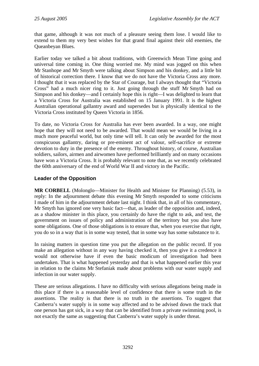that game, although it was not much of a pleasure seeing them lose. I would like to extend to them my very best wishes for that grand final against their old enemies, the Queanbeyan Blues.

Earlier today we talked a bit about traditions, with Greenwich Mean Time going and universal time coming in. One thing worried me. My mind was jogged on this when Mr Stanhope and Mr Smyth were talking about Simpson and his donkey, and a little bit of historical correction there. I know that we do not have the Victoria Cross any more. I thought that it was replaced by the Star of Courage, but I always thought that "Victoria Cross" had a much nicer ring to it. Just going through the stuff Mr Smyth had on Simpson and his donkey—and I certainly hope this is right—I was delighted to learn that a Victoria Cross for Australia was established on 15 January 1991. It is the highest Australian operational gallantry award and supersedes but is physically identical to the Victoria Cross instituted by Queen Victoria in 1856.

To date, no Victoria Cross for Australia has ever been awarded. In a way, one might hope that they will not need to be awarded. That would mean we would be living in a much more peaceful world, but only time will tell. It can only be awarded for the most conspicuous gallantry, daring or pre-eminent act of valour, self-sacrifice or extreme devotion to duty in the presence of the enemy. Throughout history, of course, Australian soldiers, sailors, airmen and airwomen have performed brilliantly and on many occasions have won a Victoria Cross. It is probably relevant to note that, as we recently celebrated the 60th anniversary of the end of World War II and victory in the Pacific.

# **Leader of the Opposition**

**MR CORBELL** (Molonglo—Minister for Health and Minister for Planning) (5.53), in reply: In the adjournment debate this evening Mr Smyth responded to some criticisms I made of him in the adjournment debate last night. I think that, in all of his commentary, Mr Smyth has ignored one very basic fact—that, as leader of the opposition and, indeed, as a shadow minister in this place, you certainly do have the right to ask, and test, the government on issues of policy and administration of the territory but you also have some obligations. One of those obligations is to ensure that, when you exercise that right, you do so in a way that is in some way tested, that in some way has some substance to it.

In raising matters in question time you put the allegation on the public record. If you make an allegation without in any way having checked it, then you give it a credence it would not otherwise have if even the basic modicum of investigation had been undertaken. That is what happened yesterday and that is what happened earlier this year in relation to the claims Mr Stefaniak made about problems with our water supply and infection in our water supply.

These are serious allegations. I have no difficulty with serious allegations being made in this place if there is a reasonable level of confidence that there is some truth in the assertions. The reality is that there is no truth in the assertions. To suggest that Canberra's water supply is in some way affected and to be advised down the track that one person has got sick, in a way that can be identified from a private swimming pool, is not exactly the same as suggesting that Canberra's water supply is under threat.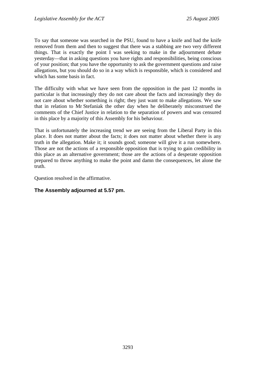To say that someone was searched in the PSU, found to have a knife and had the knife removed from them and then to suggest that there was a stabbing are two very different things. That is exactly the point I was seeking to make in the adjournment debate yesterday—that in asking questions you have rights and responsibilities, being conscious of your position; that you have the opportunity to ask the government questions and raise allegations, but you should do so in a way which is responsible, which is considered and which has some basis in fact.

The difficulty with what we have seen from the opposition in the past 12 months in particular is that increasingly they do not care about the facts and increasingly they do not care about whether something is right; they just want to make allegations. We saw that in relation to Mr Stefaniak the other day when he deliberately misconstrued the comments of the Chief Justice in relation to the separation of powers and was censured in this place by a majority of this Assembly for his behaviour.

That is unfortunately the increasing trend we are seeing from the Liberal Party in this place. It does not matter about the facts; it does not matter about whether there is any truth in the allegation. Make it; it sounds good; someone will give it a run somewhere. Those are not the actions of a responsible opposition that is trying to gain credibility in this place as an alternative government; those are the actions of a desperate opposition prepared to throw anything to make the point and damn the consequences, let alone the truth.

Question resolved in the affirmative.

#### **The Assembly adjourned at 5.57 pm.**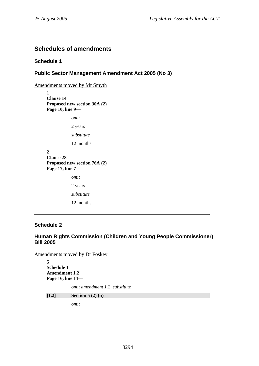# **Schedules of amendments**

#### **Schedule 1**

#### **Public Sector Management Amendment Act 2005 (No 3)**

Amendments moved by Mr Smyth

**1 Clause 14 Proposed new section 30A (2) Page 10, line 9—** 

*omit* 

2 years

*substitute* 

12 months

**2 Clause 28 Proposed new section 76A (2) Page 17, line 7**  *omit* 

> 2 years *substitute*  12 months

#### **Schedule 2**

#### **Human Rights Commission (Children and Young People Commissioner) Bill 2005**

Amendments moved by Dr Foskey

```
5 
Schedule 1 
Amendment 1.2 
Page 16, line 11— 
            omit amendment 1.2, substitute 
[1.2] Section 5 (2) (n) 
            omit
```